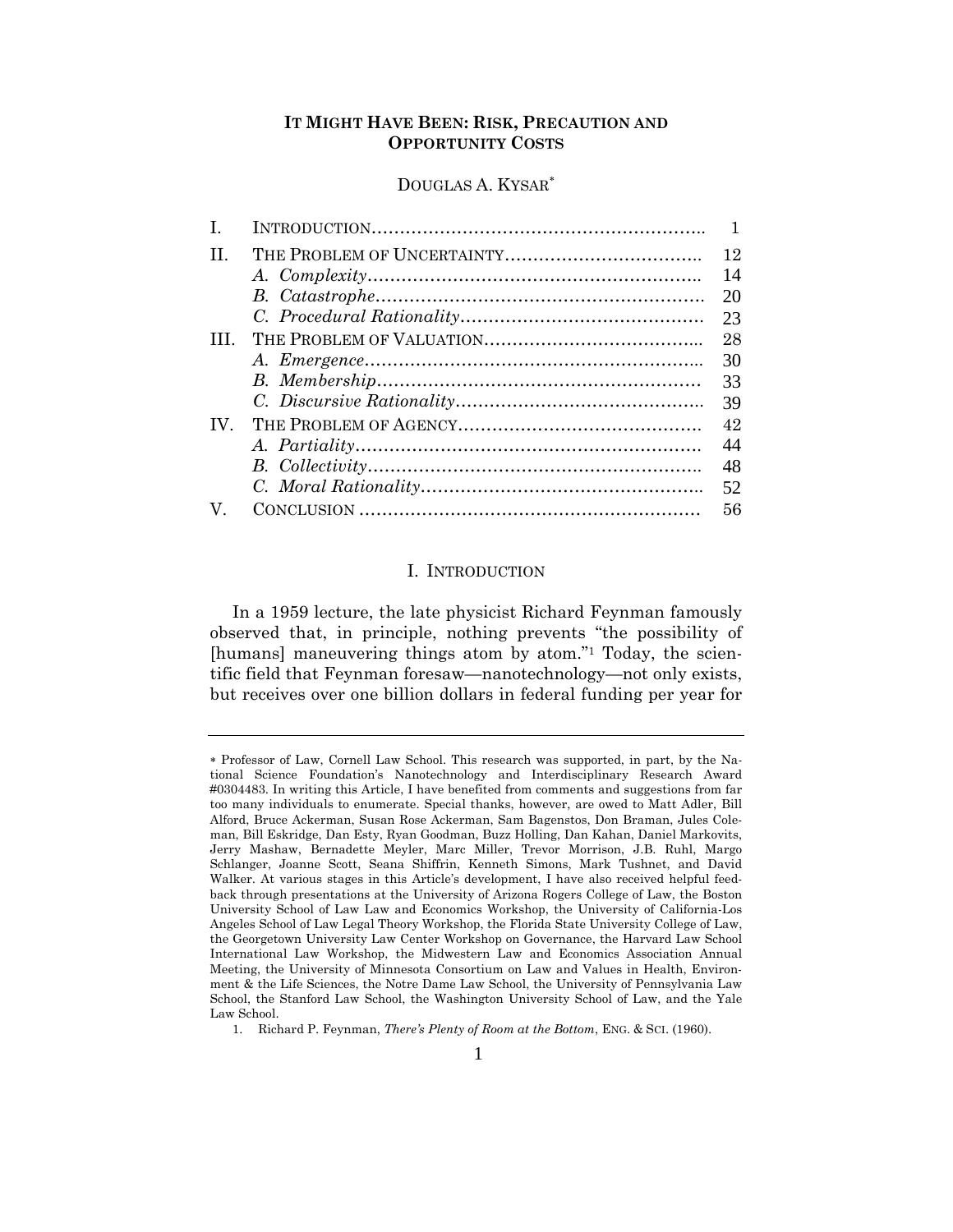# **IT MIGHT HAVE BEEN: RISK, PRECAUTION AND OPPORTUNITY COSTS**

#### DOUGLAS A. KYSAR<sup>∗</sup>

| H.           | 12 |
|--------------|----|
|              | 14 |
|              | 20 |
|              | 23 |
| $\mathbf{H}$ | 28 |
|              | 30 |
|              | 33 |
|              | 39 |
| IV.          | 42 |
|              | 44 |
|              | 48 |
|              | 52 |
| V            | 56 |
|              |    |

## I. INTRODUCTION

 In a 1959 lecture, the late physicist Richard Feynman famously observed that, in principle, nothing prevents "the possibility of [humans] maneuvering things atom by atom."1 Today, the scientific field that Feynman foresaw—nanotechnology—not only exists, but receives over one billion dollars in federal funding per year for

<sup>∗</sup> Professor of Law, Cornell Law School. This research was supported, in part, by the National Science Foundation's Nanotechnology and Interdisciplinary Research Award #0304483. In writing this Article, I have benefited from comments and suggestions from far too many individuals to enumerate. Special thanks, however, are owed to Matt Adler, Bill Alford, Bruce Ackerman, Susan Rose Ackerman, Sam Bagenstos, Don Braman, Jules Coleman, Bill Eskridge, Dan Esty, Ryan Goodman, Buzz Holling, Dan Kahan, Daniel Markovits, Jerry Mashaw, Bernadette Meyler, Marc Miller, Trevor Morrison, J.B. Ruhl, Margo Schlanger, Joanne Scott, Seana Shiffrin, Kenneth Simons, Mark Tushnet, and David Walker. At various stages in this Article's development, I have also received helpful feedback through presentations at the University of Arizona Rogers College of Law, the Boston University School of Law Law and Economics Workshop, the University of California-Los Angeles School of Law Legal Theory Workshop, the Florida State University College of Law, the Georgetown University Law Center Workshop on Governance, the Harvard Law School International Law Workshop, the Midwestern Law and Economics Association Annual Meeting, the University of Minnesota Consortium on Law and Values in Health, Environment & the Life Sciences, the Notre Dame Law School, the University of Pennsylvania Law School, the Stanford Law School, the Washington University School of Law, and the Yale Law School.

 <sup>1.</sup> Richard P. Feynman, *There's Plenty of Room at the Bottom*, ENG. & SCI. (1960).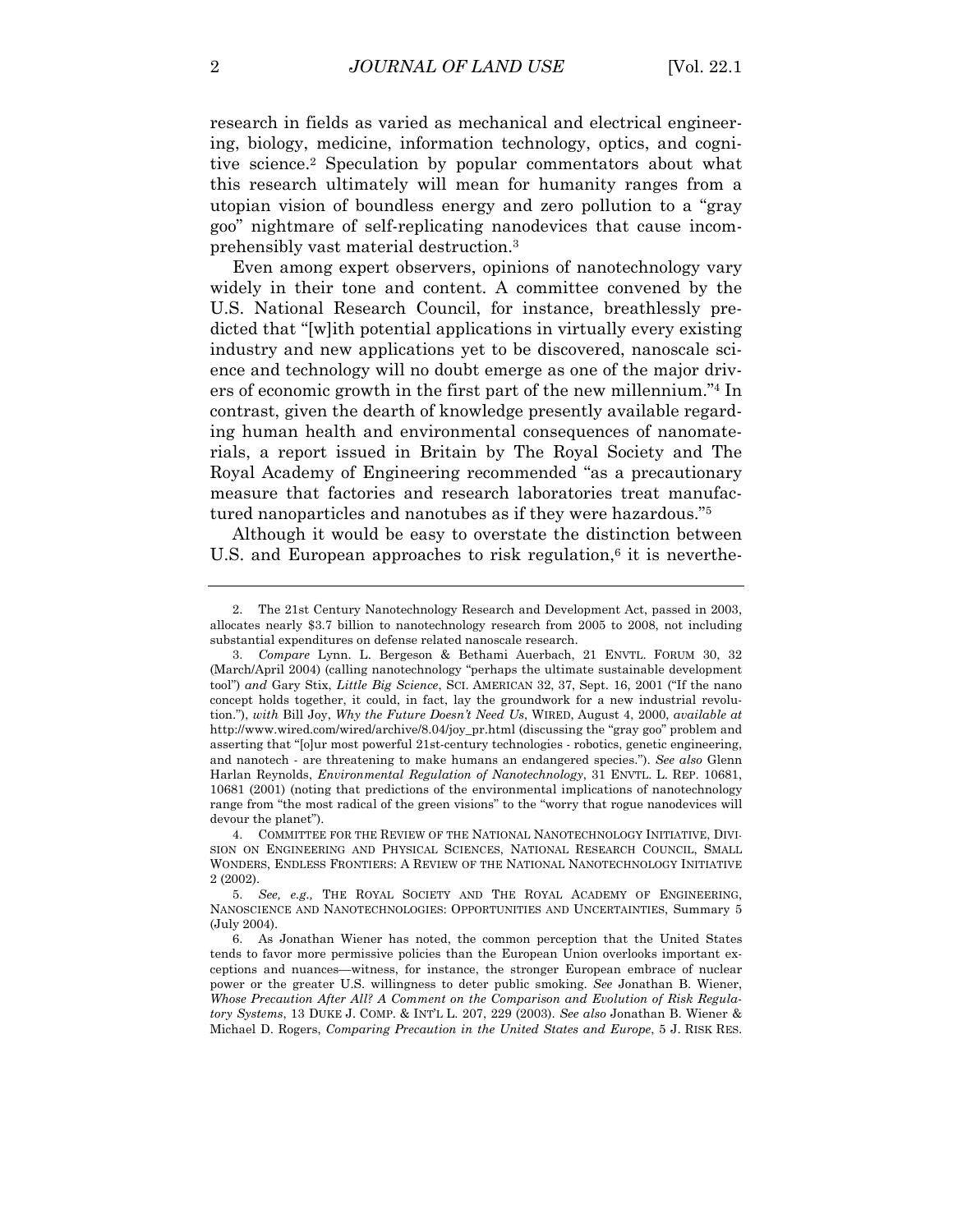research in fields as varied as mechanical and electrical engineering, biology, medicine, information technology, optics, and cognitive science.2 Speculation by popular commentators about what this research ultimately will mean for humanity ranges from a utopian vision of boundless energy and zero pollution to a "gray goo" nightmare of self-replicating nanodevices that cause incomprehensibly vast material destruction.3

 Even among expert observers, opinions of nanotechnology vary widely in their tone and content. A committee convened by the U.S. National Research Council, for instance, breathlessly predicted that "[w]ith potential applications in virtually every existing industry and new applications yet to be discovered, nanoscale science and technology will no doubt emerge as one of the major drivers of economic growth in the first part of the new millennium."4 In contrast, given the dearth of knowledge presently available regarding human health and environmental consequences of nanomaterials, a report issued in Britain by The Royal Society and The Royal Academy of Engineering recommended "as a precautionary measure that factories and research laboratories treat manufactured nanoparticles and nanotubes as if they were hazardous."5

 Although it would be easy to overstate the distinction between U.S. and European approaches to risk regulation, $6$  it is neverthe-

 <sup>2.</sup> The 21st Century Nanotechnology Research and Development Act, passed in 2003, allocates nearly \$3.7 billion to nanotechnology research from 2005 to 2008, not including substantial expenditures on defense related nanoscale research.

 <sup>3.</sup> *Compare* Lynn. L. Bergeson & Bethami Auerbach, 21 ENVTL. FORUM 30, 32 (March/April 2004) (calling nanotechnology "perhaps the ultimate sustainable development tool") *and* Gary Stix, *Little Big Science*, SCI. AMERICAN 32, 37, Sept. 16, 2001 ("If the nano concept holds together, it could, in fact, lay the groundwork for a new industrial revolution."), *with* Bill Joy, *Why the Future Doesn't Need Us*, WIRED, August 4, 2000, *available at* http://www.wired.com/wired/archive/8.04/joy\_pr.html (discussing the "gray goo" problem and asserting that "[o]ur most powerful 21st-century technologies - robotics, genetic engineering, and nanotech - are threatening to make humans an endangered species."). *See also* Glenn Harlan Reynolds, *Environmental Regulation of Nanotechnology*, 31 ENVTL. L. REP. 10681, 10681 (2001) (noting that predictions of the environmental implications of nanotechnology range from "the most radical of the green visions" to the "worry that rogue nanodevices will devour the planet").

 <sup>4.</sup> COMMITTEE FOR THE REVIEW OF THE NATIONAL NANOTECHNOLOGY INITIATIVE, DIVI-SION ON ENGINEERING AND PHYSICAL SCIENCES, NATIONAL RESEARCH COUNCIL, SMALL WONDERS, ENDLESS FRONTIERS: A REVIEW OF THE NATIONAL NANOTECHNOLOGY INITIATIVE 2 (2002).

 <sup>5.</sup> *See, e.g.,* THE ROYAL SOCIETY AND THE ROYAL ACADEMY OF ENGINEERING, NANOSCIENCE AND NANOTECHNOLOGIES: OPPORTUNITIES AND UNCERTAINTIES, Summary 5 (July 2004).

 <sup>6.</sup> As Jonathan Wiener has noted, the common perception that the United States tends to favor more permissive policies than the European Union overlooks important exceptions and nuances—witness, for instance, the stronger European embrace of nuclear power or the greater U.S. willingness to deter public smoking. *See* Jonathan B. Wiener, *Whose Precaution After All? A Comment on the Comparison and Evolution of Risk Regulatory Systems*, 13 DUKE J. COMP. & INT'L L. 207, 229 (2003). *See also* Jonathan B. Wiener & Michael D. Rogers, *Comparing Precaution in the United States and Europe*, 5 J. RISK RES.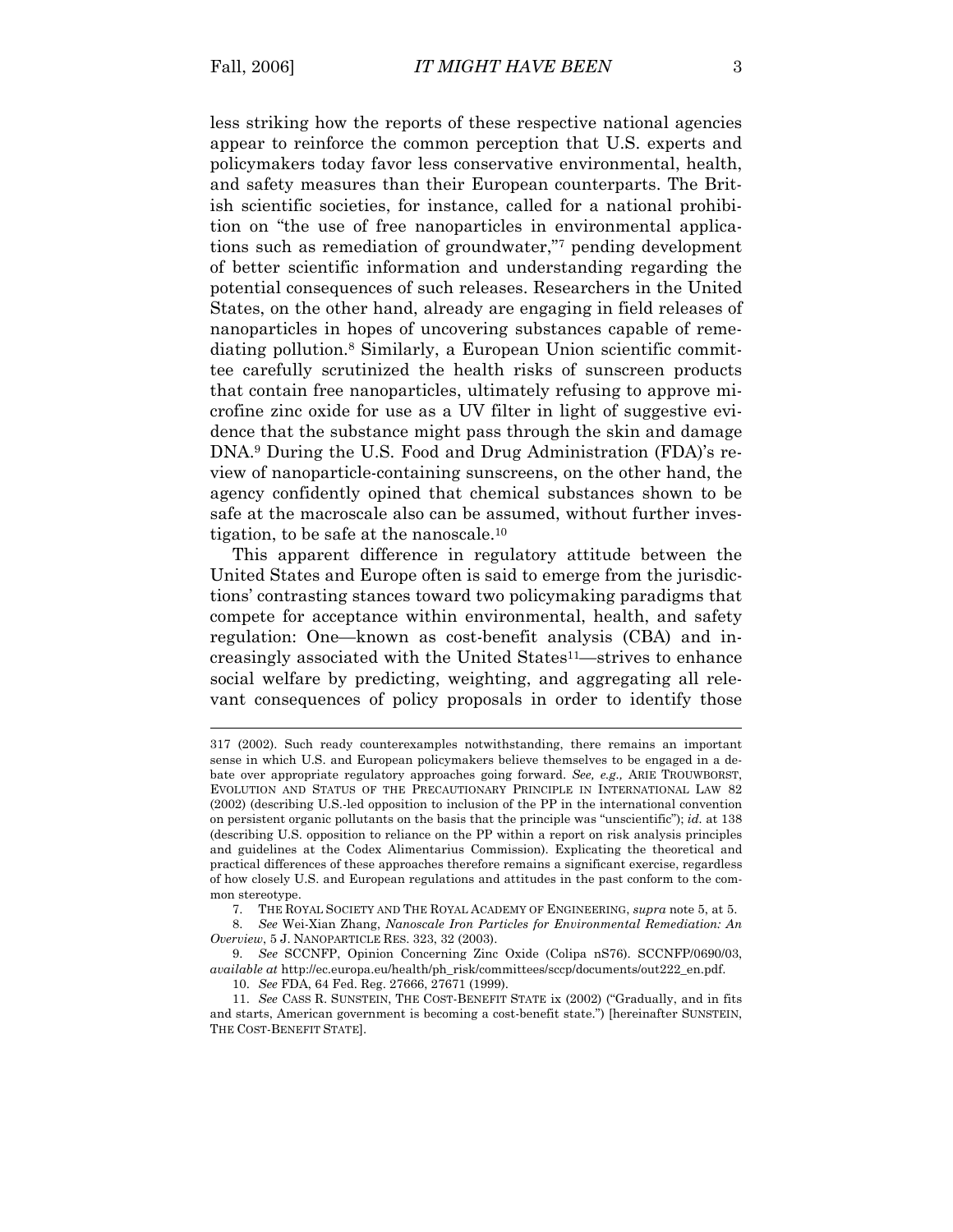$\overline{a}$ 

less striking how the reports of these respective national agencies appear to reinforce the common perception that U.S. experts and policymakers today favor less conservative environmental, health, and safety measures than their European counterparts. The British scientific societies, for instance, called for a national prohibition on "the use of free nanoparticles in environmental applications such as remediation of groundwater,"7 pending development of better scientific information and understanding regarding the potential consequences of such releases. Researchers in the United States, on the other hand, already are engaging in field releases of nanoparticles in hopes of uncovering substances capable of remediating pollution.8 Similarly, a European Union scientific committee carefully scrutinized the health risks of sunscreen products that contain free nanoparticles, ultimately refusing to approve microfine zinc oxide for use as a UV filter in light of suggestive evidence that the substance might pass through the skin and damage DNA.9 During the U.S. Food and Drug Administration (FDA)'s review of nanoparticle-containing sunscreens, on the other hand, the agency confidently opined that chemical substances shown to be safe at the macroscale also can be assumed, without further investigation, to be safe at the nanoscale.10

 This apparent difference in regulatory attitude between the United States and Europe often is said to emerge from the jurisdictions' contrasting stances toward two policymaking paradigms that compete for acceptance within environmental, health, and safety regulation: One—known as cost-benefit analysis (CBA) and increasingly associated with the United States11—strives to enhance social welfare by predicting, weighting, and aggregating all relevant consequences of policy proposals in order to identify those

<sup>317 (2002).</sup> Such ready counterexamples notwithstanding, there remains an important sense in which U.S. and European policymakers believe themselves to be engaged in a debate over appropriate regulatory approaches going forward. *See, e.g.,* ARIE TROUWBORST, EVOLUTION AND STATUS OF THE PRECAUTIONARY PRINCIPLE IN INTERNATIONAL LAW 82 (2002) (describing U.S.-led opposition to inclusion of the PP in the international convention on persistent organic pollutants on the basis that the principle was "unscientific"); *id.* at 138 (describing U.S. opposition to reliance on the PP within a report on risk analysis principles and guidelines at the Codex Alimentarius Commission). Explicating the theoretical and practical differences of these approaches therefore remains a significant exercise, regardless of how closely U.S. and European regulations and attitudes in the past conform to the common stereotype.

 <sup>7.</sup> THE ROYAL SOCIETY AND THE ROYAL ACADEMY OF ENGINEERING, *supra* note 5, at 5.

 <sup>8.</sup> *See* Wei-Xian Zhang, *Nanoscale Iron Particles for Environmental Remediation: An Overview*, 5 J. NANOPARTICLE RES. 323, 32 (2003).

 <sup>9.</sup> *See* SCCNFP, Opinion Concerning Zinc Oxide (Colipa nS76). SCCNFP/0690/03, *available at* http://ec.europa.eu/health/ph\_risk/committees/sccp/documents/out222\_en.pdf.

 <sup>10.</sup> *See* FDA, 64 Fed. Reg. 27666, 27671 (1999).

 <sup>11.</sup> *See* CASS R. SUNSTEIN, THE COST-BENEFIT STATE ix (2002) ("Gradually, and in fits and starts, American government is becoming a cost-benefit state.") [hereinafter SUNSTEIN, THE COST-BENEFIT STATE].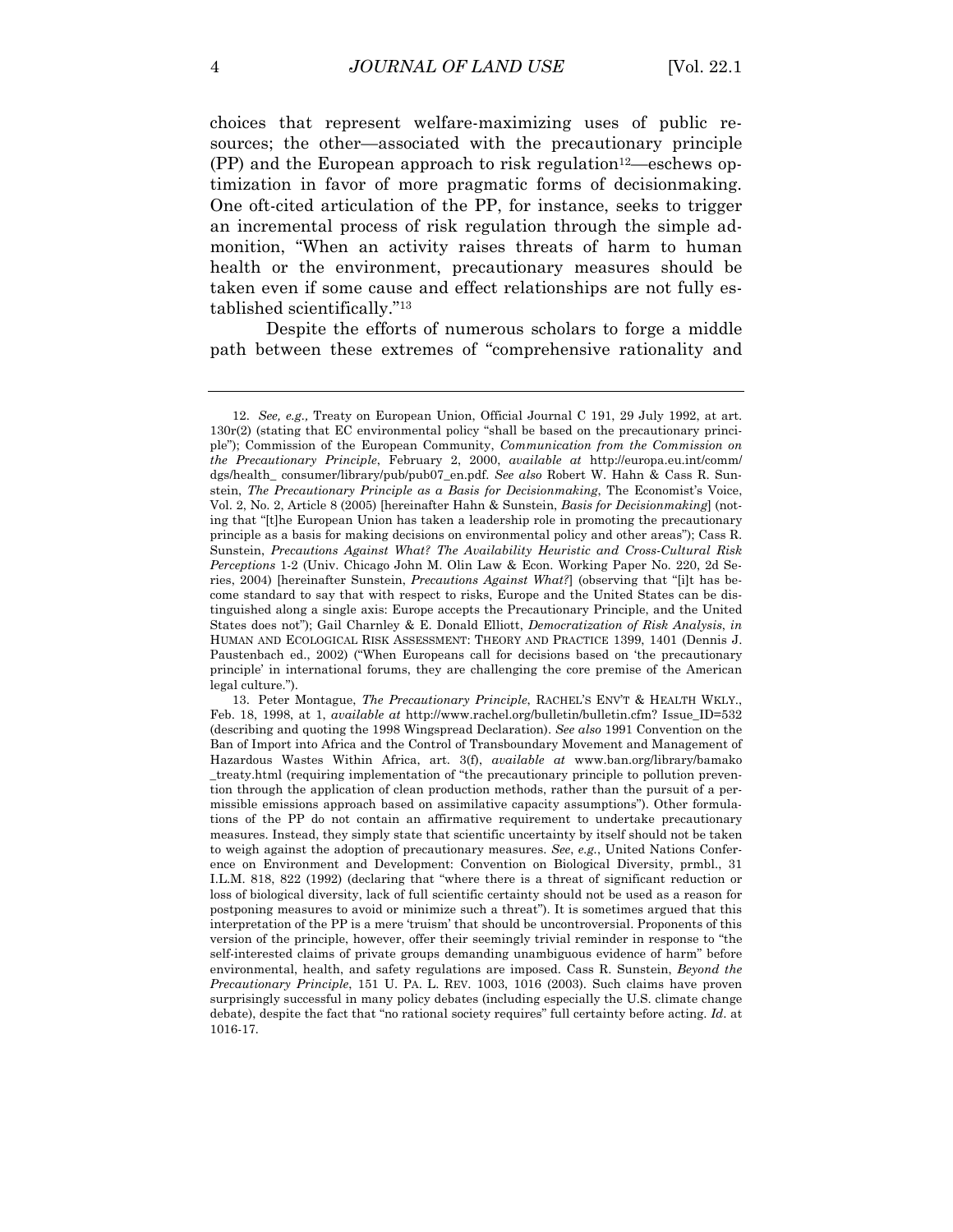choices that represent welfare-maximizing uses of public resources; the other—associated with the precautionary principle (PP) and the European approach to risk regulation<sup>12</sup>—eschews optimization in favor of more pragmatic forms of decisionmaking. One oft-cited articulation of the PP, for instance, seeks to trigger an incremental process of risk regulation through the simple admonition, "When an activity raises threats of harm to human health or the environment, precautionary measures should be taken even if some cause and effect relationships are not fully established scientifically."13

Despite the efforts of numerous scholars to forge a middle path between these extremes of "comprehensive rationality and

 <sup>12.</sup> *See, e.g.,* Treaty on European Union, Official Journal C 191, 29 July 1992, at art. 130r(2) (stating that EC environmental policy "shall be based on the precautionary principle"); Commission of the European Community, *Communication from the Commission on the Precautionary Principle*, February 2, 2000, *available at* http://europa.eu.int/comm/ dgs/health\_ consumer/library/pub/pub07\_en.pdf. *See also* Robert W. Hahn & Cass R. Sunstein, *The Precautionary Principle as a Basis for Decisionmaking*, The Economist's Voice, Vol. 2, No. 2, Article 8 (2005) [hereinafter Hahn & Sunstein, *Basis for Decisionmaking*] (noting that "[t]he European Union has taken a leadership role in promoting the precautionary principle as a basis for making decisions on environmental policy and other areas"); Cass R. Sunstein, *Precautions Against What? The Availability Heuristic and Cross-Cultural Risk Perceptions* 1-2 (Univ. Chicago John M. Olin Law & Econ. Working Paper No. 220, 2d Series, 2004) [hereinafter Sunstein, *Precautions Against What?*] (observing that "[i]t has become standard to say that with respect to risks, Europe and the United States can be distinguished along a single axis: Europe accepts the Precautionary Principle, and the United States does not"); Gail Charnley & E. Donald Elliott, *Democratization of Risk Analysis*, *in* HUMAN AND ECOLOGICAL RISK ASSESSMENT: THEORY AND PRACTICE 1399, 1401 (Dennis J. Paustenbach ed., 2002) ("When Europeans call for decisions based on 'the precautionary principle' in international forums, they are challenging the core premise of the American legal culture.").

 <sup>13.</sup> Peter Montague, *The Precautionary Principle*, RACHEL'S ENV'T & HEALTH WKLY., Feb. 18, 1998, at 1, *available at* http://www.rachel.org/bulletin/bulletin.cfm? Issue\_ID=532 (describing and quoting the 1998 Wingspread Declaration). *See also* 1991 Convention on the Ban of Import into Africa and the Control of Transboundary Movement and Management of Hazardous Wastes Within Africa, art. 3(f), *available at* www.ban.org/library/bamako \_treaty.html (requiring implementation of "the precautionary principle to pollution prevention through the application of clean production methods, rather than the pursuit of a permissible emissions approach based on assimilative capacity assumptions"). Other formulations of the PP do not contain an affirmative requirement to undertake precautionary measures. Instead, they simply state that scientific uncertainty by itself should not be taken to weigh against the adoption of precautionary measures. *See*, *e.g.*, United Nations Conference on Environment and Development: Convention on Biological Diversity, prmbl., 31 I.L.M. 818, 822 (1992) (declaring that "where there is a threat of significant reduction or loss of biological diversity, lack of full scientific certainty should not be used as a reason for postponing measures to avoid or minimize such a threat"). It is sometimes argued that this interpretation of the PP is a mere 'truism' that should be uncontroversial. Proponents of this version of the principle, however, offer their seemingly trivial reminder in response to "the self-interested claims of private groups demanding unambiguous evidence of harm" before environmental, health, and safety regulations are imposed. Cass R. Sunstein, *Beyond the Precautionary Principle*, 151 U. PA. L. REV. 1003, 1016 (2003). Such claims have proven surprisingly successful in many policy debates (including especially the U.S. climate change debate), despite the fact that "no rational society requires" full certainty before acting. *Id*. at 1016-17*.*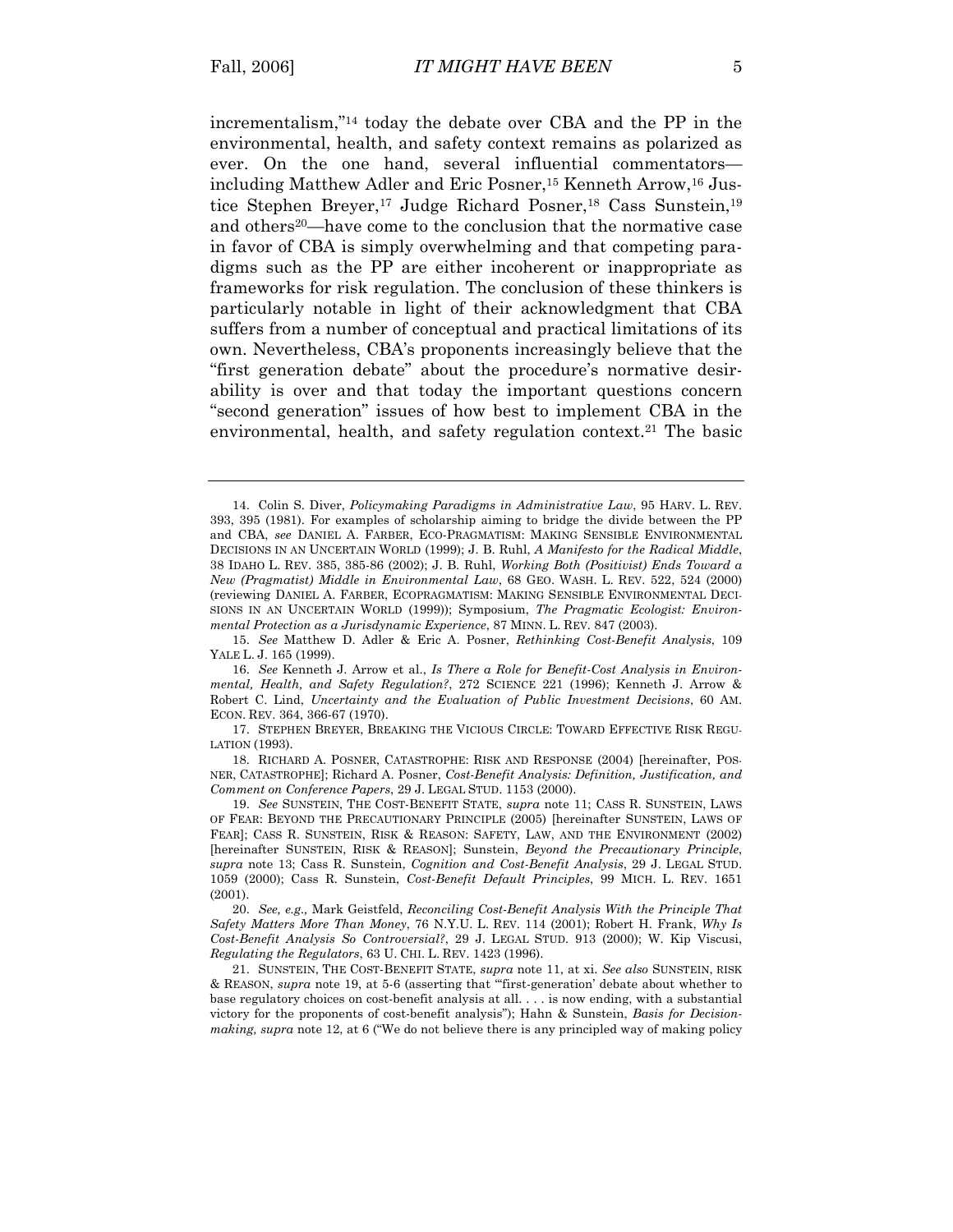incrementalism,"14 today the debate over CBA and the PP in the environmental, health, and safety context remains as polarized as ever. On the one hand, several influential commentators including Matthew Adler and Eric Posner,<sup>15</sup> Kenneth Arrow,<sup>16</sup> Justice Stephen Breyer,<sup>17</sup> Judge Richard Posner,<sup>18</sup> Cass Sunstein,<sup>19</sup> and others20—have come to the conclusion that the normative case in favor of CBA is simply overwhelming and that competing paradigms such as the PP are either incoherent or inappropriate as frameworks for risk regulation. The conclusion of these thinkers is particularly notable in light of their acknowledgment that CBA suffers from a number of conceptual and practical limitations of its own. Nevertheless, CBA's proponents increasingly believe that the "first generation debate" about the procedure's normative desirability is over and that today the important questions concern "second generation" issues of how best to implement CBA in the environmental, health, and safety regulation context.<sup>21</sup> The basic

 18. RICHARD A. POSNER, CATASTROPHE: RISK AND RESPONSE (2004) [hereinafter, POS-NER, CATASTROPHE]; Richard A. Posner, *Cost-Benefit Analysis: Definition, Justification, and Comment on Conference Papers*, 29 J. LEGAL STUD. 1153 (2000).

 <sup>14.</sup> Colin S. Diver, *Policymaking Paradigms in Administrative Law*, 95 HARV. L. REV. 393, 395 (1981). For examples of scholarship aiming to bridge the divide between the PP and CBA, *see* DANIEL A. FARBER, ECO-PRAGMATISM: MAKING SENSIBLE ENVIRONMENTAL DECISIONS IN AN UNCERTAIN WORLD (1999); J. B. Ruhl, *A Manifesto for the Radical Middle*, 38 IDAHO L. REV. 385, 385-86 (2002); J. B. Ruhl, *Working Both (Positivist) Ends Toward a New (Pragmatist) Middle in Environmental Law*, 68 GEO. WASH. L. REV. 522, 524 (2000) (reviewing DANIEL A. FARBER, ECOPRAGMATISM: MAKING SENSIBLE ENVIRONMENTAL DECI-SIONS IN AN UNCERTAIN WORLD (1999)); Symposium, *The Pragmatic Ecologist: Environmental Protection as a Jurisdynamic Experience*, 87 MINN. L. REV. 847 (2003).

 <sup>15.</sup> *See* Matthew D. Adler & Eric A. Posner, *Rethinking Cost-Benefit Analysis*, 109 YALE L. J. 165 (1999).

 <sup>16.</sup> *See* Kenneth J. Arrow et al., *Is There a Role for Benefit-Cost Analysis in Environmental, Health, and Safety Regulation?*, 272 SCIENCE 221 (1996); Kenneth J. Arrow & Robert C. Lind, *Uncertainty and the Evaluation of Public Investment Decisions*, 60 AM. ECON. REV. 364, 366-67 (1970).

 <sup>17.</sup> STEPHEN BREYER, BREAKING THE VICIOUS CIRCLE: TOWARD EFFECTIVE RISK REGU-LATION (1993).

 <sup>19.</sup> *See* SUNSTEIN, THE COST-BENEFIT STATE, *supra* note 11; CASS R. SUNSTEIN, LAWS OF FEAR: BEYOND THE PRECAUTIONARY PRINCIPLE (2005) [hereinafter SUNSTEIN, LAWS OF FEAR]; CASS R. SUNSTEIN, RISK & REASON: SAFETY, LAW, AND THE ENVIRONMENT (2002) [hereinafter SUNSTEIN, RISK & REASON]; Sunstein, *Beyond the Precautionary Principle*, *supra* note 13; Cass R. Sunstein, *Cognition and Cost-Benefit Analysis*, 29 J. LEGAL STUD. 1059 (2000); Cass R. Sunstein, *Cost-Benefit Default Principles*, 99 MICH. L. REV. 1651 (2001).

 <sup>20.</sup> *See, e.g.,* Mark Geistfeld, *Reconciling Cost-Benefit Analysis With the Principle That Safety Matters More Than Money*, 76 N.Y.U. L. REV. 114 (2001); Robert H. Frank, *Why Is Cost-Benefit Analysis So Controversial?*, 29 J. LEGAL STUD. 913 (2000); W. Kip Viscusi, *Regulating the Regulators*, 63 U. CHI. L. REV. 1423 (1996).

 <sup>21.</sup> SUNSTEIN, THE COST-BENEFIT STATE, *supra* note 11, at xi. *See also* SUNSTEIN, RISK & REASON, *supra* note 19, at 5-6 (asserting that "'first-generation' debate about whether to base regulatory choices on cost-benefit analysis at all. . . . is now ending, with a substantial victory for the proponents of cost-benefit analysis"); Hahn & Sunstein, *Basis for Decisionmaking, supra* note 12, at 6 ("We do not believe there is any principled way of making policy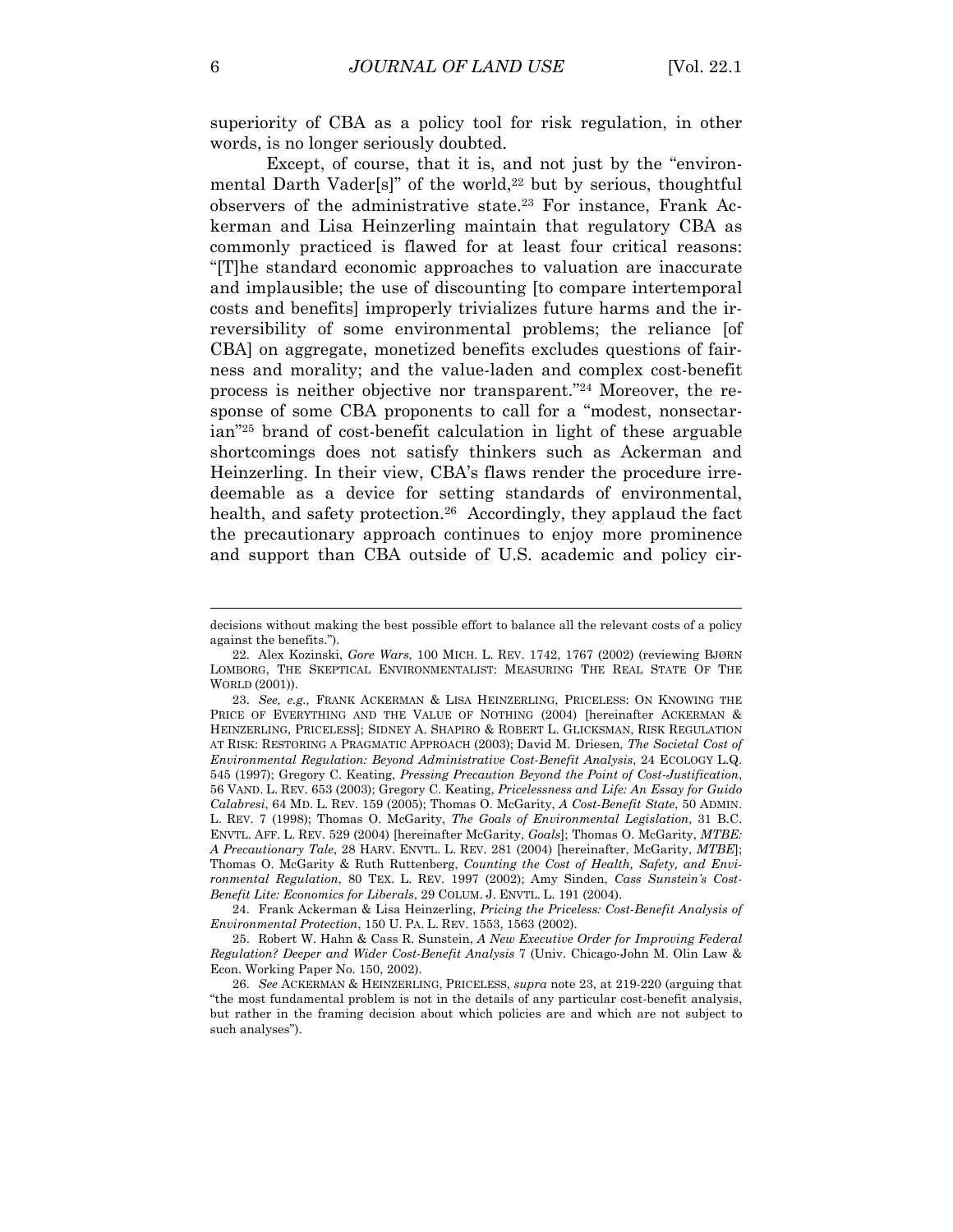superiority of CBA as a policy tool for risk regulation, in other words, is no longer seriously doubted.

Except, of course, that it is, and not just by the "environmental Darth Vader[s]" of the world,<sup>22</sup> but by serious, thoughtful observers of the administrative state.23 For instance, Frank Ackerman and Lisa Heinzerling maintain that regulatory CBA as commonly practiced is flawed for at least four critical reasons: "[T]he standard economic approaches to valuation are inaccurate and implausible; the use of discounting [to compare intertemporal costs and benefits] improperly trivializes future harms and the irreversibility of some environmental problems; the reliance [of CBA] on aggregate, monetized benefits excludes questions of fairness and morality; and the value-laden and complex cost-benefit process is neither objective nor transparent."24 Moreover, the response of some CBA proponents to call for a "modest, nonsectarian"25 brand of cost-benefit calculation in light of these arguable shortcomings does not satisfy thinkers such as Ackerman and Heinzerling. In their view, CBA's flaws render the procedure irredeemable as a device for setting standards of environmental, health, and safety protection.<sup>26</sup> Accordingly, they applaud the fact the precautionary approach continues to enjoy more prominence and support than CBA outside of U.S. academic and policy cir-

 24. Frank Ackerman & Lisa Heinzerling, *Pricing the Priceless: Cost-Benefit Analysis of Environmental Protection*, 150 U. PA. L. REV. 1553, 1563 (2002).

 25. Robert W. Hahn & Cass R. Sunstein, *A New Executive Order for Improving Federal Regulation? Deeper and Wider Cost-Benefit Analysis* 7 (Univ. Chicago-John M. Olin Law & Econ. Working Paper No. 150, 2002).

decisions without making the best possible effort to balance all the relevant costs of a policy against the benefits.").

 <sup>22.</sup> Alex Kozinski, *Gore Wars*, 100 MICH. L. REV. 1742, 1767 (2002) (reviewing BJØRN LOMBORG, THE SKEPTICAL ENVIRONMENTALIST: MEASURING THE REAL STATE OF THE WORLD (2001)).

 <sup>23.</sup> *See, e.g.,* FRANK ACKERMAN & LISA HEINZERLING, PRICELESS: ON KNOWING THE PRICE OF EVERYTHING AND THE VALUE OF NOTHING (2004) [hereinafter ACKERMAN & HEINZERLING, PRICELESS]; SIDNEY A. SHAPIRO & ROBERT L. GLICKSMAN, RISK REGULATION AT RISK: RESTORING A PRAGMATIC APPROACH (2003); David M. Driesen, *The Societal Cost of Environmental Regulation: Beyond Administrative Cost-Benefit Analysis*, 24 ECOLOGY L.Q. 545 (1997); Gregory C. Keating, *Pressing Precaution Beyond the Point of Cost-Justification*, 56 VAND. L. REV. 653 (2003); Gregory C. Keating, *Pricelessness and Life: An Essay for Guido Calabresi*, 64 MD. L. REV. 159 (2005); Thomas O. McGarity, *A Cost-Benefit State*, 50 ADMIN. L. REV. 7 (1998); Thomas O. McGarity, *The Goals of Environmental Legislation*, 31 B.C. ENVTL. AFF. L. REV. 529 (2004) [hereinafter McGarity, *Goals*]; Thomas O. McGarity, *MTBE: A Precautionary Tale*, 28 HARV. ENVTL. L. REV. 281 (2004) [hereinafter, McGarity, *MTBE*]; Thomas O. McGarity & Ruth Ruttenberg, *Counting the Cost of Health, Safety, and Environmental Regulation*, 80 TEX. L. REV. 1997 (2002); Amy Sinden, *Cass Sunstein's Cost-Benefit Lite: Economics for Liberals*, 29 COLUM. J. ENVTL. L. 191 (2004).

 <sup>26.</sup> *See* ACKERMAN & HEINZERLING, PRICELESS, *supra* note 23, at 219-220 (arguing that "the most fundamental problem is not in the details of any particular cost-benefit analysis, but rather in the framing decision about which policies are and which are not subject to such analyses").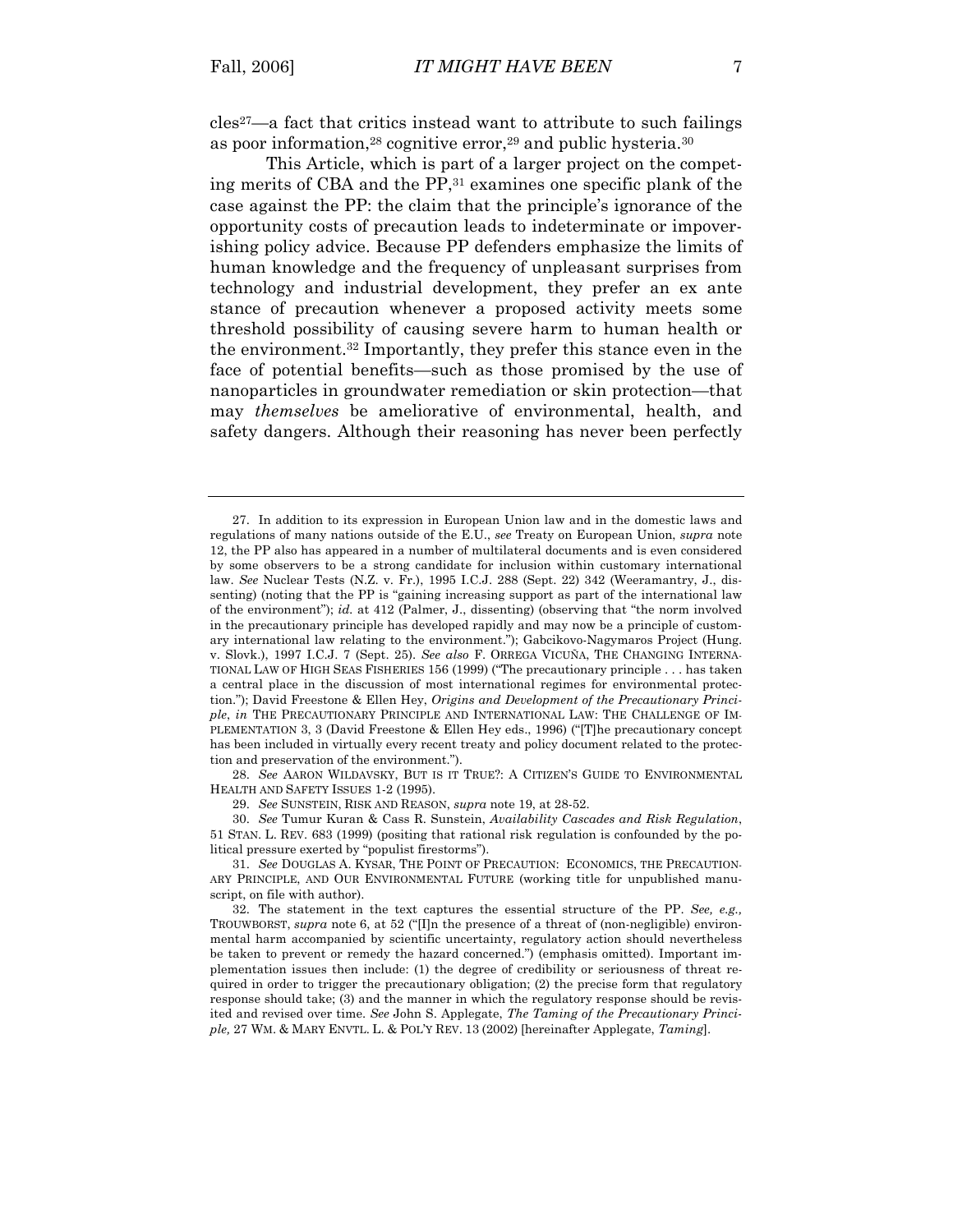cles27—a fact that critics instead want to attribute to such failings as poor information,<sup>28</sup> cognitive error,<sup>29</sup> and public hysteria.<sup>30</sup>

This Article, which is part of a larger project on the competing merits of CBA and the PP,31 examines one specific plank of the case against the PP: the claim that the principle's ignorance of the opportunity costs of precaution leads to indeterminate or impoverishing policy advice. Because PP defenders emphasize the limits of human knowledge and the frequency of unpleasant surprises from technology and industrial development, they prefer an ex ante stance of precaution whenever a proposed activity meets some threshold possibility of causing severe harm to human health or the environment.32 Importantly, they prefer this stance even in the face of potential benefits—such as those promised by the use of nanoparticles in groundwater remediation or skin protection—that may *themselves* be ameliorative of environmental, health, and safety dangers. Although their reasoning has never been perfectly

 28. *See* AARON WILDAVSKY, BUT IS IT TRUE?: A CITIZEN'S GUIDE TO ENVIRONMENTAL HEALTH AND SAFETY ISSUES 1-2 (1995).

29. *See* SUNSTEIN, RISK AND REASON, *supra* note 19, at 28-52.

 <sup>27.</sup> In addition to its expression in European Union law and in the domestic laws and regulations of many nations outside of the E.U., *see* Treaty on European Union, *supra* note 12, the PP also has appeared in a number of multilateral documents and is even considered by some observers to be a strong candidate for inclusion within customary international law. *See* Nuclear Tests (N.Z. v. Fr.), 1995 I.C.J. 288 (Sept. 22) 342 (Weeramantry, J., dissenting) (noting that the PP is "gaining increasing support as part of the international law of the environment"); *id.* at 412 (Palmer, J., dissenting) (observing that "the norm involved in the precautionary principle has developed rapidly and may now be a principle of customary international law relating to the environment."); Gabcikovo-Nagymaros Project (Hung. v. Slovk.), 1997 I.C.J. 7 (Sept. 25). *See also* F. ORREGA VICUÑA, THE CHANGING INTERNA-TIONAL LAW OF HIGH SEAS FISHERIES 156 (1999) ("The precautionary principle . . . has taken a central place in the discussion of most international regimes for environmental protection."); David Freestone & Ellen Hey, *Origins and Development of the Precautionary Principle*, *in* THE PRECAUTIONARY PRINCIPLE AND INTERNATIONAL LAW: THE CHALLENGE OF IM-PLEMENTATION 3, 3 (David Freestone & Ellen Hey eds., 1996) ("[T]he precautionary concept has been included in virtually every recent treaty and policy document related to the protection and preservation of the environment.").

 <sup>30.</sup> *See* Tumur Kuran & Cass R. Sunstein, *Availability Cascades and Risk Regulation*, 51 STAN. L. REV. 683 (1999) (positing that rational risk regulation is confounded by the political pressure exerted by "populist firestorms").

 <sup>31.</sup> *See* DOUGLAS A. KYSAR, THE POINT OF PRECAUTION: ECONOMICS, THE PRECAUTION-ARY PRINCIPLE, AND OUR ENVIRONMENTAL FUTURE (working title for unpublished manuscript, on file with author).

 <sup>32.</sup> The statement in the text captures the essential structure of the PP. *See, e.g.,*  TROUWBORST, *supra* note 6, at 52 ("[I]n the presence of a threat of (non-negligible) environmental harm accompanied by scientific uncertainty, regulatory action should nevertheless be taken to prevent or remedy the hazard concerned.") (emphasis omitted). Important implementation issues then include: (1) the degree of credibility or seriousness of threat required in order to trigger the precautionary obligation; (2) the precise form that regulatory response should take; (3) and the manner in which the regulatory response should be revisited and revised over time. *See* John S. Applegate, *The Taming of the Precautionary Principle,* 27 WM. & MARY ENVTL. L. & POL'Y REV. 13 (2002) [hereinafter Applegate, *Taming*].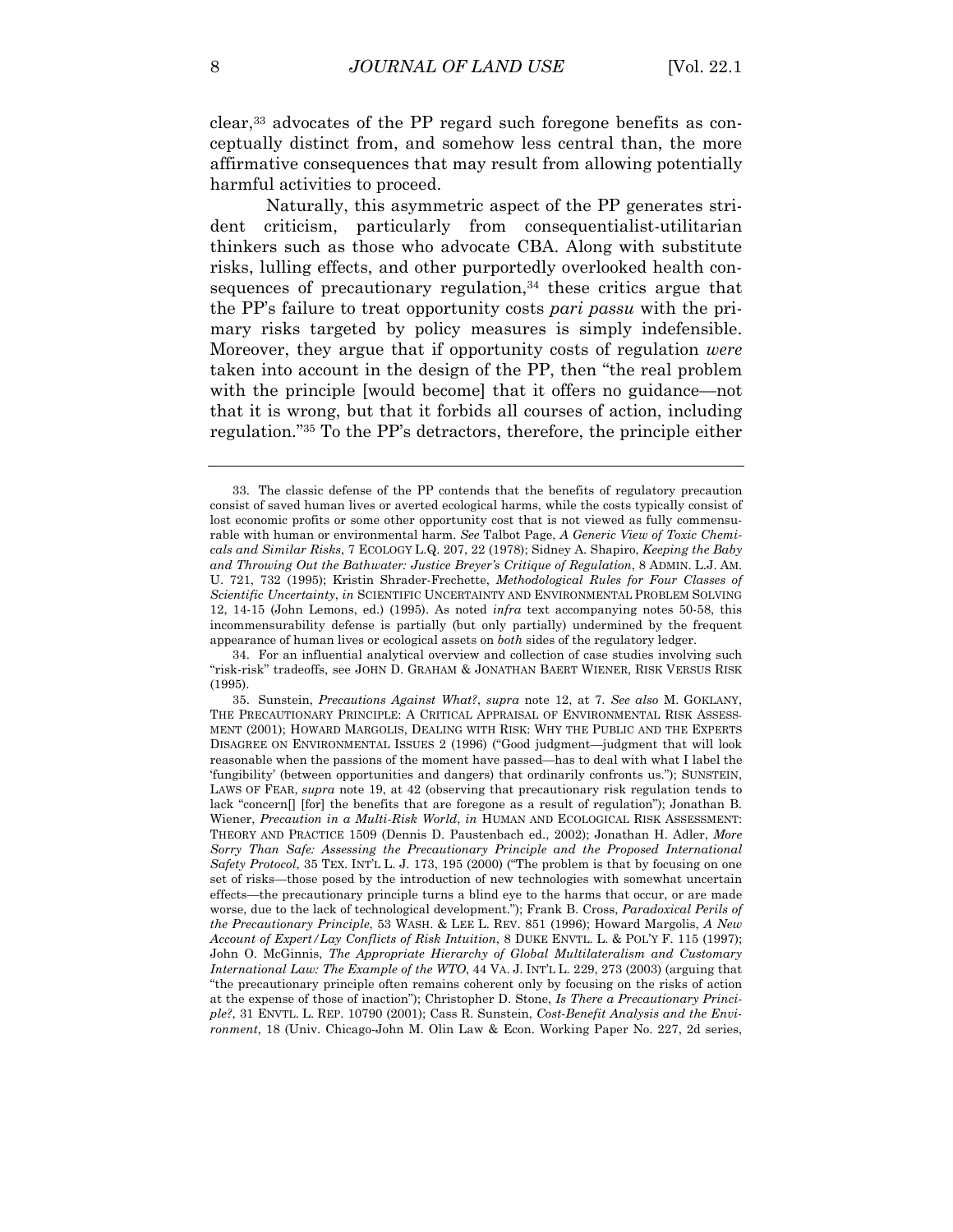clear,33 advocates of the PP regard such foregone benefits as conceptually distinct from, and somehow less central than, the more affirmative consequences that may result from allowing potentially harmful activities to proceed.

Naturally, this asymmetric aspect of the PP generates strident criticism, particularly from consequentialist-utilitarian thinkers such as those who advocate CBA. Along with substitute risks, lulling effects, and other purportedly overlooked health consequences of precautionary regulation,<sup>34</sup> these critics argue that the PP's failure to treat opportunity costs *pari passu* with the primary risks targeted by policy measures is simply indefensible. Moreover, they argue that if opportunity costs of regulation *were* taken into account in the design of the PP, then "the real problem with the principle [would become] that it offers no guidance—not that it is wrong, but that it forbids all courses of action, including regulation."35 To the PP's detractors, therefore, the principle either

 <sup>33.</sup> The classic defense of the PP contends that the benefits of regulatory precaution consist of saved human lives or averted ecological harms, while the costs typically consist of lost economic profits or some other opportunity cost that is not viewed as fully commensurable with human or environmental harm. *See* Talbot Page, *A Generic View of Toxic Chemicals and Similar Risks*, 7 ECOLOGY L.Q. 207, 22 (1978); Sidney A. Shapiro, *Keeping the Baby and Throwing Out the Bathwater: Justice Breyer's Critique of Regulation*, 8 ADMIN. L.J. AM. U. 721, 732 (1995); Kristin Shrader-Frechette, *Methodological Rules for Four Classes of Scientific Uncertainty*, *in* SCIENTIFIC UNCERTAINTY AND ENVIRONMENTAL PROBLEM SOLVING 12, 14-15 (John Lemons, ed.) (1995). As noted *infra* text accompanying notes 50-58, this incommensurability defense is partially (but only partially) undermined by the frequent appearance of human lives or ecological assets on *both* sides of the regulatory ledger.

 <sup>34.</sup> For an influential analytical overview and collection of case studies involving such "risk-risk" tradeoffs, see JOHN D. GRAHAM & JONATHAN BAERT WIENER, RISK VERSUS RISK (1995).

 <sup>35.</sup> Sunstein, *Precautions Against What?*, *supra* note 12, at 7. *See also* M. GOKLANY, THE PRECAUTIONARY PRINCIPLE: A CRITICAL APPRAISAL OF ENVIRONMENTAL RISK ASSESS-MENT (2001); HOWARD MARGOLIS, DEALING WITH RISK: WHY THE PUBLIC AND THE EXPERTS DISAGREE ON ENVIRONMENTAL ISSUES 2 (1996) ("Good judgment—judgment that will look reasonable when the passions of the moment have passed—has to deal with what I label the 'fungibility' (between opportunities and dangers) that ordinarily confronts us."); SUNSTEIN, LAWS OF FEAR, *supra* note 19, at 42 (observing that precautionary risk regulation tends to lack "concern[] [for] the benefits that are foregone as a result of regulation"); Jonathan B. Wiener, *Precaution in a Multi-Risk World*, *in* HUMAN AND ECOLOGICAL RISK ASSESSMENT: THEORY AND PRACTICE 1509 (Dennis D. Paustenbach ed., 2002); Jonathan H. Adler, *More Sorry Than Safe: Assessing the Precautionary Principle and the Proposed International Safety Protocol*, 35 TEX. INT'L L. J. 173, 195 (2000) ("The problem is that by focusing on one set of risks—those posed by the introduction of new technologies with somewhat uncertain effects—the precautionary principle turns a blind eye to the harms that occur, or are made worse, due to the lack of technological development."); Frank B. Cross, *Paradoxical Perils of the Precautionary Principle*, 53 WASH. & LEE L. REV. 851 (1996); Howard Margolis, *A New Account of Expert/Lay Conflicts of Risk Intuition*, 8 DUKE ENVTL. L. & POL'Y F. 115 (1997); John O. McGinnis, *The Appropriate Hierarchy of Global Multilateralism and Customary International Law: The Example of the WTO*, 44 VA. J. INT'L L. 229, 273 (2003) (arguing that "the precautionary principle often remains coherent only by focusing on the risks of action at the expense of those of inaction"); Christopher D. Stone, *Is There a Precautionary Principle?*, 31 ENVTL. L. REP. 10790 (2001); Cass R. Sunstein, *Cost-Benefit Analysis and the Environment*, 18 (Univ. Chicago-John M. Olin Law & Econ. Working Paper No. 227, 2d series,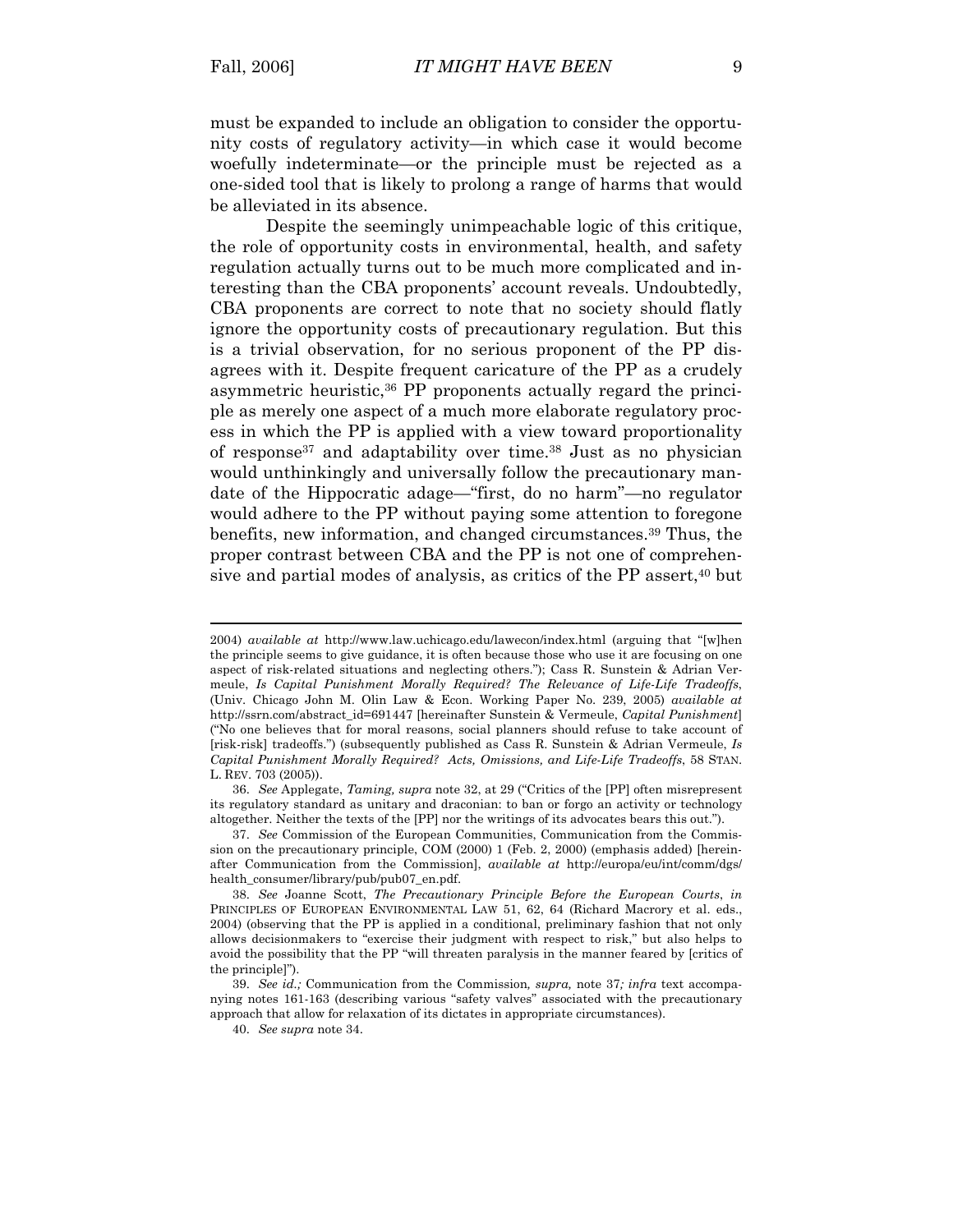$\overline{a}$ 

must be expanded to include an obligation to consider the opportunity costs of regulatory activity—in which case it would become woefully indeterminate—or the principle must be rejected as a one-sided tool that is likely to prolong a range of harms that would be alleviated in its absence.

Despite the seemingly unimpeachable logic of this critique, the role of opportunity costs in environmental, health, and safety regulation actually turns out to be much more complicated and interesting than the CBA proponents' account reveals. Undoubtedly, CBA proponents are correct to note that no society should flatly ignore the opportunity costs of precautionary regulation. But this is a trivial observation, for no serious proponent of the PP disagrees with it. Despite frequent caricature of the PP as a crudely asymmetric heuristic,36 PP proponents actually regard the principle as merely one aspect of a much more elaborate regulatory process in which the PP is applied with a view toward proportionality of response37 and adaptability over time.38 Just as no physician would unthinkingly and universally follow the precautionary mandate of the Hippocratic adage—"first, do no harm"—no regulator would adhere to the PP without paying some attention to foregone benefits, new information, and changed circumstances.<sup>39</sup> Thus, the proper contrast between CBA and the PP is not one of comprehensive and partial modes of analysis, as critics of the PP assert, <sup>40</sup> but

<sup>2004)</sup> *available at* http://www.law.uchicago.edu/lawecon/index.html (arguing that "[w]hen the principle seems to give guidance, it is often because those who use it are focusing on one aspect of risk-related situations and neglecting others."); Cass R. Sunstein & Adrian Vermeule, *Is Capital Punishment Morally Required? The Relevance of Life-Life Tradeoffs*, (Univ. Chicago John M. Olin Law & Econ. Working Paper No. 239, 2005) *available at* http://ssrn.com/abstract\_id=691447 [hereinafter Sunstein & Vermeule, *Capital Punishment*] ("No one believes that for moral reasons, social planners should refuse to take account of [risk-risk] tradeoffs.") (subsequently published as Cass R. Sunstein & Adrian Vermeule, *Is Capital Punishment Morally Required? Acts, Omissions, and Life-Life Tradeoffs*, 58 STAN. L. REV. 703 (2005)).

 <sup>36.</sup> *See* Applegate, *Taming, supra* note 32, at 29 ("Critics of the [PP] often misrepresent its regulatory standard as unitary and draconian: to ban or forgo an activity or technology altogether. Neither the texts of the [PP] nor the writings of its advocates bears this out.").

 <sup>37.</sup> *See* Commission of the European Communities, Communication from the Commission on the precautionary principle, COM (2000) 1 (Feb. 2, 2000) (emphasis added) [hereinafter Communication from the Commission], *available at* http://europa/eu/int/comm/dgs/ health\_consumer/library/pub/pub07\_en.pdf.

 <sup>38.</sup> *See* Joanne Scott, *The Precautionary Principle Before the European Courts*, *in* PRINCIPLES OF EUROPEAN ENVIRONMENTAL LAW 51, 62, 64 (Richard Macrory et al. eds., 2004) (observing that the PP is applied in a conditional, preliminary fashion that not only allows decisionmakers to "exercise their judgment with respect to risk," but also helps to avoid the possibility that the PP "will threaten paralysis in the manner feared by [critics of the principle]").

 <sup>39.</sup> *See id.;* Communication from the Commission*, supra,* note 37*; infra* text accompanying notes 161-163 (describing various "safety valves" associated with the precautionary approach that allow for relaxation of its dictates in appropriate circumstances).

 <sup>40.</sup> *See supra* note 34.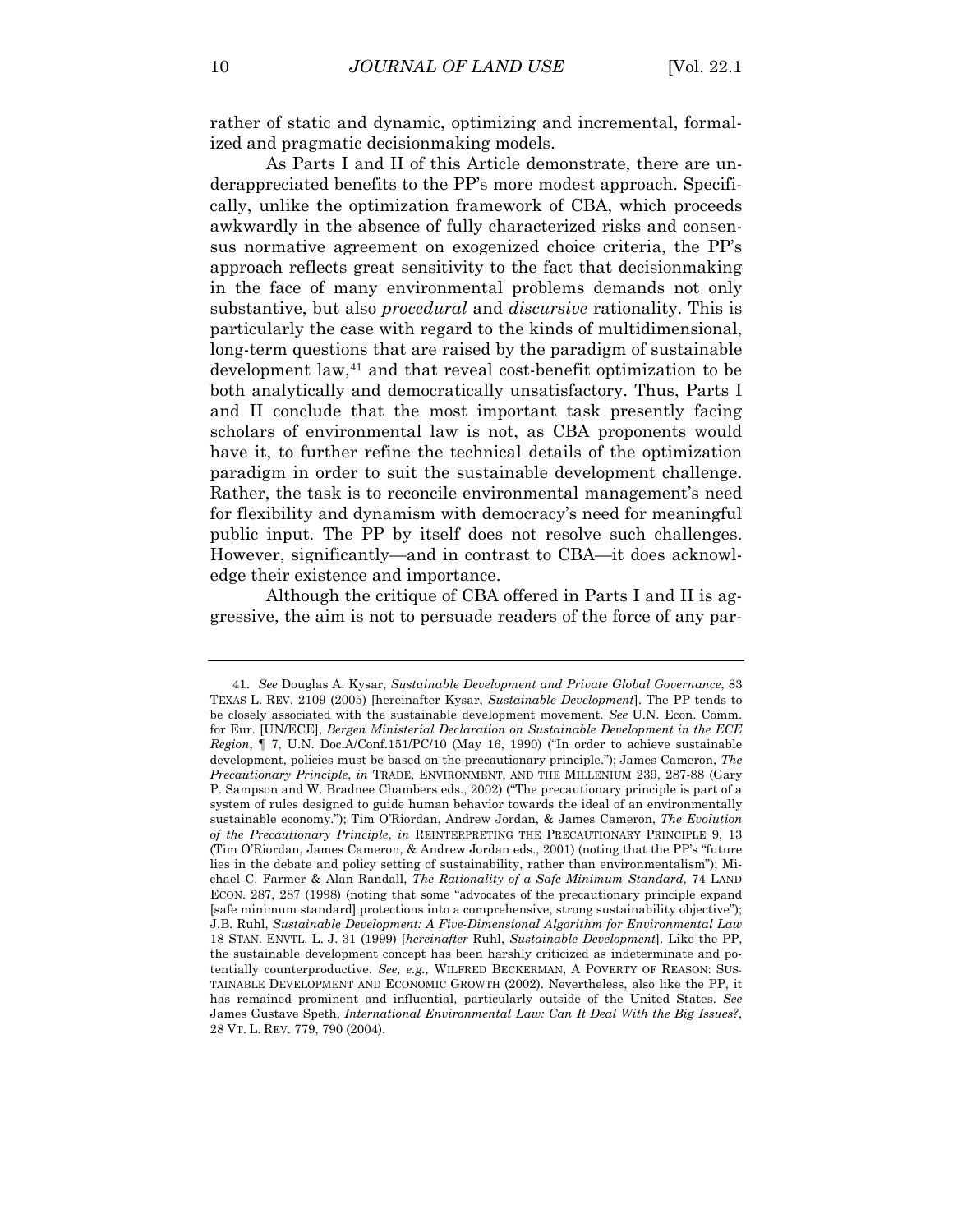rather of static and dynamic, optimizing and incremental, formalized and pragmatic decisionmaking models.

As Parts I and II of this Article demonstrate, there are underappreciated benefits to the PP's more modest approach. Specifically, unlike the optimization framework of CBA, which proceeds awkwardly in the absence of fully characterized risks and consensus normative agreement on exogenized choice criteria, the PP's approach reflects great sensitivity to the fact that decisionmaking in the face of many environmental problems demands not only substantive, but also *procedural* and *discursive* rationality. This is particularly the case with regard to the kinds of multidimensional, long-term questions that are raised by the paradigm of sustainable development law,<sup>41</sup> and that reveal cost-benefit optimization to be both analytically and democratically unsatisfactory. Thus, Parts I and II conclude that the most important task presently facing scholars of environmental law is not, as CBA proponents would have it, to further refine the technical details of the optimization paradigm in order to suit the sustainable development challenge. Rather, the task is to reconcile environmental management's need for flexibility and dynamism with democracy's need for meaningful public input. The PP by itself does not resolve such challenges. However, significantly—and in contrast to CBA—it does acknowledge their existence and importance.

Although the critique of CBA offered in Parts I and II is aggressive, the aim is not to persuade readers of the force of any par-

 <sup>41.</sup> *See* Douglas A. Kysar, *Sustainable Development and Private Global Governance*, 83 TEXAS L. REV. 2109 (2005) [hereinafter Kysar, *Sustainable Development*]. The PP tends to be closely associated with the sustainable development movement. *See* U.N. Econ. Comm. for Eur. [UN/ECE], *Bergen Ministerial Declaration on Sustainable Development in the ECE Region*, ¶ 7, U.N. Doc.A/Conf.151/PC/10 (May 16, 1990) ("In order to achieve sustainable development, policies must be based on the precautionary principle."); James Cameron, *The Precautionary Principle*, *in* TRADE, ENVIRONMENT, AND THE MILLENIUM 239, 287-88 (Gary P. Sampson and W. Bradnee Chambers eds., 2002) ("The precautionary principle is part of a system of rules designed to guide human behavior towards the ideal of an environmentally sustainable economy."); Tim O'Riordan, Andrew Jordan, & James Cameron, *The Evolution of the Precautionary Principle*, *in* REINTERPRETING THE PRECAUTIONARY PRINCIPLE 9, 13 (Tim O'Riordan, James Cameron, & Andrew Jordan eds., 2001) (noting that the PP's "future lies in the debate and policy setting of sustainability, rather than environmentalism"); Michael C. Farmer & Alan Randall, *The Rationality of a Safe Minimum Standard*, 74 LAND ECON. 287, 287 (1998) (noting that some "advocates of the precautionary principle expand [safe minimum standard] protections into a comprehensive, strong sustainability objective"); J.B. Ruhl, *Sustainable Development: A Five-Dimensional Algorithm for Environmental Law*  18 STAN. ENVTL. L. J. 31 (1999) [*hereinafter* Ruhl, *Sustainable Development*]. Like the PP, the sustainable development concept has been harshly criticized as indeterminate and potentially counterproductive. *See, e.g.,* WILFRED BECKERMAN, A POVERTY OF REASON: SUS-TAINABLE DEVELOPMENT AND ECONOMIC GROWTH (2002). Nevertheless, also like the PP, it has remained prominent and influential, particularly outside of the United States. *See*  James Gustave Speth, *International Environmental Law: Can It Deal With the Big Issues?*, 28 VT. L. REV. 779, 790 (2004).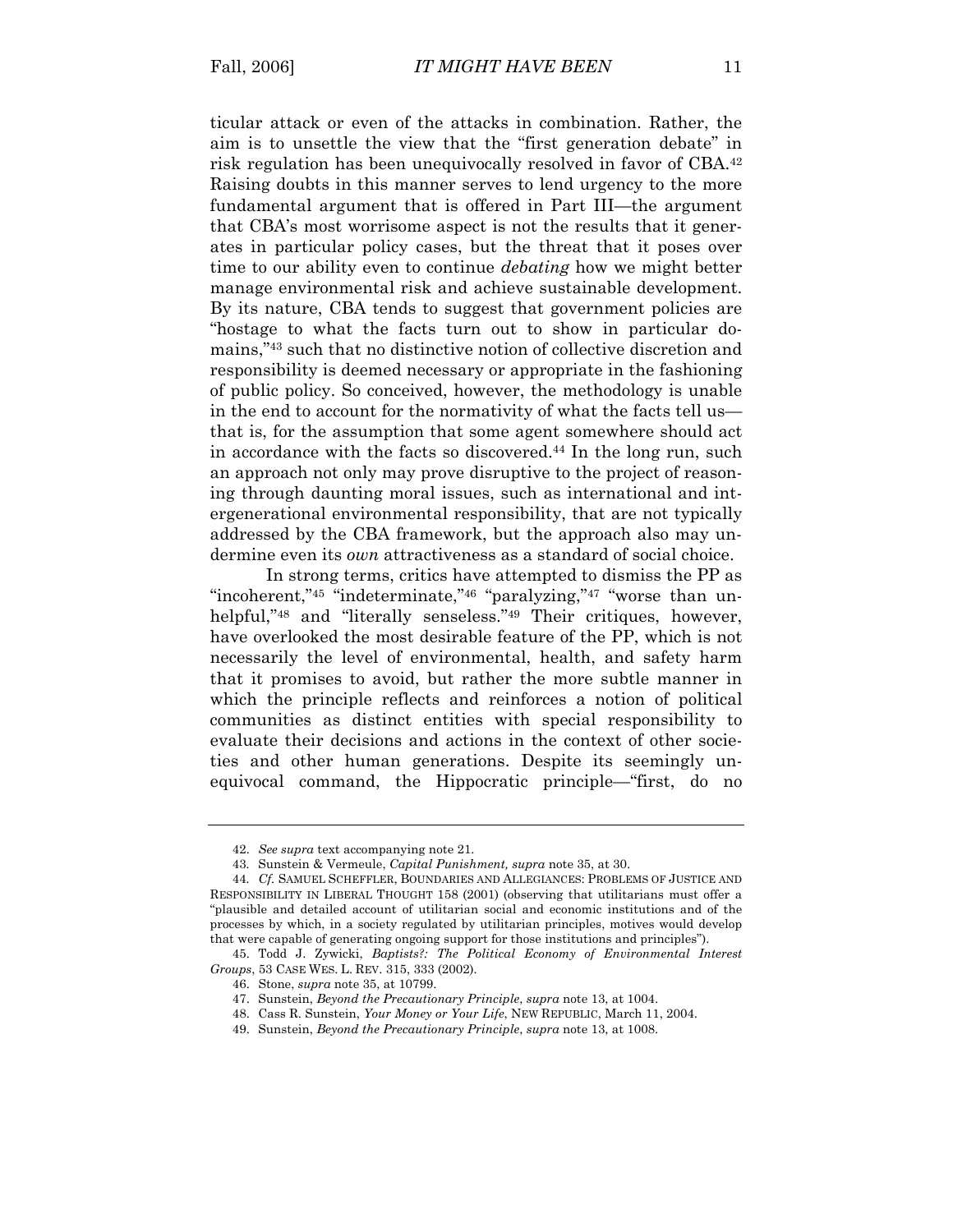ticular attack or even of the attacks in combination. Rather, the aim is to unsettle the view that the "first generation debate" in risk regulation has been unequivocally resolved in favor of CBA.42 Raising doubts in this manner serves to lend urgency to the more fundamental argument that is offered in Part III—the argument that CBA's most worrisome aspect is not the results that it generates in particular policy cases, but the threat that it poses over time to our ability even to continue *debating* how we might better manage environmental risk and achieve sustainable development. By its nature, CBA tends to suggest that government policies are "hostage to what the facts turn out to show in particular domains,"43 such that no distinctive notion of collective discretion and responsibility is deemed necessary or appropriate in the fashioning of public policy. So conceived, however, the methodology is unable in the end to account for the normativity of what the facts tell us that is, for the assumption that some agent somewhere should act in accordance with the facts so discovered.44 In the long run, such an approach not only may prove disruptive to the project of reasoning through daunting moral issues, such as international and intergenerational environmental responsibility, that are not typically addressed by the CBA framework, but the approach also may undermine even its *own* attractiveness as a standard of social choice.

In strong terms, critics have attempted to dismiss the PP as "incoherent,"<sup>45</sup> "indeterminate,"<sup>46</sup> "paralyzing,"<sup>47</sup> "worse than unhelpful,"<sup>48</sup> and "literally senseless."<sup>49</sup> Their critiques, however, have overlooked the most desirable feature of the PP, which is not necessarily the level of environmental, health, and safety harm that it promises to avoid, but rather the more subtle manner in which the principle reflects and reinforces a notion of political communities as distinct entities with special responsibility to evaluate their decisions and actions in the context of other societies and other human generations. Despite its seemingly unequivocal command, the Hippocratic principle—"first, do no

 <sup>42.</sup> *See supra* text accompanying note 21.

<sup>43</sup>*.* Sunstein & Vermeule, *Capital Punishment, supra* note 35, at 30.

<sup>44</sup>*. Cf.* SAMUEL SCHEFFLER, BOUNDARIES AND ALLEGIANCES: PROBLEMS OF JUSTICE AND RESPONSIBILITY IN LIBERAL THOUGHT 158 (2001) (observing that utilitarians must offer a "plausible and detailed account of utilitarian social and economic institutions and of the processes by which, in a society regulated by utilitarian principles, motives would develop that were capable of generating ongoing support for those institutions and principles").

 <sup>45.</sup> Todd J. Zywicki, *Baptists?: The Political Economy of Environmental Interest Groups*, 53 CASE WES. L. REV. 315, 333 (2002).

 <sup>46.</sup> Stone, *supra* note 35, at 10799.

 <sup>47.</sup> Sunstein, *Beyond the Precautionary Principle*, *supra* note 13, at 1004.

 <sup>48.</sup> Cass R. Sunstein, *Your Money or Your Life*, NEW REPUBLIC, March 11, 2004.

 <sup>49.</sup> Sunstein, *Beyond the Precautionary Principle*, *supra* note 13, at 1008.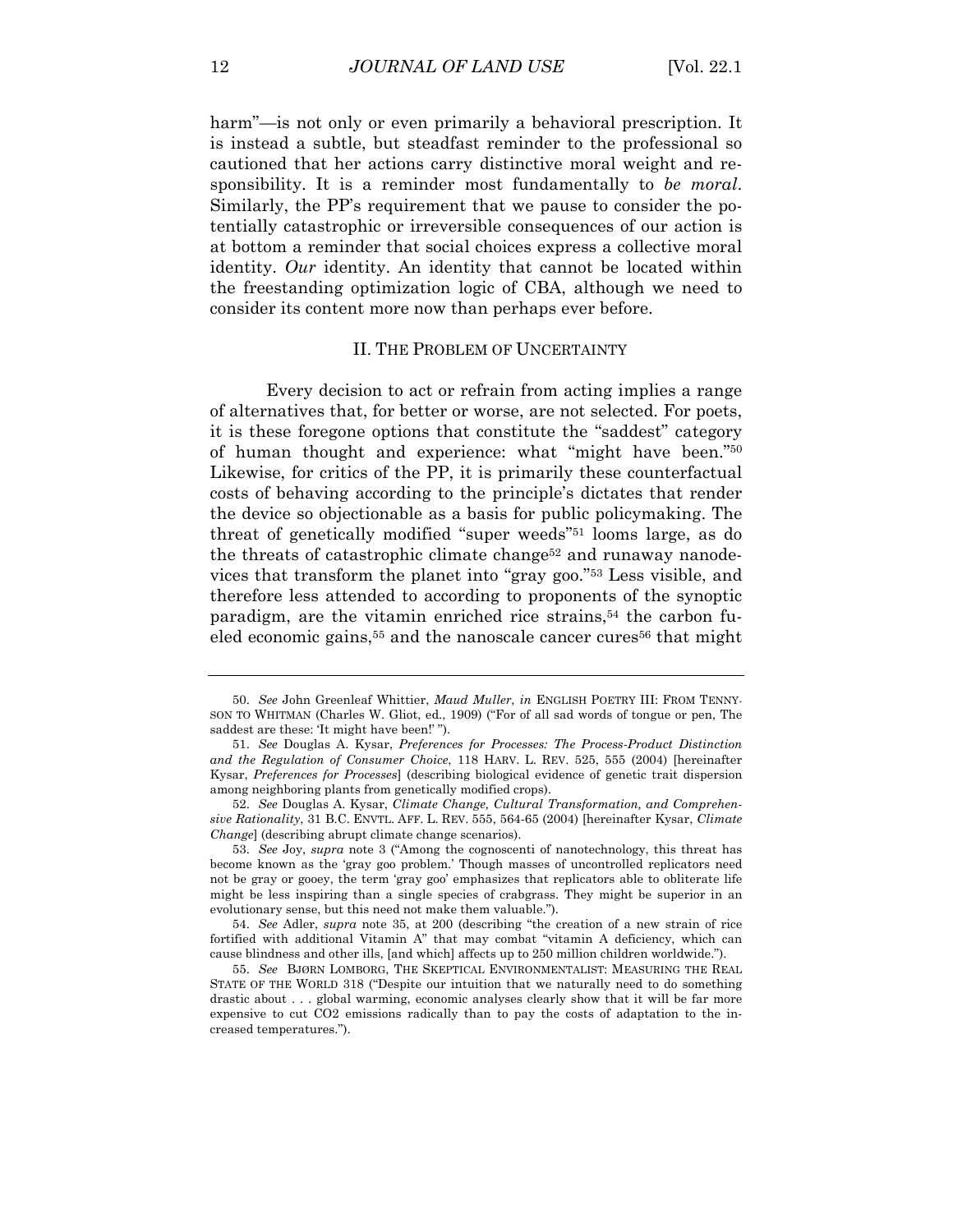harm"—is not only or even primarily a behavioral prescription. It is instead a subtle, but steadfast reminder to the professional so cautioned that her actions carry distinctive moral weight and responsibility. It is a reminder most fundamentally to *be moral*. Similarly, the PP's requirement that we pause to consider the potentially catastrophic or irreversible consequences of our action is at bottom a reminder that social choices express a collective moral identity. *Our* identity. An identity that cannot be located within the freestanding optimization logic of CBA, although we need to consider its content more now than perhaps ever before.

#### II. THE PROBLEM OF UNCERTAINTY

Every decision to act or refrain from acting implies a range of alternatives that, for better or worse, are not selected. For poets, it is these foregone options that constitute the "saddest" category of human thought and experience: what "might have been."50 Likewise, for critics of the PP, it is primarily these counterfactual costs of behaving according to the principle's dictates that render the device so objectionable as a basis for public policymaking. The threat of genetically modified "super weeds"51 looms large, as do the threats of catastrophic climate change<sup>52</sup> and runaway nanodevices that transform the planet into "gray goo."53 Less visible, and therefore less attended to according to proponents of the synoptic paradigm, are the vitamin enriched rice strains,<sup>54</sup> the carbon fueled economic gains,<sup>55</sup> and the nanoscale cancer cures<sup>56</sup> that might

 <sup>50.</sup> *See* John Greenleaf Whittier, *Maud Muller*, *in* ENGLISH POETRY III: FROM TENNY-SON TO WHITMAN (Charles W. Gliot, ed., 1909) ("For of all sad words of tongue or pen, The saddest are these: 'It might have been!' ").

 <sup>51.</sup> *See* Douglas A. Kysar, *Preferences for Processes: The Process-Product Distinction and the Regulation of Consumer Choice*, 118 HARV. L. REV. 525, 555 (2004) [hereinafter Kysar, *Preferences for Processes*] (describing biological evidence of genetic trait dispersion among neighboring plants from genetically modified crops).

 <sup>52.</sup> *See* Douglas A. Kysar, *Climate Change, Cultural Transformation, and Comprehensive Rationality*, 31 B.C. ENVTL. AFF. L. REV. 555, 564-65 (2004) [hereinafter Kysar, *Climate Change*] (describing abrupt climate change scenarios).

 <sup>53.</sup> *See* Joy, *supra* note 3 ("Among the cognoscenti of nanotechnology, this threat has become known as the 'gray goo problem.' Though masses of uncontrolled replicators need not be gray or gooey, the term 'gray goo' emphasizes that replicators able to obliterate life might be less inspiring than a single species of crabgrass. They might be superior in an evolutionary sense, but this need not make them valuable.").

 <sup>54.</sup> *See* Adler, *supra* note 35, at 200 (describing "the creation of a new strain of rice fortified with additional Vitamin A" that may combat "vitamin A deficiency, which can cause blindness and other ills, [and which] affects up to 250 million children worldwide.").

 <sup>55.</sup> *See* BJØRN LOMBORG, THE SKEPTICAL ENVIRONMENTALIST: MEASURING THE REAL STATE OF THE WORLD 318 ("Despite our intuition that we naturally need to do something drastic about . . . global warming, economic analyses clearly show that it will be far more expensive to cut CO2 emissions radically than to pay the costs of adaptation to the increased temperatures.").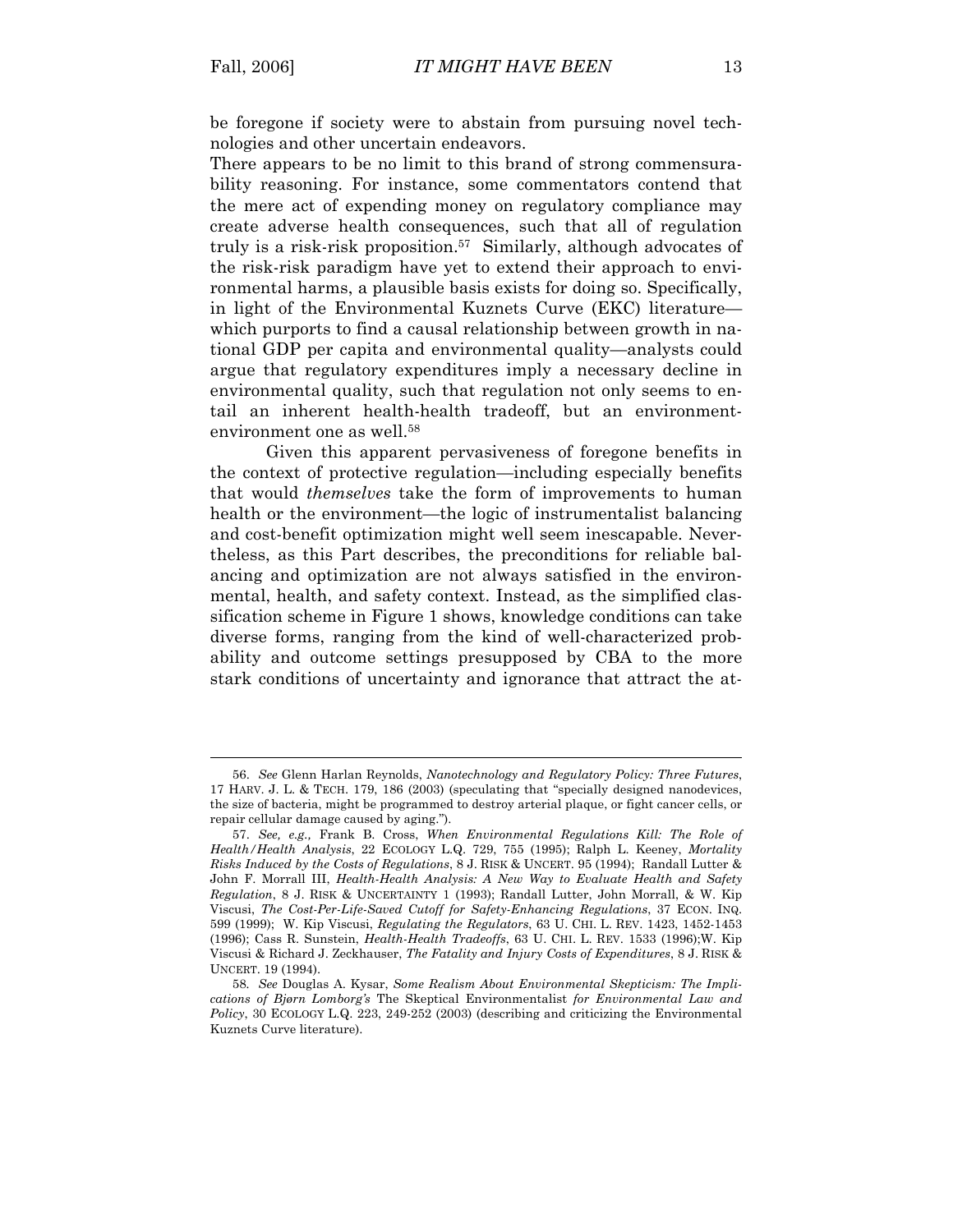$\overline{a}$ 

be foregone if society were to abstain from pursuing novel technologies and other uncertain endeavors.

There appears to be no limit to this brand of strong commensurability reasoning. For instance, some commentators contend that the mere act of expending money on regulatory compliance may create adverse health consequences, such that all of regulation truly is a risk-risk proposition.57 Similarly, although advocates of the risk-risk paradigm have yet to extend their approach to environmental harms, a plausible basis exists for doing so. Specifically, in light of the Environmental Kuznets Curve (EKC) literature which purports to find a causal relationship between growth in national GDP per capita and environmental quality—analysts could argue that regulatory expenditures imply a necessary decline in environmental quality, such that regulation not only seems to entail an inherent health-health tradeoff, but an environmentenvironment one as well.<sup>58</sup>

Given this apparent pervasiveness of foregone benefits in the context of protective regulation—including especially benefits that would *themselves* take the form of improvements to human health or the environment—the logic of instrumentalist balancing and cost-benefit optimization might well seem inescapable. Nevertheless, as this Part describes, the preconditions for reliable balancing and optimization are not always satisfied in the environmental, health, and safety context. Instead, as the simplified classification scheme in Figure 1 shows, knowledge conditions can take diverse forms, ranging from the kind of well-characterized probability and outcome settings presupposed by CBA to the more stark conditions of uncertainty and ignorance that attract the at-

 <sup>56.</sup> *See* Glenn Harlan Reynolds, *Nanotechnology and Regulatory Policy: Three Futures*, 17 HARV. J. L. & TECH. 179, 186 (2003) (speculating that "specially designed nanodevices, the size of bacteria, might be programmed to destroy arterial plaque, or fight cancer cells, or repair cellular damage caused by aging.").

 <sup>57.</sup> *See, e.g.,* Frank B. Cross, *When Environmental Regulations Kill: The Role of Health/Health Analysis*, 22 ECOLOGY L.Q. 729, 755 (1995); Ralph L. Keeney, *Mortality Risks Induced by the Costs of Regulations*, 8 J. RISK & UNCERT. 95 (1994); Randall Lutter & John F. Morrall III, *Health-Health Analysis: A New Way to Evaluate Health and Safety Regulation*, 8 J. RISK & UNCERTAINTY 1 (1993); Randall Lutter, John Morrall, & W. Kip Viscusi, *The Cost-Per-Life-Saved Cutoff for Safety-Enhancing Regulations*, 37 ECON. INQ. 599 (1999); W. Kip Viscusi, *Regulating the Regulators*, 63 U. CHI. L. REV. 1423, 1452-1453 (1996); Cass R. Sunstein, *Health-Health Tradeoffs*, 63 U. CHI. L. REV. 1533 (1996);W. Kip Viscusi & Richard J. Zeckhauser, *The Fatality and Injury Costs of Expenditures*, 8 J. RISK & UNCERT. 19 (1994).

<sup>58</sup>*. See* Douglas A. Kysar, *Some Realism About Environmental Skepticism: The Implications of Bjørn Lomborg's* The Skeptical Environmentalist *for Environmental Law and Policy*, 30 ECOLOGY L.Q. 223, 249-252 (2003) (describing and criticizing the Environmental Kuznets Curve literature).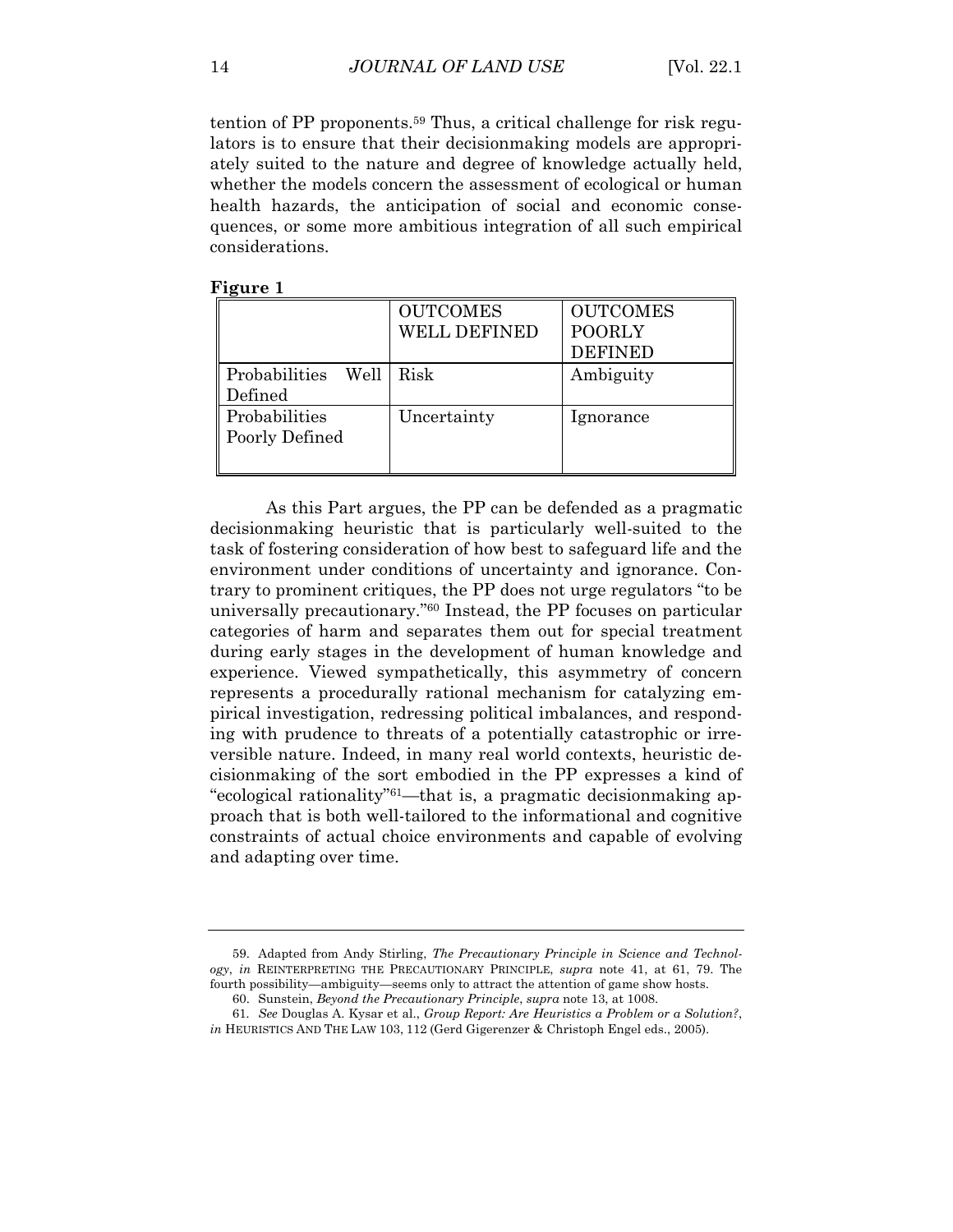tention of PP proponents.59 Thus, a critical challenge for risk regulators is to ensure that their decisionmaking models are appropriately suited to the nature and degree of knowledge actually held, whether the models concern the assessment of ecological or human health hazards, the anticipation of social and economic consequences, or some more ambitious integration of all such empirical considerations.

| ۰<br>Ш<br>Ш |  |
|-------------|--|
|-------------|--|

|                    | <b>OUTCOMES</b>     | <b>OUTCOMES</b> |
|--------------------|---------------------|-----------------|
|                    | <b>WELL DEFINED</b> | <b>POORLY</b>   |
|                    |                     | <b>DEFINED</b>  |
| Probabilities Well | Risk                | Ambiguity       |
| Defined            |                     |                 |
| Probabilities      | Uncertainty         | Ignorance       |
| Poorly Defined     |                     |                 |
|                    |                     |                 |

As this Part argues, the PP can be defended as a pragmatic decisionmaking heuristic that is particularly well-suited to the task of fostering consideration of how best to safeguard life and the environment under conditions of uncertainty and ignorance. Contrary to prominent critiques, the PP does not urge regulators "to be universally precautionary."60 Instead, the PP focuses on particular categories of harm and separates them out for special treatment during early stages in the development of human knowledge and experience. Viewed sympathetically, this asymmetry of concern represents a procedurally rational mechanism for catalyzing empirical investigation, redressing political imbalances, and responding with prudence to threats of a potentially catastrophic or irreversible nature. Indeed, in many real world contexts, heuristic decisionmaking of the sort embodied in the PP expresses a kind of "ecological rationality"61—that is, a pragmatic decisionmaking approach that is both well-tailored to the informational and cognitive constraints of actual choice environments and capable of evolving and adapting over time.

 <sup>59.</sup> Adapted from Andy Stirling, *The Precautionary Principle in Science and Technology*, *in* REINTERPRETING THE PRECAUTIONARY PRINCIPLE, *supra* note 41, at 61, 79. The fourth possibility—ambiguity—seems only to attract the attention of game show hosts.

 <sup>60.</sup> Sunstein, *Beyond the Precautionary Principle*, *supra* note 13, at 1008.

<sup>61</sup>*. See* Douglas A. Kysar et al., *Group Report: Are Heuristics a Problem or a Solution?*, *in* HEURISTICS AND THE LAW 103, 112 (Gerd Gigerenzer & Christoph Engel eds., 2005).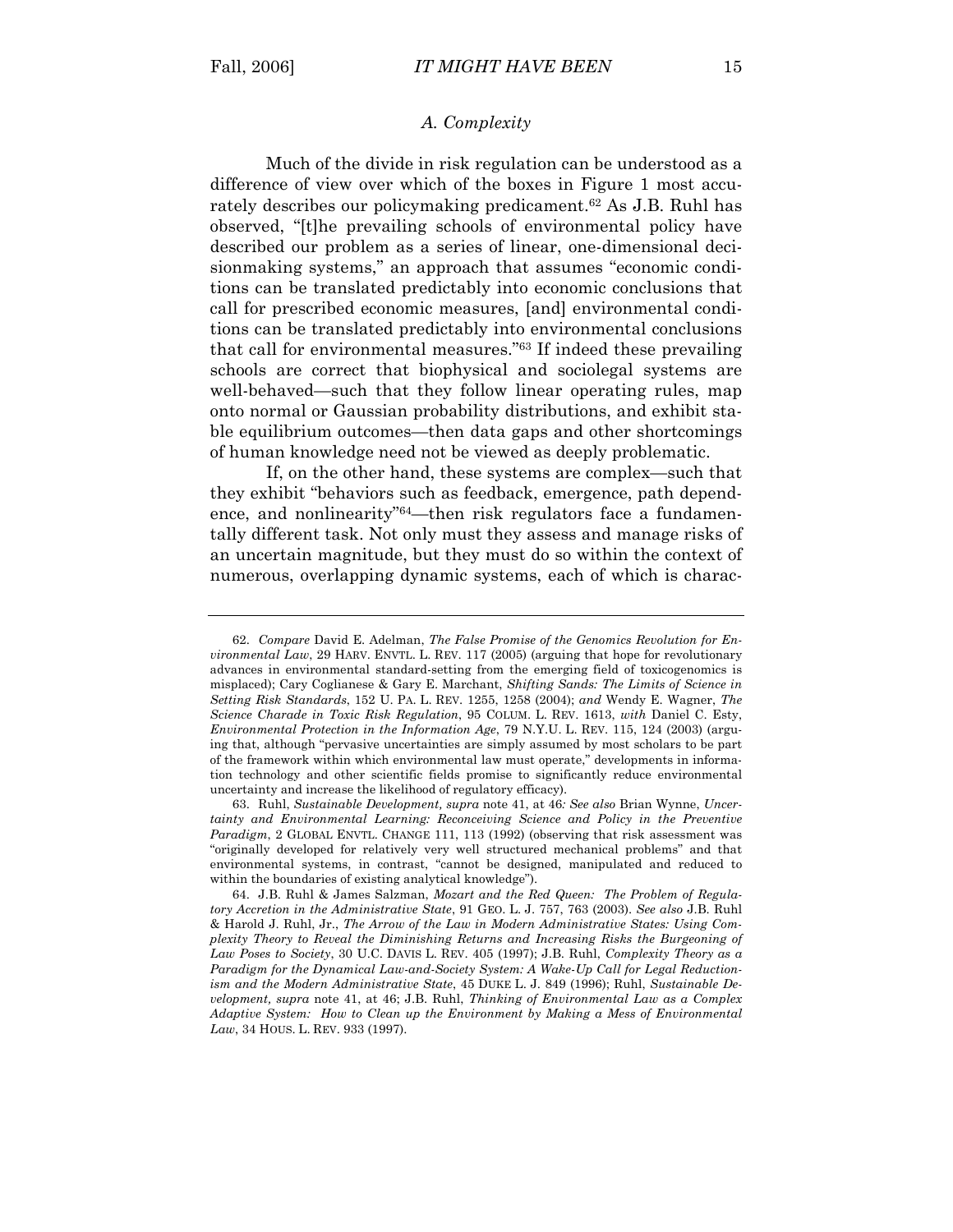### *A. Complexity*

Much of the divide in risk regulation can be understood as a difference of view over which of the boxes in Figure 1 most accurately describes our policymaking predicament.62 As J.B. Ruhl has observed, "[t]he prevailing schools of environmental policy have described our problem as a series of linear, one-dimensional decisionmaking systems," an approach that assumes "economic conditions can be translated predictably into economic conclusions that call for prescribed economic measures, [and] environmental conditions can be translated predictably into environmental conclusions that call for environmental measures."63 If indeed these prevailing schools are correct that biophysical and sociolegal systems are well-behaved—such that they follow linear operating rules, map onto normal or Gaussian probability distributions, and exhibit stable equilibrium outcomes—then data gaps and other shortcomings of human knowledge need not be viewed as deeply problematic.

If, on the other hand, these systems are complex—such that they exhibit "behaviors such as feedback, emergence, path dependence, and nonlinearity"<sup>64</sup>—then risk regulators face a fundamentally different task. Not only must they assess and manage risks of an uncertain magnitude, but they must do so within the context of numerous, overlapping dynamic systems, each of which is charac-

 63. Ruhl, *Sustainable Development, supra* note 41, at 46*: See also* Brian Wynne, *Uncertainty and Environmental Learning: Reconceiving Science and Policy in the Preventive Paradigm*, 2 GLOBAL ENVTL. CHANGE 111, 113 (1992) (observing that risk assessment was "originally developed for relatively very well structured mechanical problems" and that environmental systems, in contrast, "cannot be designed, manipulated and reduced to within the boundaries of existing analytical knowledge").

 <sup>62.</sup> *Compare* David E. Adelman, *The False Promise of the Genomics Revolution for Environmental Law*, 29 HARV. ENVTL. L. REV. 117 (2005) (arguing that hope for revolutionary advances in environmental standard-setting from the emerging field of toxicogenomics is misplaced); Cary Coglianese & Gary E. Marchant, *Shifting Sands: The Limits of Science in Setting Risk Standards*, 152 U. PA. L. REV. 1255, 1258 (2004); *and* Wendy E. Wagner, *The Science Charade in Toxic Risk Regulation*, 95 COLUM. L. REV. 1613, *with* Daniel C. Esty, *Environmental Protection in the Information Age*, 79 N.Y.U. L. REV. 115, 124 (2003) (arguing that, although "pervasive uncertainties are simply assumed by most scholars to be part of the framework within which environmental law must operate," developments in information technology and other scientific fields promise to significantly reduce environmental uncertainty and increase the likelihood of regulatory efficacy).

 <sup>64.</sup> J.B. Ruhl & James Salzman, *Mozart and the Red Queen: The Problem of Regulatory Accretion in the Administrative State*, 91 GEO. L. J. 757, 763 (2003). *See also* J.B. Ruhl & Harold J. Ruhl, Jr., *The Arrow of the Law in Modern Administrative States: Using Complexity Theory to Reveal the Diminishing Returns and Increasing Risks the Burgeoning of Law Poses to Society*, 30 U.C. DAVIS L. REV. 405 (1997); J.B. Ruhl, *Complexity Theory as a Paradigm for the Dynamical Law-and-Society System: A Wake-Up Call for Legal Reductionism and the Modern Administrative State*, 45 DUKE L. J. 849 (1996); Ruhl, *Sustainable Development, supra* note 41, at 46; J.B. Ruhl, *Thinking of Environmental Law as a Complex Adaptive System: How to Clean up the Environment by Making a Mess of Environmental Law*, 34 HOUS. L. REV. 933 (1997).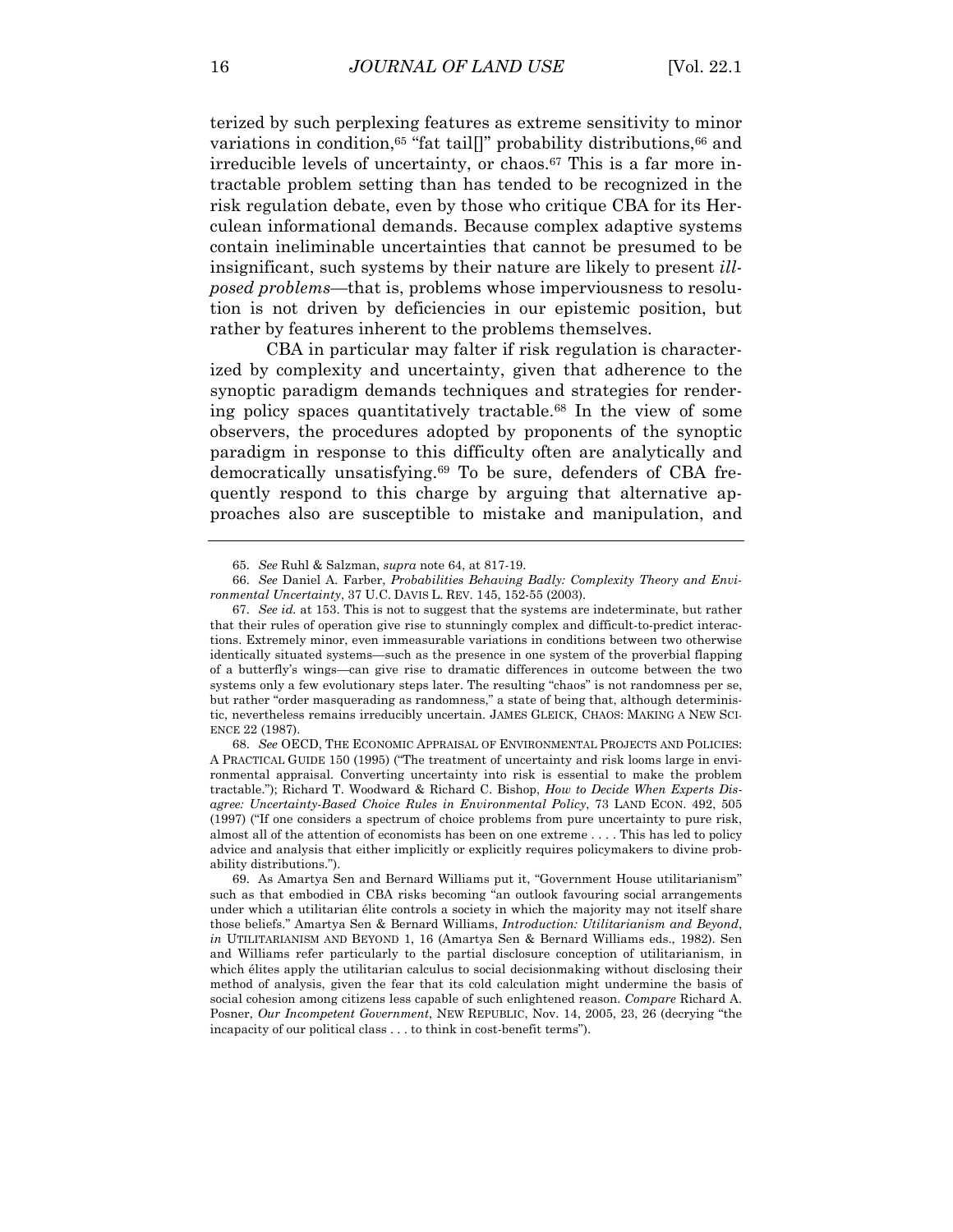terized by such perplexing features as extreme sensitivity to minor variations in condition,<sup>65</sup> "fat tail[]" probability distributions,<sup>66</sup> and irreducible levels of uncertainty, or chaos.<sup>67</sup> This is a far more intractable problem setting than has tended to be recognized in the risk regulation debate, even by those who critique CBA for its Herculean informational demands. Because complex adaptive systems contain ineliminable uncertainties that cannot be presumed to be insignificant, such systems by their nature are likely to present *illposed problems*—that is, problems whose imperviousness to resolution is not driven by deficiencies in our epistemic position, but rather by features inherent to the problems themselves.

CBA in particular may falter if risk regulation is characterized by complexity and uncertainty, given that adherence to the synoptic paradigm demands techniques and strategies for rendering policy spaces quantitatively tractable.68 In the view of some observers, the procedures adopted by proponents of the synoptic paradigm in response to this difficulty often are analytically and democratically unsatisfying.69 To be sure, defenders of CBA frequently respond to this charge by arguing that alternative approaches also are susceptible to mistake and manipulation, and

 <sup>65.</sup> *See* Ruhl & Salzman, *supra* note 64, at 817-19.

 <sup>66.</sup> *See* Daniel A. Farber, *Probabilities Behaving Badly: Complexity Theory and Environmental Uncertainty*, 37 U.C. DAVIS L. REV. 145, 152-55 (2003).

 <sup>67.</sup> *See id.* at 153. This is not to suggest that the systems are indeterminate, but rather that their rules of operation give rise to stunningly complex and difficult-to-predict interactions. Extremely minor, even immeasurable variations in conditions between two otherwise identically situated systems—such as the presence in one system of the proverbial flapping of a butterfly's wings—can give rise to dramatic differences in outcome between the two systems only a few evolutionary steps later. The resulting "chaos" is not randomness per se, but rather "order masquerading as randomness," a state of being that, although deterministic, nevertheless remains irreducibly uncertain. JAMES GLEICK, CHAOS: MAKING A NEW SCI-ENCE 22 (1987).

 <sup>68.</sup> *See* OECD, THE ECONOMIC APPRAISAL OF ENVIRONMENTAL PROJECTS AND POLICIES: A PRACTICAL GUIDE 150 (1995) ("The treatment of uncertainty and risk looms large in environmental appraisal. Converting uncertainty into risk is essential to make the problem tractable."); Richard T. Woodward & Richard C. Bishop, *How to Decide When Experts Disagree: Uncertainty-Based Choice Rules in Environmental Policy*, 73 LAND ECON. 492, 505 (1997) ("If one considers a spectrum of choice problems from pure uncertainty to pure risk, almost all of the attention of economists has been on one extreme . . . . This has led to policy advice and analysis that either implicitly or explicitly requires policymakers to divine probability distributions.").

 <sup>69.</sup> As Amartya Sen and Bernard Williams put it, "Government House utilitarianism" such as that embodied in CBA risks becoming "an outlook favouring social arrangements under which a utilitarian élite controls a society in which the majority may not itself share those beliefs." Amartya Sen & Bernard Williams, *Introduction: Utilitarianism and Beyond*, *in* UTILITARIANISM AND BEYOND 1, 16 (Amartya Sen & Bernard Williams eds., 1982). Sen and Williams refer particularly to the partial disclosure conception of utilitarianism, in which élites apply the utilitarian calculus to social decisionmaking without disclosing their method of analysis, given the fear that its cold calculation might undermine the basis of social cohesion among citizens less capable of such enlightened reason. *Compare* Richard A. Posner, *Our Incompetent Government*, NEW REPUBLIC, Nov. 14, 2005, 23, 26 (decrying "the incapacity of our political class . . . to think in cost-benefit terms").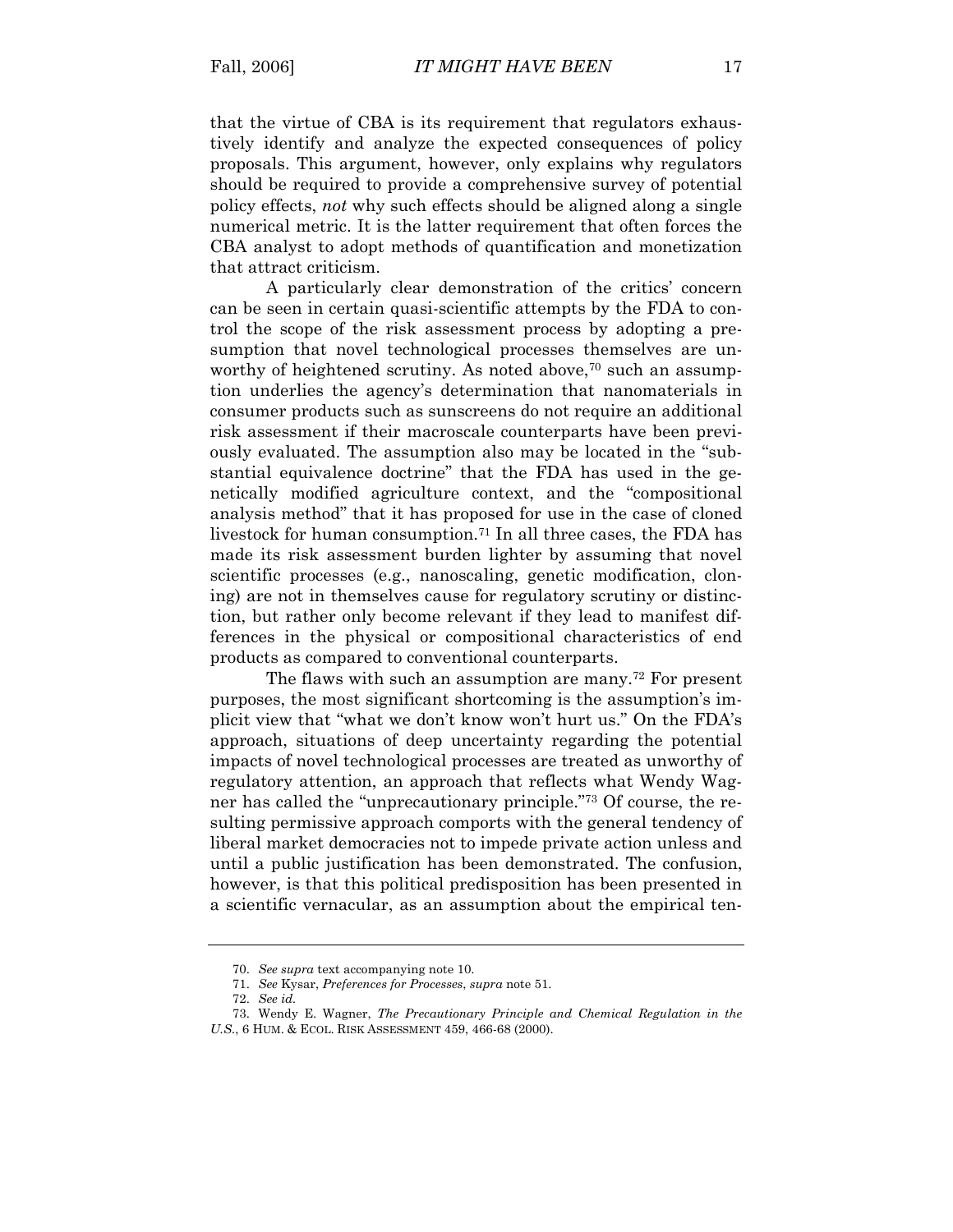that the virtue of CBA is its requirement that regulators exhaustively identify and analyze the expected consequences of policy proposals. This argument, however, only explains why regulators should be required to provide a comprehensive survey of potential policy effects, *not* why such effects should be aligned along a single numerical metric. It is the latter requirement that often forces the CBA analyst to adopt methods of quantification and monetization that attract criticism.

A particularly clear demonstration of the critics' concern can be seen in certain quasi-scientific attempts by the FDA to control the scope of the risk assessment process by adopting a presumption that novel technological processes themselves are unworthy of heightened scrutiny. As noted above, $70$  such an assumption underlies the agency's determination that nanomaterials in consumer products such as sunscreens do not require an additional risk assessment if their macroscale counterparts have been previously evaluated. The assumption also may be located in the "substantial equivalence doctrine" that the FDA has used in the genetically modified agriculture context, and the "compositional analysis method" that it has proposed for use in the case of cloned livestock for human consumption.<sup>71</sup> In all three cases, the FDA has made its risk assessment burden lighter by assuming that novel scientific processes (e.g., nanoscaling, genetic modification, cloning) are not in themselves cause for regulatory scrutiny or distinction, but rather only become relevant if they lead to manifest differences in the physical or compositional characteristics of end products as compared to conventional counterparts.

The flaws with such an assumption are many.<sup>72</sup> For present purposes, the most significant shortcoming is the assumption's implicit view that "what we don't know won't hurt us." On the FDA's approach, situations of deep uncertainty regarding the potential impacts of novel technological processes are treated as unworthy of regulatory attention, an approach that reflects what Wendy Wagner has called the "unprecautionary principle."73 Of course, the resulting permissive approach comports with the general tendency of liberal market democracies not to impede private action unless and until a public justification has been demonstrated. The confusion, however, is that this political predisposition has been presented in a scientific vernacular, as an assumption about the empirical ten-

 <sup>70.</sup> *See supra* text accompanying note 10.

 <sup>71.</sup> *See* Kysar, *Preferences for Processes*, *supra* note 51.

 <sup>72.</sup> *See id.* 

 <sup>73.</sup> Wendy E. Wagner, *The Precautionary Principle and Chemical Regulation in the U.S.*, 6 HUM. & ECOL. RISK ASSESSMENT 459, 466-68 (2000).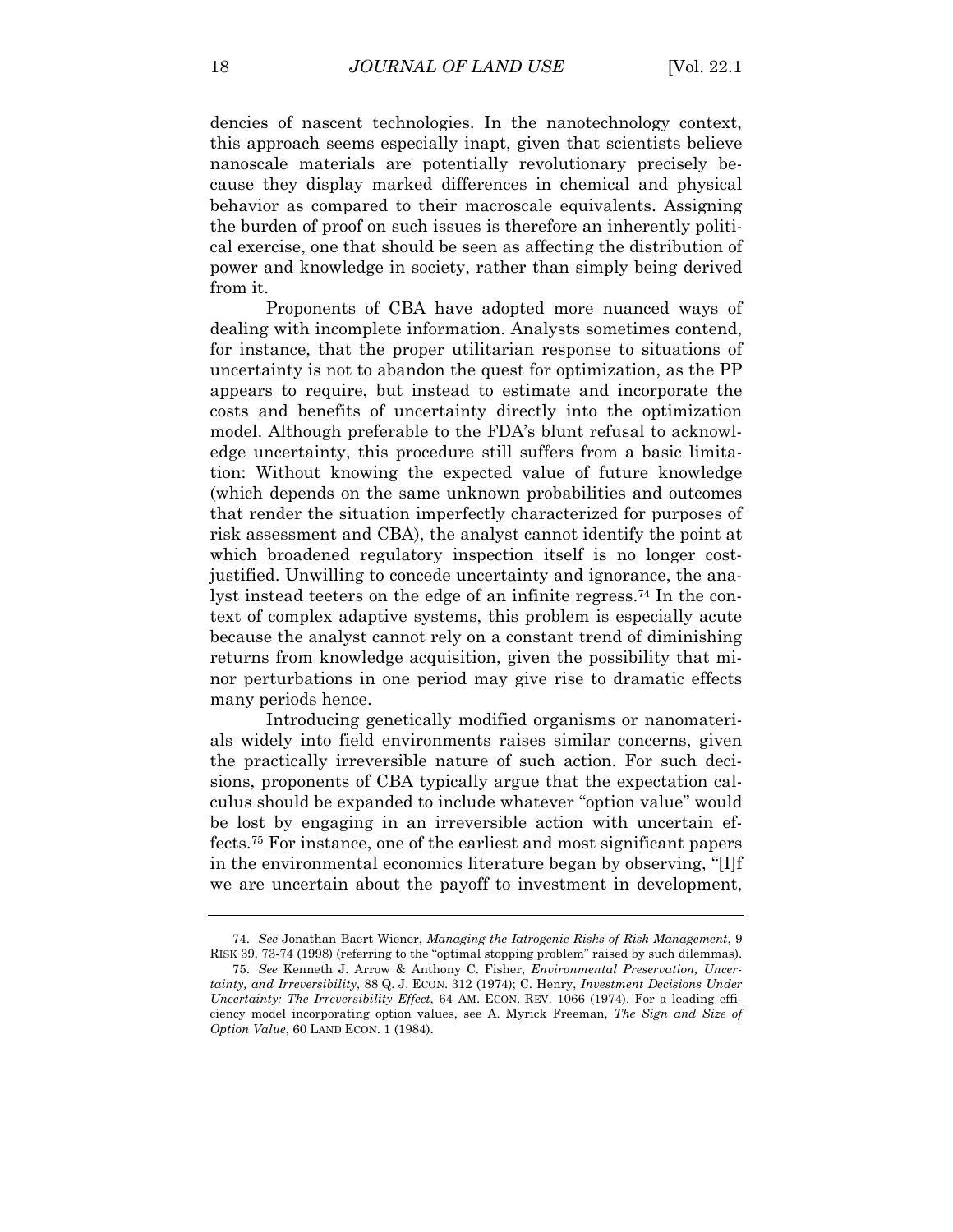dencies of nascent technologies. In the nanotechnology context, this approach seems especially inapt, given that scientists believe nanoscale materials are potentially revolutionary precisely because they display marked differences in chemical and physical behavior as compared to their macroscale equivalents. Assigning the burden of proof on such issues is therefore an inherently political exercise, one that should be seen as affecting the distribution of power and knowledge in society, rather than simply being derived from it.

Proponents of CBA have adopted more nuanced ways of dealing with incomplete information. Analysts sometimes contend, for instance, that the proper utilitarian response to situations of uncertainty is not to abandon the quest for optimization, as the PP appears to require, but instead to estimate and incorporate the costs and benefits of uncertainty directly into the optimization model. Although preferable to the FDA's blunt refusal to acknowledge uncertainty, this procedure still suffers from a basic limitation: Without knowing the expected value of future knowledge (which depends on the same unknown probabilities and outcomes that render the situation imperfectly characterized for purposes of risk assessment and CBA), the analyst cannot identify the point at which broadened regulatory inspection itself is no longer costjustified. Unwilling to concede uncertainty and ignorance, the analyst instead teeters on the edge of an infinite regress.<sup>74</sup> In the context of complex adaptive systems, this problem is especially acute because the analyst cannot rely on a constant trend of diminishing returns from knowledge acquisition, given the possibility that minor perturbations in one period may give rise to dramatic effects many periods hence.

Introducing genetically modified organisms or nanomaterials widely into field environments raises similar concerns, given the practically irreversible nature of such action. For such decisions, proponents of CBA typically argue that the expectation calculus should be expanded to include whatever "option value" would be lost by engaging in an irreversible action with uncertain effects.75 For instance, one of the earliest and most significant papers in the environmental economics literature began by observing, "[I]f we are uncertain about the payoff to investment in development,

 <sup>74.</sup> *See* Jonathan Baert Wiener, *Managing the Iatrogenic Risks of Risk Management*, 9 RISK 39, 73-74 (1998) (referring to the "optimal stopping problem" raised by such dilemmas).

 <sup>75.</sup> *See* Kenneth J. Arrow & Anthony C. Fisher, *Environmental Preservation, Uncertainty, and Irreversibility*, 88 Q. J. ECON. 312 (1974); C. Henry, *Investment Decisions Under Uncertainty: The Irreversibility Effect*, 64 AM. ECON. REV. 1066 (1974). For a leading efficiency model incorporating option values, see A. Myrick Freeman, *The Sign and Size of Option Value*, 60 LAND ECON. 1 (1984).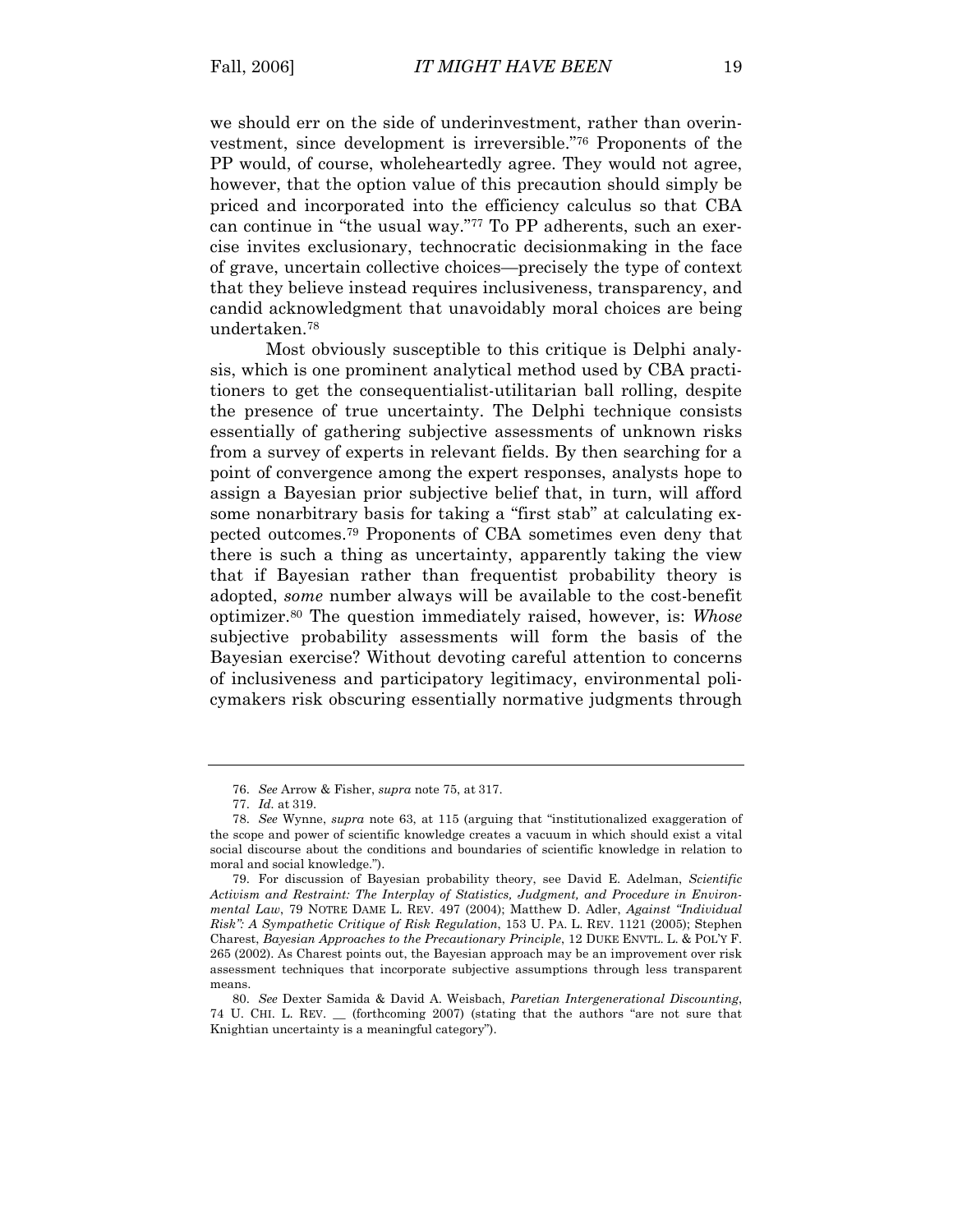we should err on the side of underinvestment, rather than overinvestment, since development is irreversible."76 Proponents of the PP would, of course, wholeheartedly agree. They would not agree, however, that the option value of this precaution should simply be priced and incorporated into the efficiency calculus so that CBA can continue in "the usual way."77 To PP adherents, such an exercise invites exclusionary, technocratic decisionmaking in the face of grave, uncertain collective choices—precisely the type of context that they believe instead requires inclusiveness, transparency, and candid acknowledgment that unavoidably moral choices are being undertaken.78

Most obviously susceptible to this critique is Delphi analysis, which is one prominent analytical method used by CBA practitioners to get the consequentialist-utilitarian ball rolling, despite the presence of true uncertainty. The Delphi technique consists essentially of gathering subjective assessments of unknown risks from a survey of experts in relevant fields. By then searching for a point of convergence among the expert responses, analysts hope to assign a Bayesian prior subjective belief that, in turn, will afford some nonarbitrary basis for taking a "first stab" at calculating expected outcomes.79 Proponents of CBA sometimes even deny that there is such a thing as uncertainty, apparently taking the view that if Bayesian rather than frequentist probability theory is adopted, *some* number always will be available to the cost-benefit optimizer.80 The question immediately raised, however, is: *Whose*  subjective probability assessments will form the basis of the Bayesian exercise? Without devoting careful attention to concerns of inclusiveness and participatory legitimacy, environmental policymakers risk obscuring essentially normative judgments through

 <sup>76.</sup> *See* Arrow & Fisher, *supra* note 75, at 317.

 <sup>77.</sup> *Id.* at 319.

 <sup>78.</sup> *See* Wynne, *supra* note 63, at 115 (arguing that "institutionalized exaggeration of the scope and power of scientific knowledge creates a vacuum in which should exist a vital social discourse about the conditions and boundaries of scientific knowledge in relation to moral and social knowledge.").

 <sup>79.</sup> For discussion of Bayesian probability theory, see David E. Adelman, *Scientific Activism and Restraint: The Interplay of Statistics, Judgment, and Procedure in Environmental Law*, 79 NOTRE DAME L. REV. 497 (2004); Matthew D. Adler, *Against "Individual Risk": A Sympathetic Critique of Risk Regulation*, 153 U. PA. L. REV. 1121 (2005); Stephen Charest, *Bayesian Approaches to the Precautionary Principle*, 12 DUKE ENVTL. L. & POL'Y F. 265 (2002). As Charest points out, the Bayesian approach may be an improvement over risk assessment techniques that incorporate subjective assumptions through less transparent means.

 <sup>80.</sup> *See* Dexter Samida & David A. Weisbach, *Paretian Intergenerational Discounting*, 74 U. CHI. L. REV. \_\_ (forthcoming 2007) (stating that the authors "are not sure that Knightian uncertainty is a meaningful category").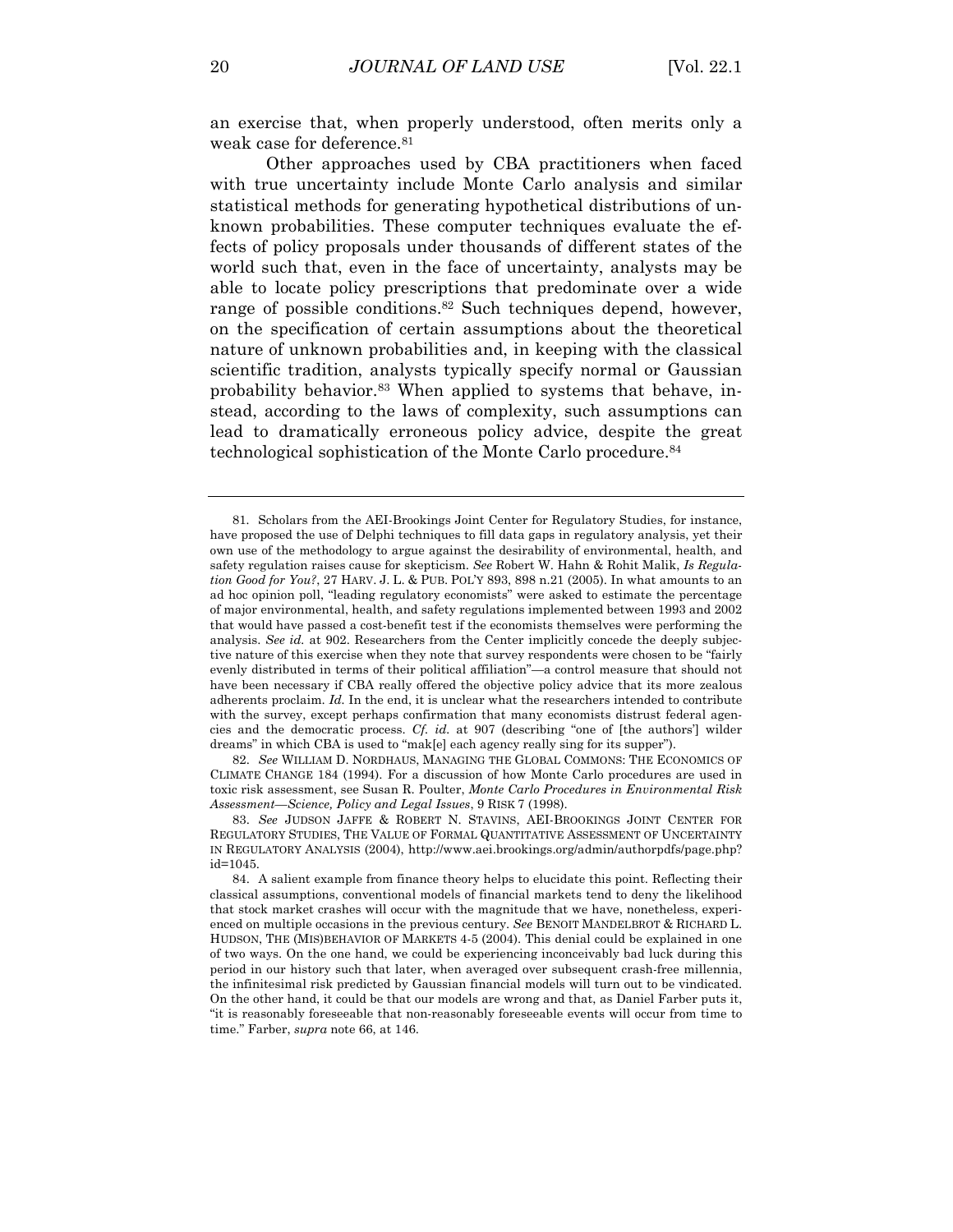an exercise that, when properly understood, often merits only a weak case for deference.<sup>81</sup>

Other approaches used by CBA practitioners when faced with true uncertainty include Monte Carlo analysis and similar statistical methods for generating hypothetical distributions of unknown probabilities. These computer techniques evaluate the effects of policy proposals under thousands of different states of the world such that, even in the face of uncertainty, analysts may be able to locate policy prescriptions that predominate over a wide range of possible conditions.82 Such techniques depend, however, on the specification of certain assumptions about the theoretical nature of unknown probabilities and, in keeping with the classical scientific tradition, analysts typically specify normal or Gaussian probability behavior.83 When applied to systems that behave, instead, according to the laws of complexity, such assumptions can lead to dramatically erroneous policy advice, despite the great technological sophistication of the Monte Carlo procedure.84

 82. *See* WILLIAM D. NORDHAUS, MANAGING THE GLOBAL COMMONS: THE ECONOMICS OF CLIMATE CHANGE 184 (1994). For a discussion of how Monte Carlo procedures are used in toxic risk assessment, see Susan R. Poulter, *Monte Carlo Procedures in Environmental Risk Assessment—Science, Policy and Legal Issues*, 9 RISK 7 (1998).

<sup>81</sup>*.* Scholars from the AEI-Brookings Joint Center for Regulatory Studies, for instance, have proposed the use of Delphi techniques to fill data gaps in regulatory analysis, yet their own use of the methodology to argue against the desirability of environmental, health, and safety regulation raises cause for skepticism. *See* Robert W. Hahn & Rohit Malik, *Is Regulation Good for You?*, 27 HARV. J. L. & PUB. POL'Y 893, 898 n.21 (2005). In what amounts to an ad hoc opinion poll, "leading regulatory economists" were asked to estimate the percentage of major environmental, health, and safety regulations implemented between 1993 and 2002 that would have passed a cost-benefit test if the economists themselves were performing the analysis. *See id.* at 902. Researchers from the Center implicitly concede the deeply subjective nature of this exercise when they note that survey respondents were chosen to be "fairly evenly distributed in terms of their political affiliation"—a control measure that should not have been necessary if CBA really offered the objective policy advice that its more zealous adherents proclaim. *Id.* In the end, it is unclear what the researchers intended to contribute with the survey, except perhaps confirmation that many economists distrust federal agencies and the democratic process. *Cf. id.* at 907 (describing "one of [the authors'] wilder dreams" in which CBA is used to "mak[e] each agency really sing for its supper").

 <sup>83.</sup> *See* JUDSON JAFFE & ROBERT N. STAVINS, AEI-BROOKINGS JOINT CENTER FOR REGULATORY STUDIES, THE VALUE OF FORMAL QUANTITATIVE ASSESSMENT OF UNCERTAINTY IN REGULATORY ANALYSIS (2004), http://www.aei.brookings.org/admin/authorpdfs/page.php? id=1045.

 <sup>84.</sup> A salient example from finance theory helps to elucidate this point. Reflecting their classical assumptions, conventional models of financial markets tend to deny the likelihood that stock market crashes will occur with the magnitude that we have, nonetheless, experienced on multiple occasions in the previous century. *See* BENOIT MANDELBROT & RICHARD L. HUDSON, THE (MIS)BEHAVIOR OF MARKETS 4-5 (2004). This denial could be explained in one of two ways. On the one hand, we could be experiencing inconceivably bad luck during this period in our history such that later, when averaged over subsequent crash-free millennia, the infinitesimal risk predicted by Gaussian financial models will turn out to be vindicated. On the other hand, it could be that our models are wrong and that, as Daniel Farber puts it, "it is reasonably foreseeable that non-reasonably foreseeable events will occur from time to time." Farber, *supra* note 66, at 146.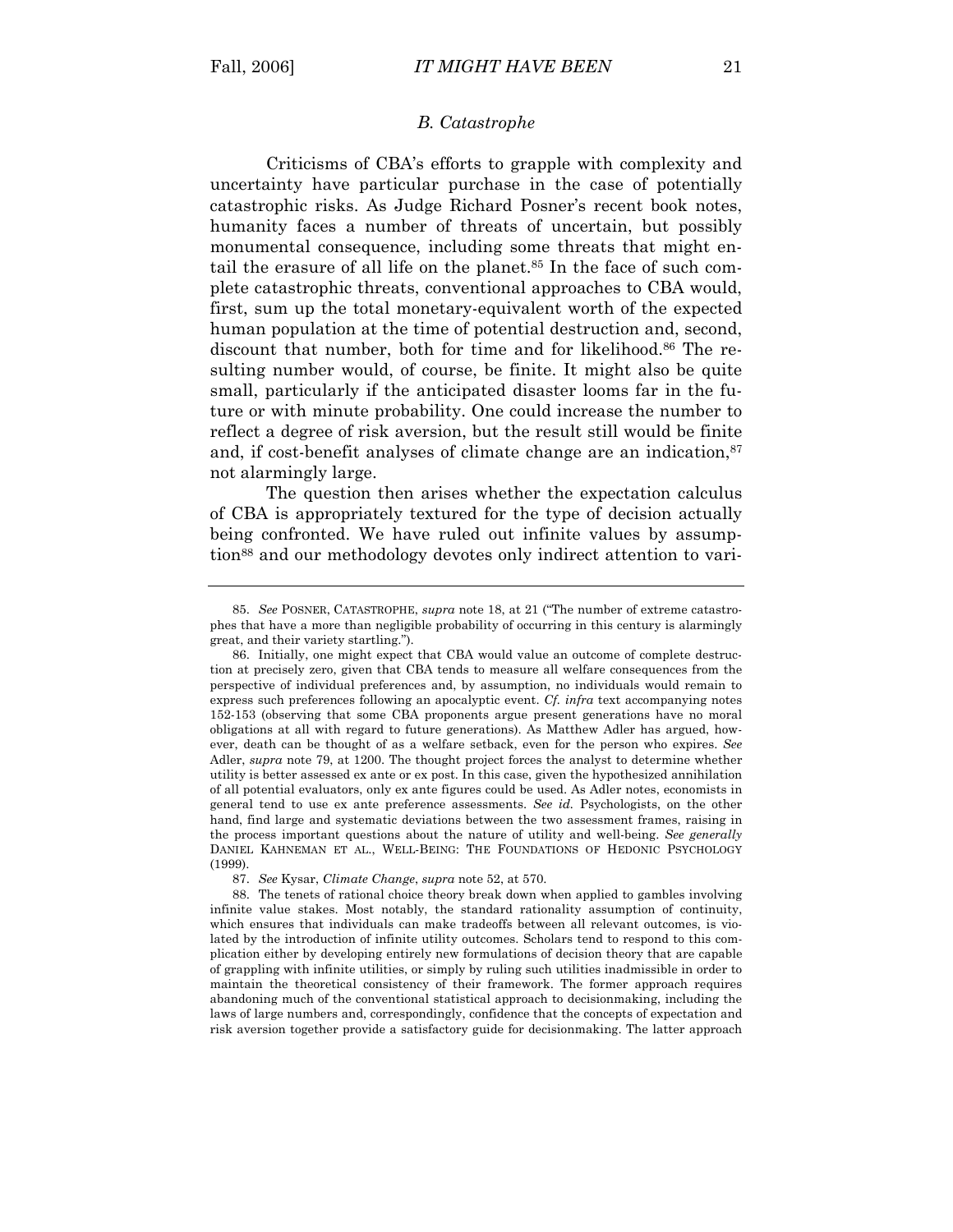### *B. Catastrophe*

Criticisms of CBA's efforts to grapple with complexity and uncertainty have particular purchase in the case of potentially catastrophic risks. As Judge Richard Posner's recent book notes, humanity faces a number of threats of uncertain, but possibly monumental consequence, including some threats that might entail the erasure of all life on the planet.<sup>85</sup> In the face of such complete catastrophic threats, conventional approaches to CBA would, first, sum up the total monetary-equivalent worth of the expected human population at the time of potential destruction and, second, discount that number, both for time and for likelihood.86 The resulting number would, of course, be finite. It might also be quite small, particularly if the anticipated disaster looms far in the future or with minute probability. One could increase the number to reflect a degree of risk aversion, but the result still would be finite and, if cost-benefit analyses of climate change are an indication,<sup>87</sup> not alarmingly large.

The question then arises whether the expectation calculus of CBA is appropriately textured for the type of decision actually being confronted. We have ruled out infinite values by assumption<sup>88</sup> and our methodology devotes only indirect attention to vari-

 <sup>85.</sup> *See* POSNER, CATASTROPHE, *supra* note 18, at 21 ("The number of extreme catastrophes that have a more than negligible probability of occurring in this century is alarmingly great, and their variety startling.").

 <sup>86.</sup> Initially, one might expect that CBA would value an outcome of complete destruction at precisely zero, given that CBA tends to measure all welfare consequences from the perspective of individual preferences and, by assumption, no individuals would remain to express such preferences following an apocalyptic event. *Cf. infra* text accompanying notes 152-153 (observing that some CBA proponents argue present generations have no moral obligations at all with regard to future generations). As Matthew Adler has argued, however, death can be thought of as a welfare setback, even for the person who expires. *See*  Adler, *supra* note 79, at 1200. The thought project forces the analyst to determine whether utility is better assessed ex ante or ex post. In this case, given the hypothesized annihilation of all potential evaluators, only ex ante figures could be used. As Adler notes, economists in general tend to use ex ante preference assessments. *See id.* Psychologists, on the other hand, find large and systematic deviations between the two assessment frames, raising in the process important questions about the nature of utility and well-being. *See generally*  DANIEL KAHNEMAN ET AL., WELL-BEING: THE FOUNDATIONS OF HEDONIC PSYCHOLOGY (1999).

 <sup>87.</sup> *See* Kysar, *Climate Change*, *supra* note 52, at 570.

 <sup>88.</sup> The tenets of rational choice theory break down when applied to gambles involving infinite value stakes. Most notably, the standard rationality assumption of continuity, which ensures that individuals can make tradeoffs between all relevant outcomes, is violated by the introduction of infinite utility outcomes. Scholars tend to respond to this complication either by developing entirely new formulations of decision theory that are capable of grappling with infinite utilities, or simply by ruling such utilities inadmissible in order to maintain the theoretical consistency of their framework. The former approach requires abandoning much of the conventional statistical approach to decisionmaking, including the laws of large numbers and, correspondingly, confidence that the concepts of expectation and risk aversion together provide a satisfactory guide for decisionmaking. The latter approach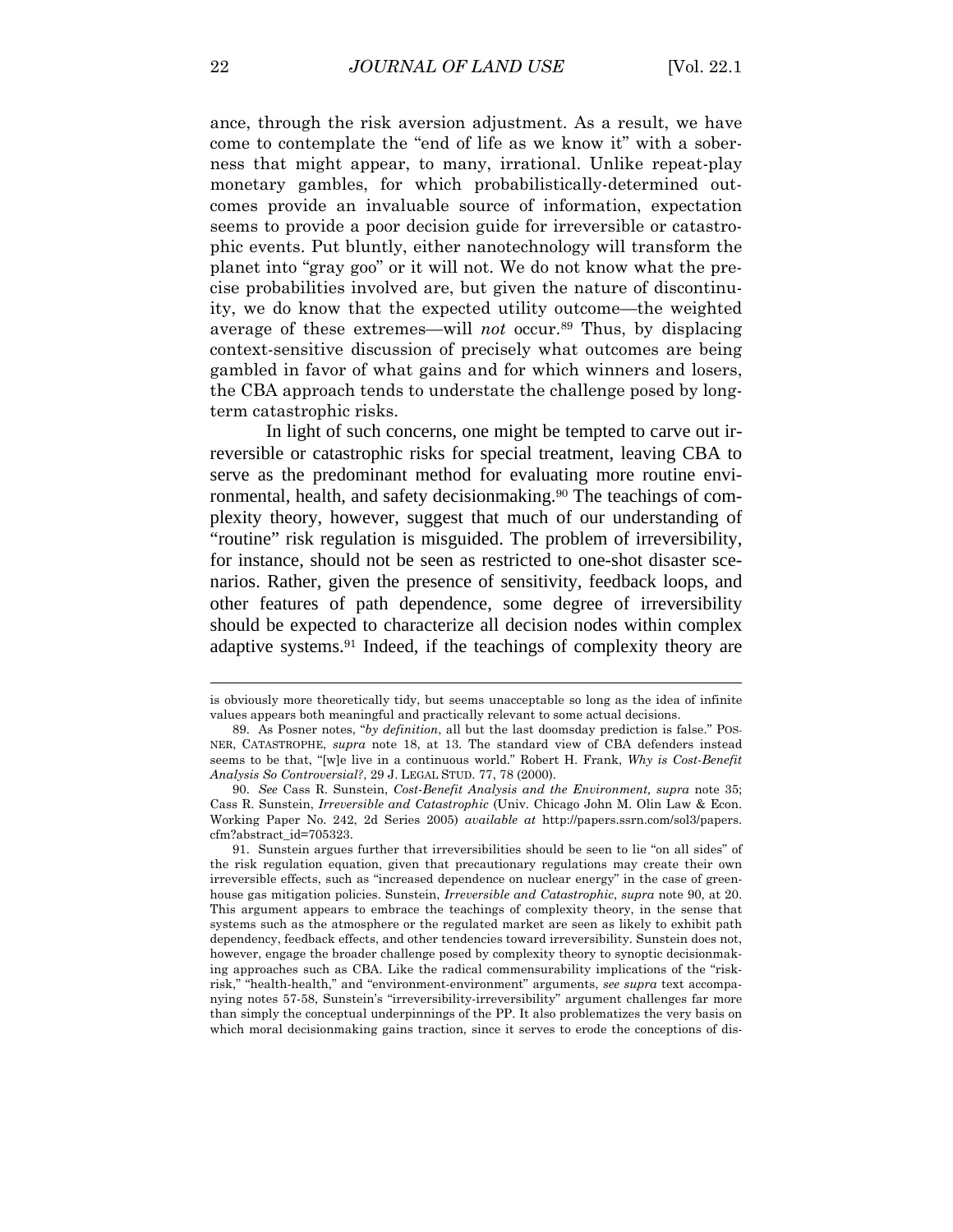ance, through the risk aversion adjustment. As a result, we have come to contemplate the "end of life as we know it" with a soberness that might appear, to many, irrational. Unlike repeat-play monetary gambles, for which probabilistically-determined outcomes provide an invaluable source of information, expectation seems to provide a poor decision guide for irreversible or catastrophic events. Put bluntly, either nanotechnology will transform the planet into "gray goo" or it will not. We do not know what the precise probabilities involved are, but given the nature of discontinuity, we do know that the expected utility outcome—the weighted average of these extremes—will *not* occur.89 Thus, by displacing context-sensitive discussion of precisely what outcomes are being gambled in favor of what gains and for which winners and losers, the CBA approach tends to understate the challenge posed by longterm catastrophic risks.

In light of such concerns, one might be tempted to carve out irreversible or catastrophic risks for special treatment, leaving CBA to serve as the predominant method for evaluating more routine environmental, health, and safety decisionmaking.90 The teachings of complexity theory, however, suggest that much of our understanding of "routine" risk regulation is misguided. The problem of irreversibility, for instance, should not be seen as restricted to one-shot disaster scenarios. Rather, given the presence of sensitivity, feedback loops, and other features of path dependence, some degree of irreversibility should be expected to characterize all decision nodes within complex adaptive systems.91 Indeed, if the teachings of complexity theory are

is obviously more theoretically tidy, but seems unacceptable so long as the idea of infinite values appears both meaningful and practically relevant to some actual decisions.

 <sup>89.</sup> As Posner notes, "*by definition*, all but the last doomsday prediction is false." POS-NER, CATASTROPHE, *supra* note 18, at 13. The standard view of CBA defenders instead seems to be that, "[w]e live in a continuous world." Robert H. Frank, *Why is Cost-Benefit Analysis So Controversial?*, 29 J. LEGAL STUD. 77, 78 (2000).

 <sup>90.</sup> *See* Cass R. Sunstein, *Cost-Benefit Analysis and the Environment, supra* note 35; Cass R. Sunstein, *Irreversible and Catastrophic* (Univ. Chicago John M. Olin Law & Econ. Working Paper No. 242, 2d Series 2005) *available at* http://papers.ssrn.com/sol3/papers. cfm?abstract\_id=705323.

 <sup>91.</sup> Sunstein argues further that irreversibilities should be seen to lie "on all sides" of the risk regulation equation, given that precautionary regulations may create their own irreversible effects, such as "increased dependence on nuclear energy" in the case of greenhouse gas mitigation policies. Sunstein, *Irreversible and Catastrophic*, *supra* note 90, at 20. This argument appears to embrace the teachings of complexity theory, in the sense that systems such as the atmosphere or the regulated market are seen as likely to exhibit path dependency, feedback effects, and other tendencies toward irreversibility. Sunstein does not, however, engage the broader challenge posed by complexity theory to synoptic decisionmaking approaches such as CBA. Like the radical commensurability implications of the "riskrisk," "health-health," and "environment-environment" arguments, *see supra* text accompanying notes 57-58, Sunstein's "irreversibility-irreversibility" argument challenges far more than simply the conceptual underpinnings of the PP. It also problematizes the very basis on which moral decision making gains traction, since it serves to erode the conceptions of dis-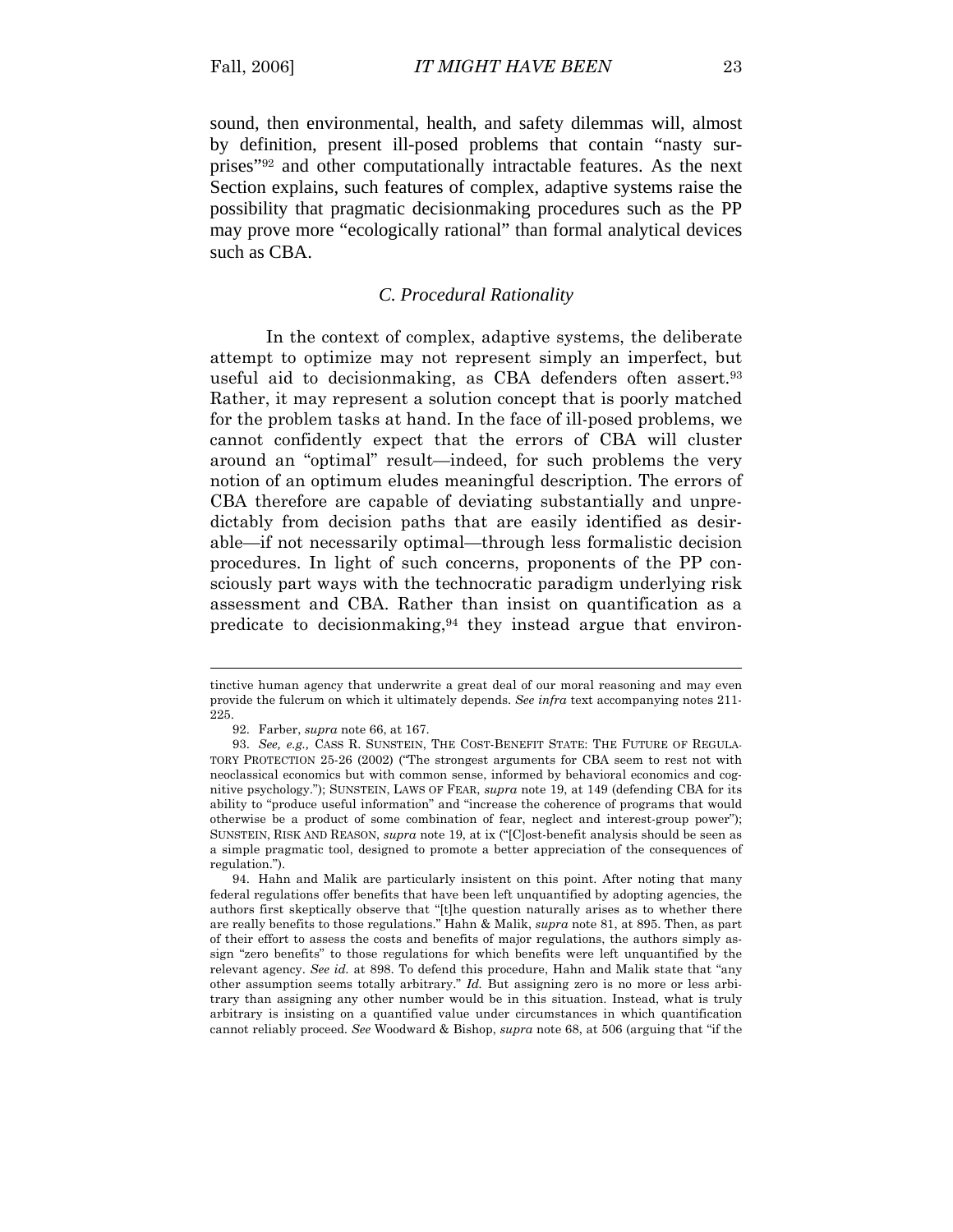sound, then environmental, health, and safety dilemmas will, almost by definition, present ill-posed problems that contain "nasty surprises"92 and other computationally intractable features. As the next Section explains, such features of complex, adaptive systems raise the possibility that pragmatic decisionmaking procedures such as the PP may prove more "ecologically rational" than formal analytical devices such as CBA.

# *C. Procedural Rationality*

In the context of complex, adaptive systems, the deliberate attempt to optimize may not represent simply an imperfect, but useful aid to decisionmaking, as CBA defenders often assert.<sup>93</sup> Rather, it may represent a solution concept that is poorly matched for the problem tasks at hand. In the face of ill-posed problems, we cannot confidently expect that the errors of CBA will cluster around an "optimal" result—indeed, for such problems the very notion of an optimum eludes meaningful description. The errors of CBA therefore are capable of deviating substantially and unpredictably from decision paths that are easily identified as desirable—if not necessarily optimal—through less formalistic decision procedures. In light of such concerns, proponents of the PP consciously part ways with the technocratic paradigm underlying risk assessment and CBA. Rather than insist on quantification as a predicate to decision making,  $94$  they instead argue that environ-

tinctive human agency that underwrite a great deal of our moral reasoning and may even provide the fulcrum on which it ultimately depends. *See infra* text accompanying notes 211- 225.

 <sup>92.</sup> Farber, *supra* note 66, at 167.

 <sup>93.</sup> *See, e.g.,* CASS R. SUNSTEIN, THE COST-BENEFIT STATE: THE FUTURE OF REGULA-TORY PROTECTION 25-26 (2002) ("The strongest arguments for CBA seem to rest not with neoclassical economics but with common sense, informed by behavioral economics and cognitive psychology."); SUNSTEIN, LAWS OF FEAR, *supra* note 19, at 149 (defending CBA for its ability to "produce useful information" and "increase the coherence of programs that would otherwise be a product of some combination of fear, neglect and interest-group power"); SUNSTEIN, RISK AND REASON, *supra* note 19, at ix ("[C]ost-benefit analysis should be seen as a simple pragmatic tool, designed to promote a better appreciation of the consequences of regulation.").

 <sup>94.</sup> Hahn and Malik are particularly insistent on this point. After noting that many federal regulations offer benefits that have been left unquantified by adopting agencies, the authors first skeptically observe that "[t]he question naturally arises as to whether there are really benefits to those regulations." Hahn & Malik, *supra* note 81, at 895. Then, as part of their effort to assess the costs and benefits of major regulations, the authors simply assign "zero benefits" to those regulations for which benefits were left unquantified by the relevant agency. *See id.* at 898. To defend this procedure, Hahn and Malik state that "any other assumption seems totally arbitrary." *Id.* But assigning zero is no more or less arbitrary than assigning any other number would be in this situation. Instead, what is truly arbitrary is insisting on a quantified value under circumstances in which quantification cannot reliably proceed. *See* Woodward & Bishop, *supra* note 68, at 506 (arguing that "if the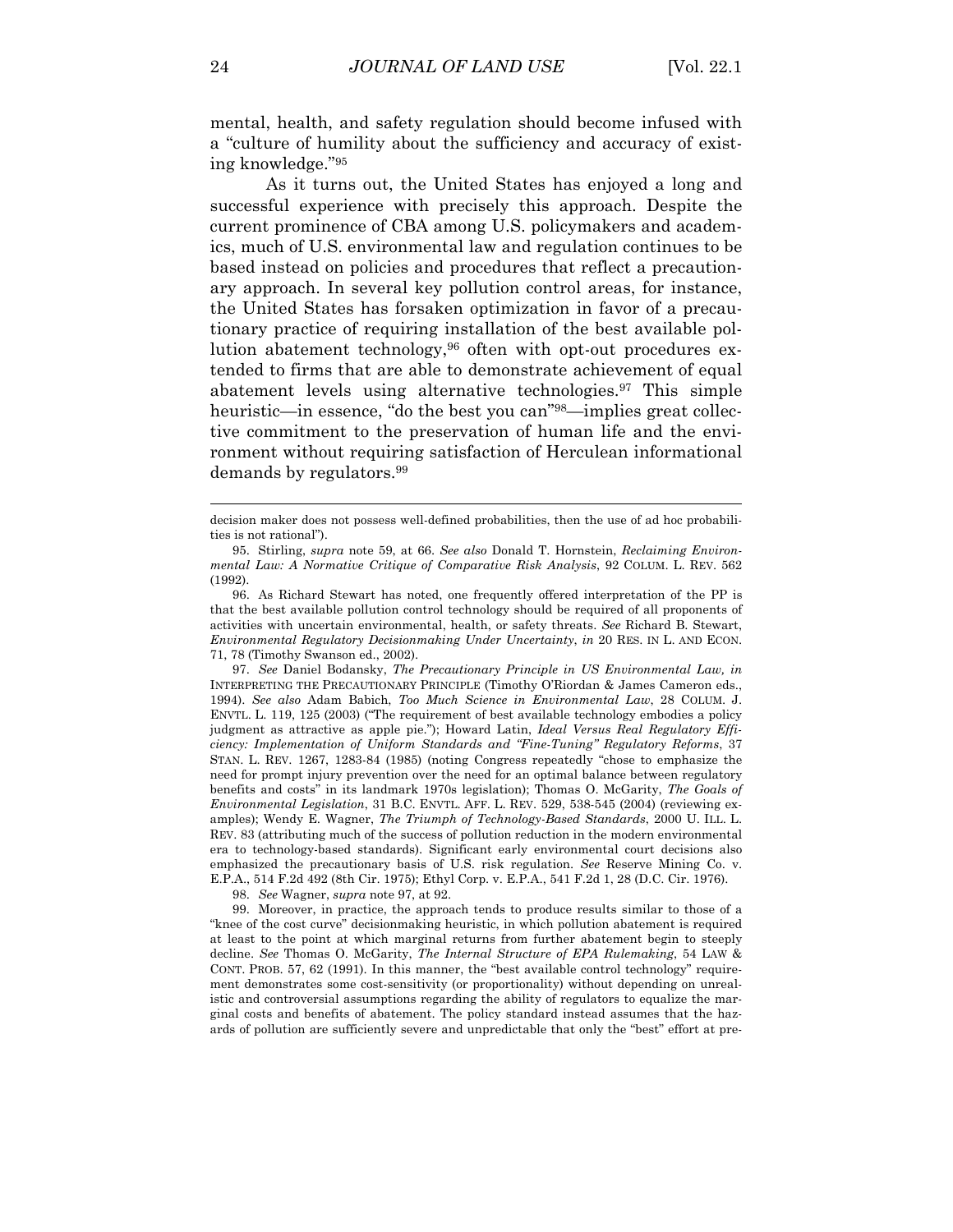mental, health, and safety regulation should become infused with a "culture of humility about the sufficiency and accuracy of existing knowledge."95

As it turns out, the United States has enjoyed a long and successful experience with precisely this approach. Despite the current prominence of CBA among U.S. policymakers and academics, much of U.S. environmental law and regulation continues to be based instead on policies and procedures that reflect a precautionary approach. In several key pollution control areas, for instance, the United States has forsaken optimization in favor of a precautionary practice of requiring installation of the best available pollution abatement technology,<sup>96</sup> often with opt-out procedures extended to firms that are able to demonstrate achievement of equal abatement levels using alternative technologies.97 This simple heuristic—in essence, "do the best you can"<sup>98</sup>—implies great collective commitment to the preservation of human life and the environment without requiring satisfaction of Herculean informational demands by regulators.99

 97. *See* Daniel Bodansky, *The Precautionary Principle in US Environmental Law, in* INTERPRETING THE PRECAUTIONARY PRINCIPLE (Timothy O'Riordan & James Cameron eds., 1994). *See also* Adam Babich, *Too Much Science in Environmental Law*, 28 COLUM. J. ENVTL. L. 119, 125 (2003) ("The requirement of best available technology embodies a policy judgment as attractive as apple pie."); Howard Latin, *Ideal Versus Real Regulatory Efficiency: Implementation of Uniform Standards and "Fine-Tuning" Regulatory Reforms*, 37 STAN. L. REV. 1267, 1283-84 (1985) (noting Congress repeatedly "chose to emphasize the need for prompt injury prevention over the need for an optimal balance between regulatory benefits and costs" in its landmark 1970s legislation); Thomas O. McGarity, *The Goals of Environmental Legislation*, 31 B.C. ENVTL. AFF. L. REV. 529, 538-545 (2004) (reviewing examples); Wendy E. Wagner, *The Triumph of Technology-Based Standards*, 2000 U. ILL. L. REV. 83 (attributing much of the success of pollution reduction in the modern environmental era to technology-based standards). Significant early environmental court decisions also emphasized the precautionary basis of U.S. risk regulation. *See* Reserve Mining Co. v. E.P.A., 514 F.2d 492 (8th Cir. 1975); Ethyl Corp. v. E.P.A., 541 F.2d 1, 28 (D.C. Cir. 1976).

98. *See* Wagner, *supra* note 97, at 92.

 99. Moreover, in practice, the approach tends to produce results similar to those of a "knee of the cost curve" decisionmaking heuristic, in which pollution abatement is required at least to the point at which marginal returns from further abatement begin to steeply decline. *See* Thomas O. McGarity, *The Internal Structure of EPA Rulemaking*, 54 LAW & CONT. PROB. 57, 62 (1991). In this manner, the "best available control technology" requirement demonstrates some cost-sensitivity (or proportionality) without depending on unrealistic and controversial assumptions regarding the ability of regulators to equalize the marginal costs and benefits of abatement. The policy standard instead assumes that the hazards of pollution are sufficiently severe and unpredictable that only the "best" effort at pre-

decision maker does not possess well-defined probabilities, then the use of ad hoc probabilities is not rational").

 <sup>95.</sup> Stirling, *supra* note 59, at 66. *See also* Donald T. Hornstein, *Reclaiming Environmental Law: A Normative Critique of Comparative Risk Analysis*, 92 COLUM. L. REV. 562 (1992).

 <sup>96.</sup> As Richard Stewart has noted, one frequently offered interpretation of the PP is that the best available pollution control technology should be required of all proponents of activities with uncertain environmental, health, or safety threats. *See* Richard B. Stewart, *Environmental Regulatory Decisionmaking Under Uncertainty*, *in* 20 RES. IN L. AND ECON. 71, 78 (Timothy Swanson ed., 2002).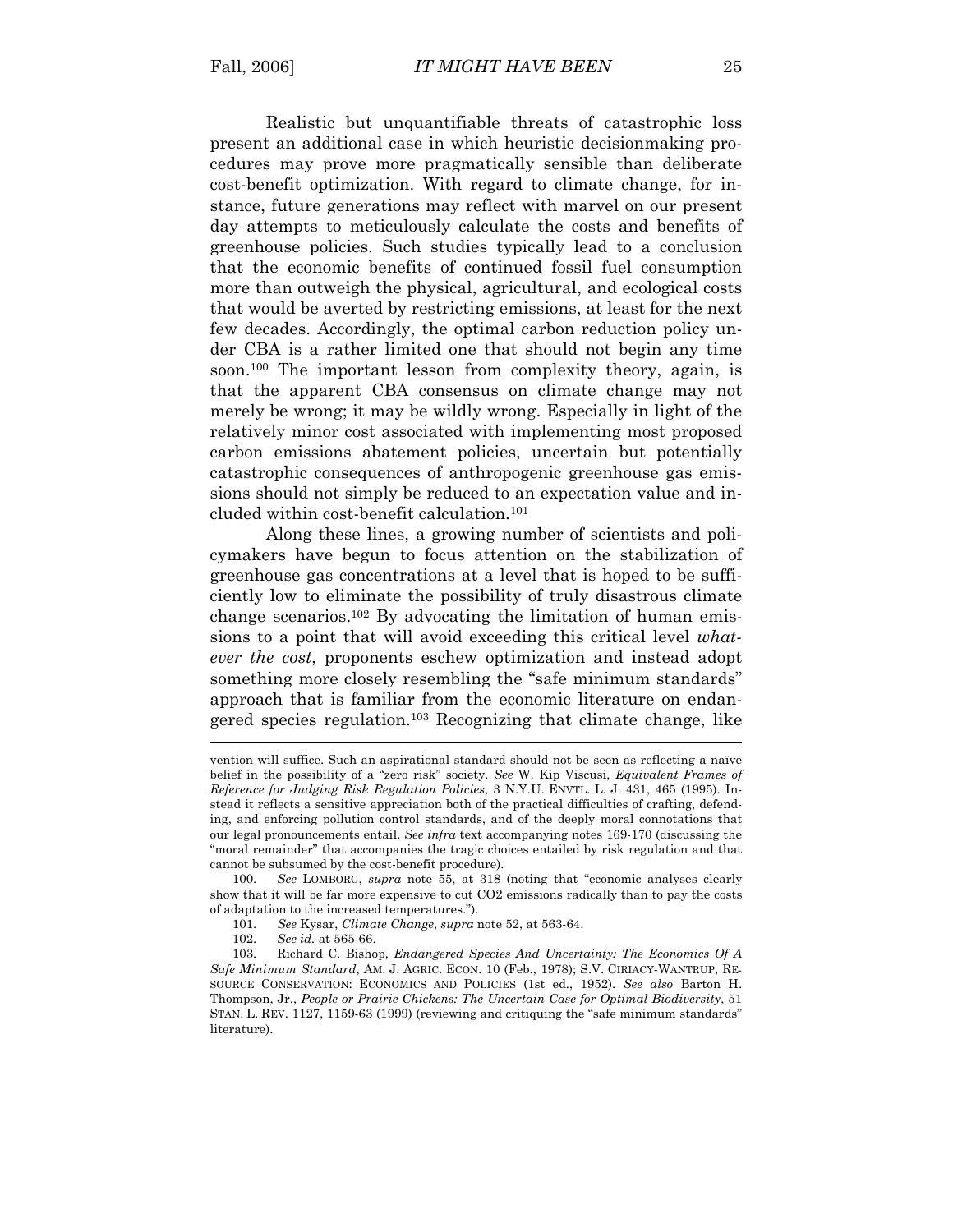Realistic but unquantifiable threats of catastrophic loss present an additional case in which heuristic decisionmaking procedures may prove more pragmatically sensible than deliberate cost-benefit optimization. With regard to climate change, for instance, future generations may reflect with marvel on our present day attempts to meticulously calculate the costs and benefits of greenhouse policies. Such studies typically lead to a conclusion that the economic benefits of continued fossil fuel consumption more than outweigh the physical, agricultural, and ecological costs that would be averted by restricting emissions, at least for the next few decades. Accordingly, the optimal carbon reduction policy under CBA is a rather limited one that should not begin any time soon.<sup>100</sup> The important lesson from complexity theory, again, is that the apparent CBA consensus on climate change may not merely be wrong; it may be wildly wrong. Especially in light of the relatively minor cost associated with implementing most proposed carbon emissions abatement policies, uncertain but potentially catastrophic consequences of anthropogenic greenhouse gas emissions should not simply be reduced to an expectation value and included within cost-benefit calculation.101

Along these lines, a growing number of scientists and policymakers have begun to focus attention on the stabilization of greenhouse gas concentrations at a level that is hoped to be sufficiently low to eliminate the possibility of truly disastrous climate change scenarios.102 By advocating the limitation of human emissions to a point that will avoid exceeding this critical level *whatever the cost*, proponents eschew optimization and instead adopt something more closely resembling the "safe minimum standards" approach that is familiar from the economic literature on endangered species regulation.103 Recognizing that climate change, like

- 101. *See* Kysar, *Climate Change*, *supra* note 52, at 563-64.
- 102. *See id.* at 565-66.

vention will suffice. Such an aspirational standard should not be seen as reflecting a naïve belief in the possibility of a "zero risk" society. *See* W. Kip Viscusi, *Equivalent Frames of Reference for Judging Risk Regulation Policies*, 3 N.Y.U. ENVTL. L. J. 431, 465 (1995). Instead it reflects a sensitive appreciation both of the practical difficulties of crafting, defending, and enforcing pollution control standards, and of the deeply moral connotations that our legal pronouncements entail. *See infra* text accompanying notes 169-170 (discussing the "moral remainder" that accompanies the tragic choices entailed by risk regulation and that cannot be subsumed by the cost-benefit procedure).

 <sup>100.</sup> *See* LOMBORG, *supra* note 55, at 318 (noting that "economic analyses clearly show that it will be far more expensive to cut CO2 emissions radically than to pay the costs of adaptation to the increased temperatures.").

 <sup>103.</sup> Richard C. Bishop, *Endangered Species And Uncertainty: The Economics Of A Safe Minimum Standard*, AM. J. AGRIC. ECON. 10 (Feb., 1978); S.V. CIRIACY-WANTRUP, RE-SOURCE CONSERVATION: ECONOMICS AND POLICIES (1st ed., 1952). *See also* Barton H. Thompson, Jr., *People or Prairie Chickens: The Uncertain Case for Optimal Biodiversity*, 51 STAN. L. REV. 1127, 1159-63 (1999) (reviewing and critiquing the "safe minimum standards" literature).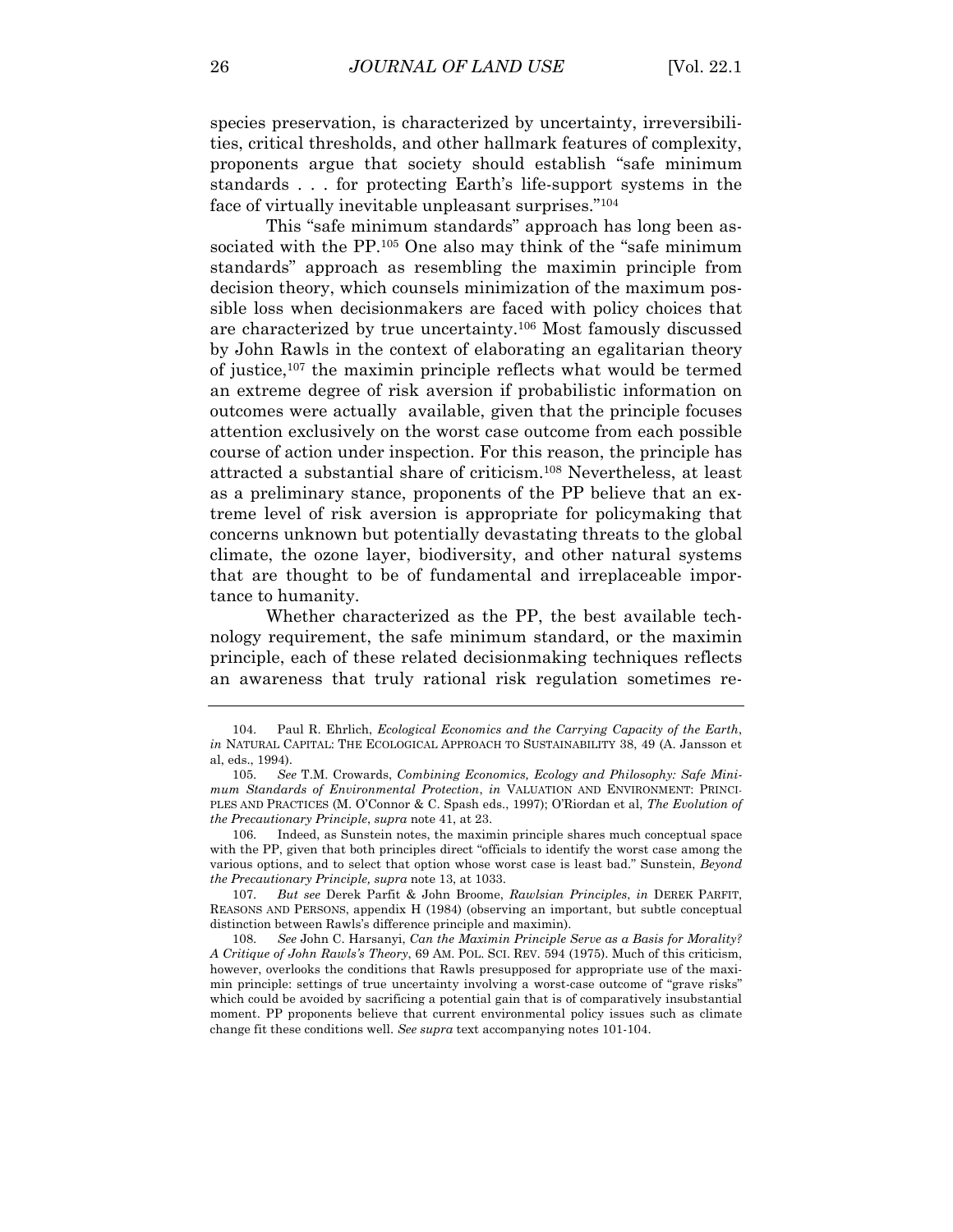species preservation, is characterized by uncertainty, irreversibilities, critical thresholds, and other hallmark features of complexity, proponents argue that society should establish "safe minimum standards . . . for protecting Earth's life-support systems in the face of virtually inevitable unpleasant surprises."104

This "safe minimum standards" approach has long been associated with the PP.105 One also may think of the "safe minimum standards" approach as resembling the maximin principle from decision theory, which counsels minimization of the maximum possible loss when decisionmakers are faced with policy choices that are characterized by true uncertainty.106 Most famously discussed by John Rawls in the context of elaborating an egalitarian theory of justice,107 the maximin principle reflects what would be termed an extreme degree of risk aversion if probabilistic information on outcomes were actually available, given that the principle focuses attention exclusively on the worst case outcome from each possible course of action under inspection. For this reason, the principle has attracted a substantial share of criticism.108 Nevertheless, at least as a preliminary stance, proponents of the PP believe that an extreme level of risk aversion is appropriate for policymaking that concerns unknown but potentially devastating threats to the global climate, the ozone layer, biodiversity, and other natural systems that are thought to be of fundamental and irreplaceable importance to humanity.

Whether characterized as the PP, the best available technology requirement, the safe minimum standard, or the maximin principle, each of these related decisionmaking techniques reflects an awareness that truly rational risk regulation sometimes re-

 <sup>104.</sup> Paul R. Ehrlich, *Ecological Economics and the Carrying Capacity of the Earth*, *in* NATURAL CAPITAL: THE ECOLOGICAL APPROACH TO SUSTAINABILITY 38, 49 (A. Jansson et al, eds., 1994).

 <sup>105.</sup> *See* T.M. Crowards, *Combining Economics, Ecology and Philosophy: Safe Minimum Standards of Environmental Protection*, *in* VALUATION AND ENVIRONMENT: PRINCI-PLES AND PRACTICES (M. O'Connor & C. Spash eds., 1997); O'Riordan et al, *The Evolution of the Precautionary Principle*, *supra* note 41, at 23.

 <sup>106.</sup> Indeed, as Sunstein notes, the maximin principle shares much conceptual space with the PP, given that both principles direct "officials to identify the worst case among the various options, and to select that option whose worst case is least bad." Sunstein, *Beyond the Precautionary Principle, supra* note 13, at 1033.

 <sup>107.</sup> *But see* Derek Parfit & John Broome, *Rawlsian Principles*, *in* DEREK PARFIT, REASONS AND PERSONS, appendix H (1984) (observing an important, but subtle conceptual distinction between Rawls's difference principle and maximin).

 <sup>108.</sup> *See* John C. Harsanyi, *Can the Maximin Principle Serve as a Basis for Morality? A Critique of John Rawls's Theory*, 69 AM. POL. SCI. REV. 594 (1975). Much of this criticism, however, overlooks the conditions that Rawls presupposed for appropriate use of the maximin principle: settings of true uncertainty involving a worst-case outcome of "grave risks" which could be avoided by sacrificing a potential gain that is of comparatively insubstantial moment. PP proponents believe that current environmental policy issues such as climate change fit these conditions well. *See supra* text accompanying notes 101-104.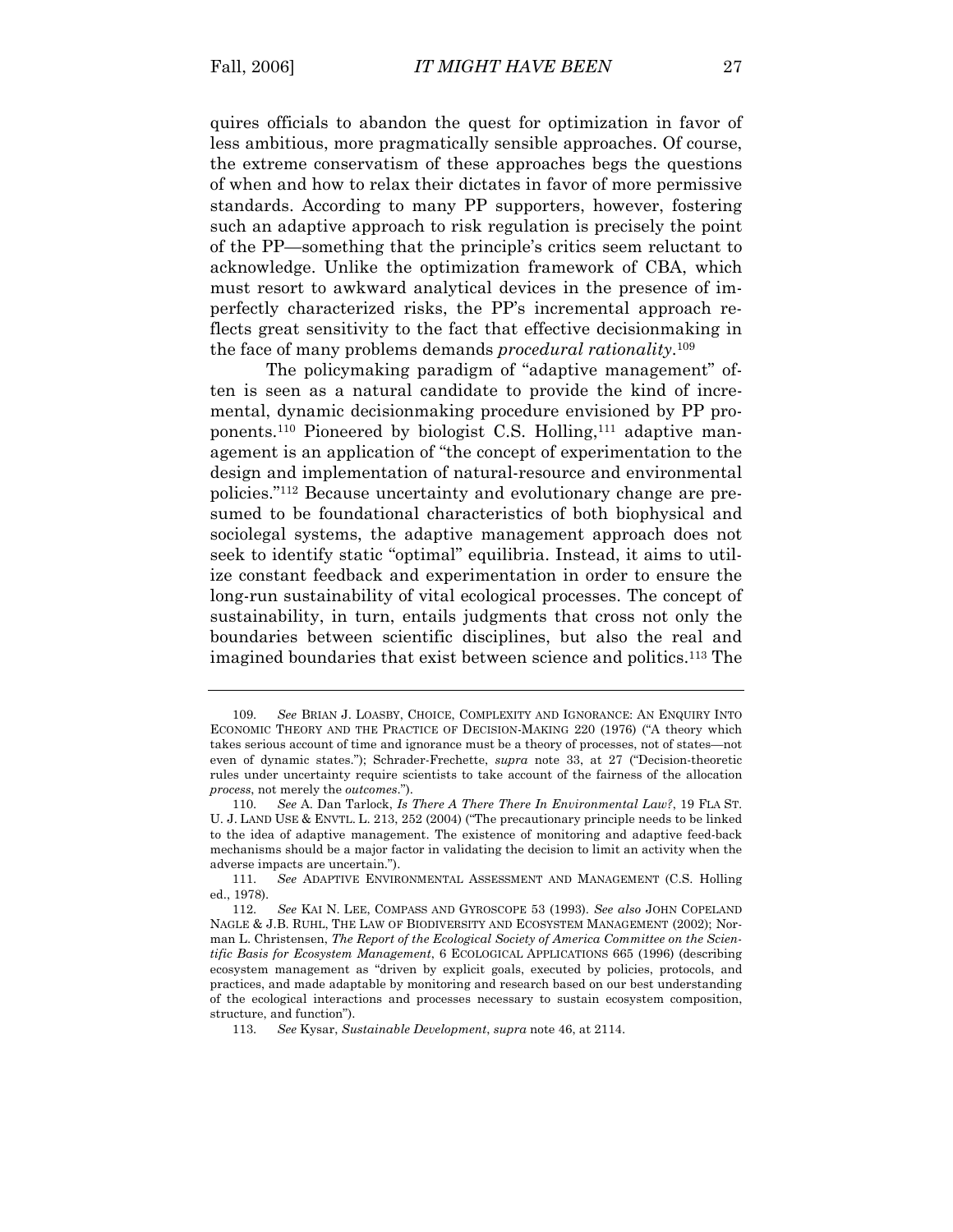quires officials to abandon the quest for optimization in favor of less ambitious, more pragmatically sensible approaches. Of course, the extreme conservatism of these approaches begs the questions of when and how to relax their dictates in favor of more permissive standards. According to many PP supporters, however, fostering such an adaptive approach to risk regulation is precisely the point of the PP—something that the principle's critics seem reluctant to acknowledge. Unlike the optimization framework of CBA, which must resort to awkward analytical devices in the presence of imperfectly characterized risks, the PP's incremental approach reflects great sensitivity to the fact that effective decisionmaking in the face of many problems demands *procedural rationality*.109

The policymaking paradigm of "adaptive management" often is seen as a natural candidate to provide the kind of incremental, dynamic decisionmaking procedure envisioned by PP proponents.110 Pioneered by biologist C.S. Holling,111 adaptive management is an application of "the concept of experimentation to the design and implementation of natural-resource and environmental policies."112 Because uncertainty and evolutionary change are presumed to be foundational characteristics of both biophysical and sociolegal systems, the adaptive management approach does not seek to identify static "optimal" equilibria. Instead, it aims to utilize constant feedback and experimentation in order to ensure the long-run sustainability of vital ecological processes. The concept of sustainability, in turn, entails judgments that cross not only the boundaries between scientific disciplines, but also the real and imagined boundaries that exist between science and politics.113 The

 <sup>109.</sup> *See* BRIAN J. LOASBY, CHOICE, COMPLEXITY AND IGNORANCE: AN ENQUIRY INTO ECONOMIC THEORY AND THE PRACTICE OF DECISION-MAKING 220 (1976) ("A theory which takes serious account of time and ignorance must be a theory of processes, not of states—not even of dynamic states."); Schrader-Frechette, *supra* note 33, at 27 ("Decision-theoretic rules under uncertainty require scientists to take account of the fairness of the allocation *process*, not merely the *outcomes*.").

 <sup>110.</sup> *See* A. Dan Tarlock, *Is There A There There In Environmental Law?*, 19 FLA ST. U. J. LAND USE & ENVTL. L. 213, 252 (2004) ("The precautionary principle needs to be linked to the idea of adaptive management. The existence of monitoring and adaptive feed-back mechanisms should be a major factor in validating the decision to limit an activity when the adverse impacts are uncertain.").

 <sup>111.</sup> *See* ADAPTIVE ENVIRONMENTAL ASSESSMENT AND MANAGEMENT (C.S. Holling ed., 1978).

 <sup>112.</sup> *See* KAI N. LEE, COMPASS AND GYROSCOPE 53 (1993). *See also* JOHN COPELAND NAGLE & J.B. RUHL, THE LAW OF BIODIVERSITY AND ECOSYSTEM MANAGEMENT (2002); Norman L. Christensen, *The Report of the Ecological Society of America Committee on the Scientific Basis for Ecosystem Management*, 6 ECOLOGICAL APPLICATIONS 665 (1996) (describing ecosystem management as "driven by explicit goals, executed by policies, protocols, and practices, and made adaptable by monitoring and research based on our best understanding of the ecological interactions and processes necessary to sustain ecosystem composition, structure, and function").

 <sup>113.</sup> *See* Kysar, *Sustainable Development*, *supra* note 46, at 2114.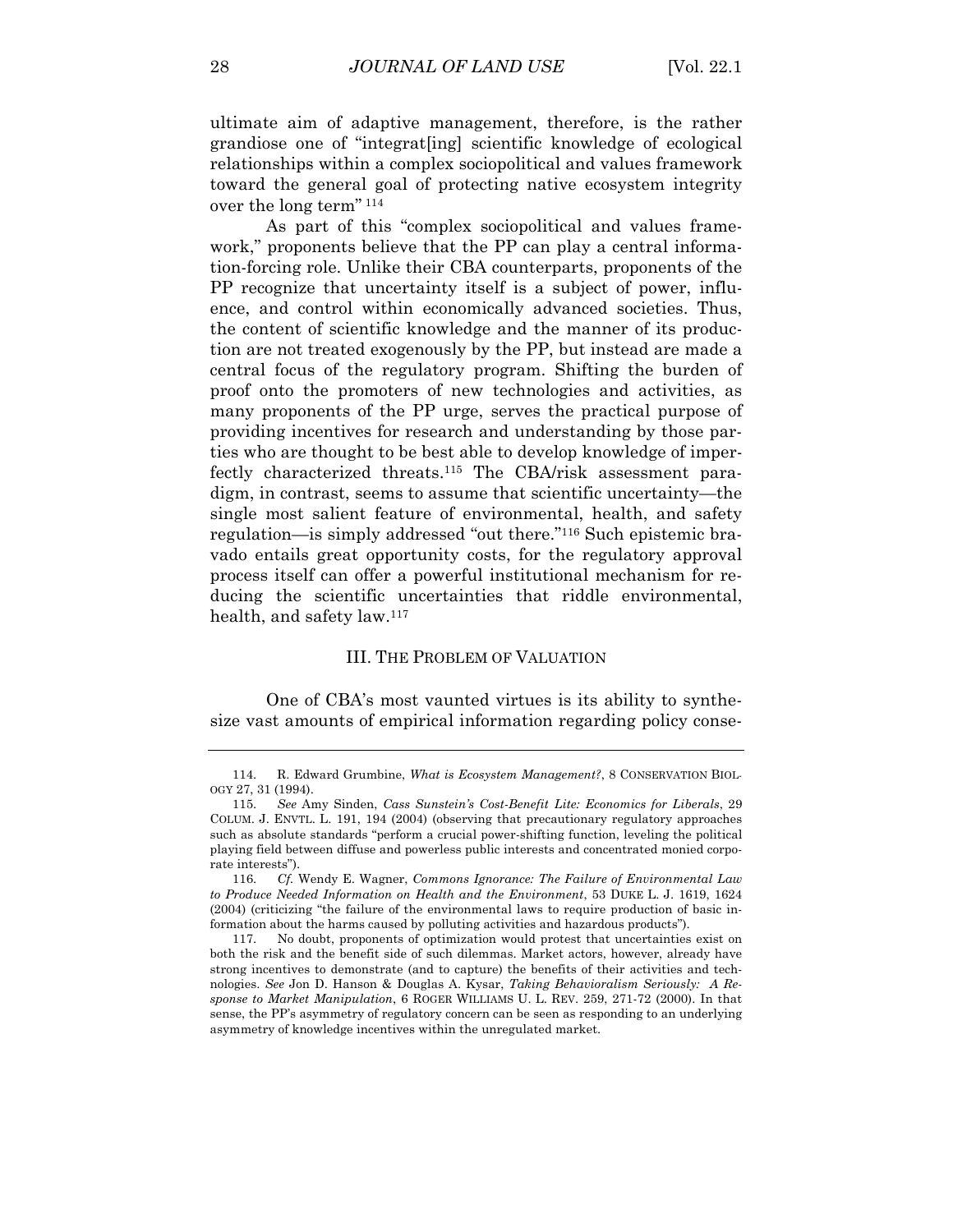ultimate aim of adaptive management, therefore, is the rather grandiose one of "integrat[ing] scientific knowledge of ecological relationships within a complex sociopolitical and values framework toward the general goal of protecting native ecosystem integrity over the long term" 114

As part of this "complex sociopolitical and values framework," proponents believe that the PP can play a central information-forcing role. Unlike their CBA counterparts, proponents of the PP recognize that uncertainty itself is a subject of power, influence, and control within economically advanced societies. Thus, the content of scientific knowledge and the manner of its production are not treated exogenously by the PP, but instead are made a central focus of the regulatory program. Shifting the burden of proof onto the promoters of new technologies and activities, as many proponents of the PP urge, serves the practical purpose of providing incentives for research and understanding by those parties who are thought to be best able to develop knowledge of imperfectly characterized threats.115 The CBA/risk assessment paradigm, in contrast, seems to assume that scientific uncertainty—the single most salient feature of environmental, health, and safety regulation—is simply addressed "out there."116 Such epistemic bravado entails great opportunity costs, for the regulatory approval process itself can offer a powerful institutional mechanism for reducing the scientific uncertainties that riddle environmental, health, and safety law.<sup>117</sup>

# III. THE PROBLEM OF VALUATION

One of CBA's most vaunted virtues is its ability to synthesize vast amounts of empirical information regarding policy conse-

 <sup>114.</sup> R. Edward Grumbine, *What is Ecosystem Management?*, 8 CONSERVATION BIOL-OGY 27, 31 (1994).

 <sup>115.</sup> *See* Amy Sinden, *Cass Sunstein's Cost-Benefit Lite: Economics for Liberals*, 29 COLUM. J. ENVTL. L. 191, 194 (2004) (observing that precautionary regulatory approaches such as absolute standards "perform a crucial power-shifting function, leveling the political playing field between diffuse and powerless public interests and concentrated monied corporate interests").

 <sup>116.</sup> *Cf.* Wendy E. Wagner, *Commons Ignorance: The Failure of Environmental Law to Produce Needed Information on Health and the Environment*, 53 DUKE L. J. 1619, 1624 (2004) (criticizing "the failure of the environmental laws to require production of basic information about the harms caused by polluting activities and hazardous products").

 <sup>117.</sup> No doubt, proponents of optimization would protest that uncertainties exist on both the risk and the benefit side of such dilemmas. Market actors, however, already have strong incentives to demonstrate (and to capture) the benefits of their activities and technologies. *See* Jon D. Hanson & Douglas A. Kysar, *Taking Behavioralism Seriously: A Response to Market Manipulation*, 6 ROGER WILLIAMS U. L. REV. 259, 271-72 (2000). In that sense, the PP's asymmetry of regulatory concern can be seen as responding to an underlying asymmetry of knowledge incentives within the unregulated market.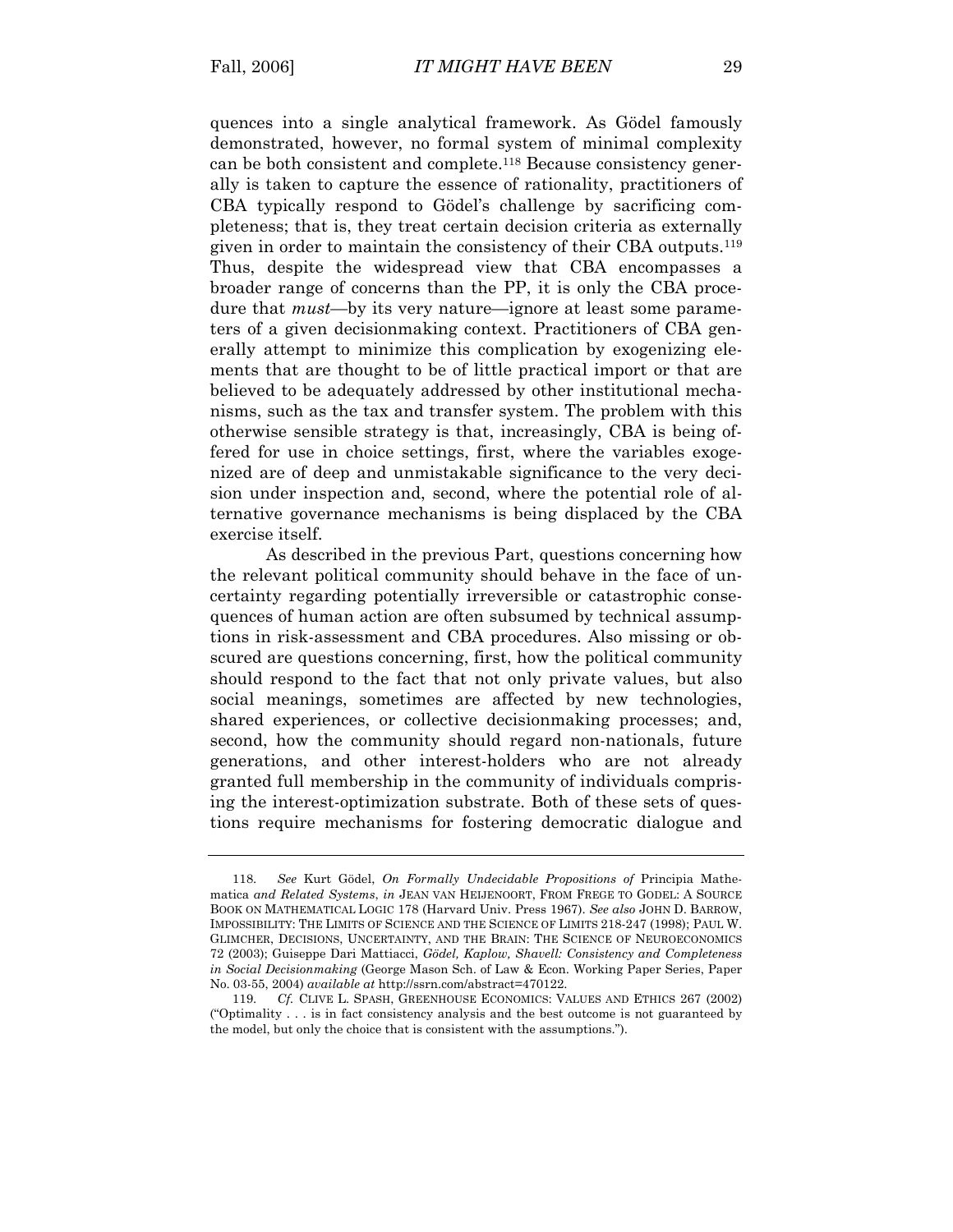quences into a single analytical framework. As Gödel famously demonstrated, however, no formal system of minimal complexity can be both consistent and complete.118 Because consistency generally is taken to capture the essence of rationality, practitioners of CBA typically respond to Gödel's challenge by sacrificing completeness; that is, they treat certain decision criteria as externally given in order to maintain the consistency of their CBA outputs.119 Thus, despite the widespread view that CBA encompasses a broader range of concerns than the PP, it is only the CBA procedure that *must—*by its very nature—ignore at least some parameters of a given decisionmaking context. Practitioners of CBA generally attempt to minimize this complication by exogenizing elements that are thought to be of little practical import or that are believed to be adequately addressed by other institutional mechanisms, such as the tax and transfer system. The problem with this otherwise sensible strategy is that, increasingly, CBA is being offered for use in choice settings, first, where the variables exogenized are of deep and unmistakable significance to the very decision under inspection and, second, where the potential role of alternative governance mechanisms is being displaced by the CBA exercise itself.

As described in the previous Part, questions concerning how the relevant political community should behave in the face of uncertainty regarding potentially irreversible or catastrophic consequences of human action are often subsumed by technical assumptions in risk-assessment and CBA procedures. Also missing or obscured are questions concerning, first, how the political community should respond to the fact that not only private values, but also social meanings, sometimes are affected by new technologies, shared experiences, or collective decisionmaking processes; and, second, how the community should regard non-nationals, future generations, and other interest-holders who are not already granted full membership in the community of individuals comprising the interest-optimization substrate. Both of these sets of questions require mechanisms for fostering democratic dialogue and

 <sup>118.</sup> *See* Kurt Gödel, *On Formally Undecidable Propositions of* Principia Mathematica *and Related Systems*, *in* JEAN VAN HEIJENOORT, FROM FREGE TO GODEL: A SOURCE BOOK ON MATHEMATICAL LOGIC 178 (Harvard Univ. Press 1967). *See also* JOHN D. BARROW, IMPOSSIBILITY: THE LIMITS OF SCIENCE AND THE SCIENCE OF LIMITS 218-247 (1998); PAUL W. GLIMCHER, DECISIONS, UNCERTAINTY, AND THE BRAIN: THE SCIENCE OF NEUROECONOMICS 72 (2003); Guiseppe Dari Mattiacci, *Gödel, Kaplow, Shavell: Consistency and Completeness in Social Decisionmaking* (George Mason Sch. of Law & Econ. Working Paper Series, Paper No. 03-55, 2004) *available at* http://ssrn.com/abstract=470122.

 <sup>119.</sup> *Cf.* CLIVE L. SPASH, GREENHOUSE ECONOMICS: VALUES AND ETHICS 267 (2002) ("Optimality . . . is in fact consistency analysis and the best outcome is not guaranteed by the model, but only the choice that is consistent with the assumptions.").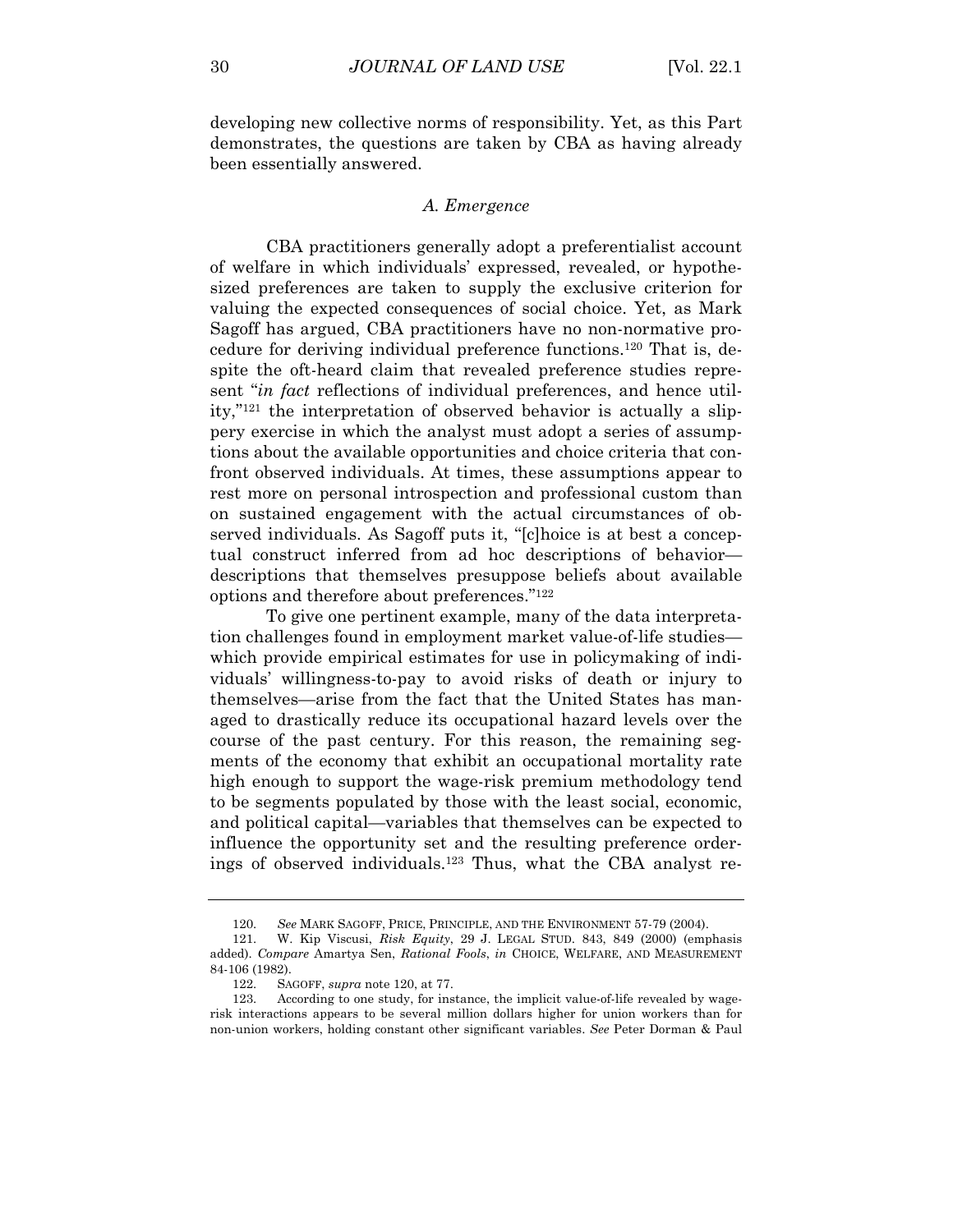developing new collective norms of responsibility. Yet, as this Part demonstrates, the questions are taken by CBA as having already been essentially answered.

### *A. Emergence*

CBA practitioners generally adopt a preferentialist account of welfare in which individuals' expressed, revealed, or hypothesized preferences are taken to supply the exclusive criterion for valuing the expected consequences of social choice. Yet, as Mark Sagoff has argued, CBA practitioners have no non-normative procedure for deriving individual preference functions.120 That is, despite the oft-heard claim that revealed preference studies represent "*in fact* reflections of individual preferences, and hence utility,"121 the interpretation of observed behavior is actually a slippery exercise in which the analyst must adopt a series of assumptions about the available opportunities and choice criteria that confront observed individuals. At times, these assumptions appear to rest more on personal introspection and professional custom than on sustained engagement with the actual circumstances of observed individuals. As Sagoff puts it, "[c]hoice is at best a conceptual construct inferred from ad hoc descriptions of behavior descriptions that themselves presuppose beliefs about available options and therefore about preferences."122

To give one pertinent example, many of the data interpretation challenges found in employment market value-of-life studies which provide empirical estimates for use in policymaking of individuals' willingness-to-pay to avoid risks of death or injury to themselves—arise from the fact that the United States has managed to drastically reduce its occupational hazard levels over the course of the past century. For this reason, the remaining segments of the economy that exhibit an occupational mortality rate high enough to support the wage-risk premium methodology tend to be segments populated by those with the least social, economic, and political capital—variables that themselves can be expected to influence the opportunity set and the resulting preference orderings of observed individuals.123 Thus, what the CBA analyst re-

 <sup>120.</sup> *See* MARK SAGOFF, PRICE, PRINCIPLE, AND THE ENVIRONMENT 57-79 (2004).

 <sup>121.</sup> W. Kip Viscusi, *Risk Equity*, 29 J. LEGAL STUD. 843, 849 (2000) (emphasis added). *Compare* Amartya Sen, *Rational Fools*, *in* CHOICE, WELFARE, AND MEASUREMENT 84-106 (1982).

 <sup>122.</sup> SAGOFF, *supra* note 120, at 77.

 <sup>123.</sup> According to one study, for instance, the implicit value-of-life revealed by wagerisk interactions appears to be several million dollars higher for union workers than for non-union workers, holding constant other significant variables. *See* Peter Dorman & Paul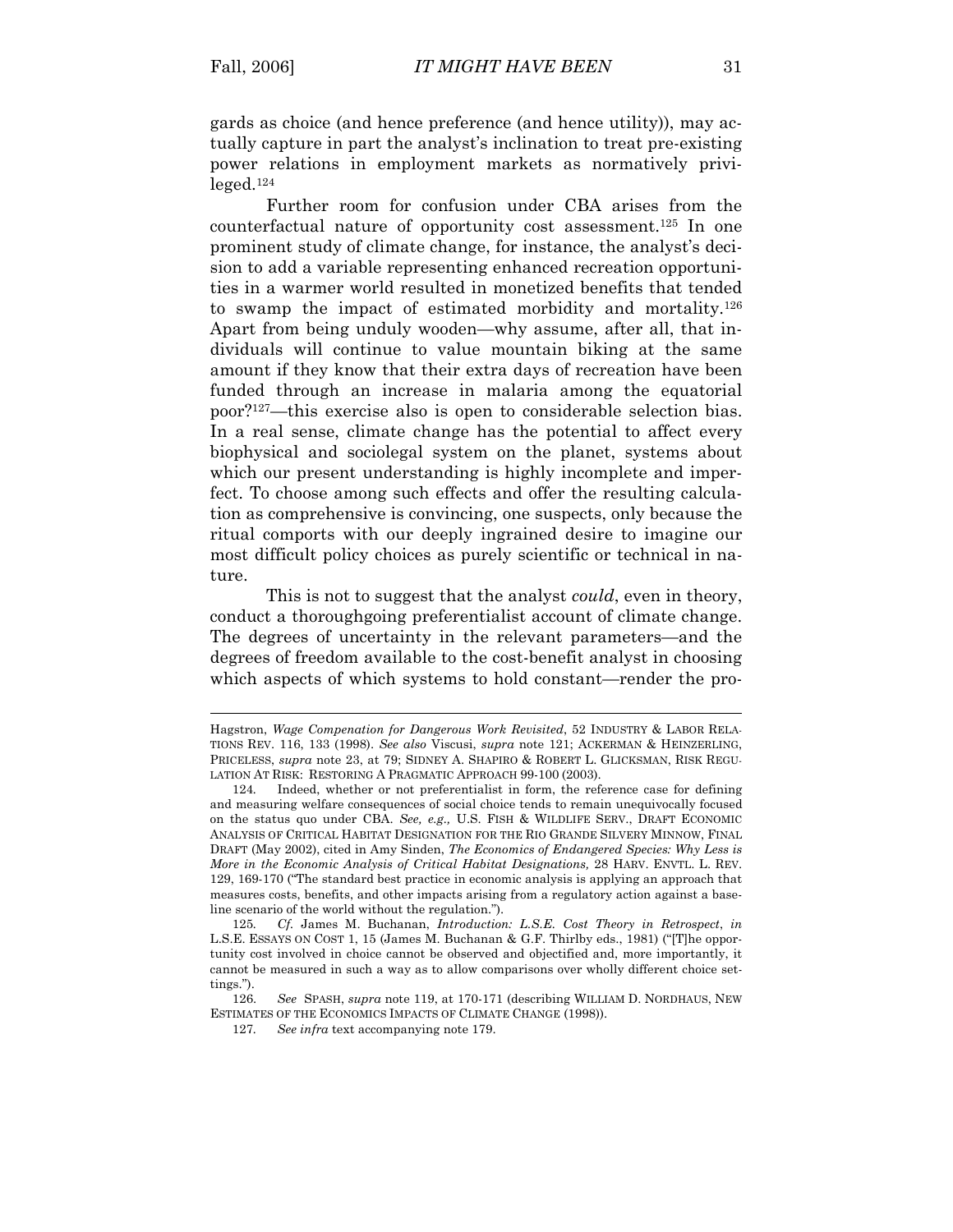$\overline{a}$ 

gards as choice (and hence preference (and hence utility)), may actually capture in part the analyst's inclination to treat pre-existing power relations in employment markets as normatively privileged.124

Further room for confusion under CBA arises from the counterfactual nature of opportunity cost assessment.125 In one prominent study of climate change, for instance, the analyst's decision to add a variable representing enhanced recreation opportunities in a warmer world resulted in monetized benefits that tended to swamp the impact of estimated morbidity and mortality.126 Apart from being unduly wooden—why assume, after all, that individuals will continue to value mountain biking at the same amount if they know that their extra days of recreation have been funded through an increase in malaria among the equatorial poor?127—this exercise also is open to considerable selection bias. In a real sense, climate change has the potential to affect every biophysical and sociolegal system on the planet, systems about which our present understanding is highly incomplete and imperfect. To choose among such effects and offer the resulting calculation as comprehensive is convincing, one suspects, only because the ritual comports with our deeply ingrained desire to imagine our most difficult policy choices as purely scientific or technical in nature.

This is not to suggest that the analyst *could*, even in theory, conduct a thoroughgoing preferentialist account of climate change. The degrees of uncertainty in the relevant parameters—and the degrees of freedom available to the cost-benefit analyst in choosing which aspects of which systems to hold constant—render the pro-

Hagstron, *Wage Compenation for Dangerous Work Revisited*, 52 INDUSTRY & LABOR RELA-TIONS REV. 116, 133 (1998). *See also* Viscusi, *supra* note 121; ACKERMAN & HEINZERLING, PRICELESS, *supra* note 23, at 79; SIDNEY A. SHAPIRO & ROBERT L. GLICKSMAN, RISK REGU-LATION AT RISK: RESTORING A PRAGMATIC APPROACH 99-100 (2003).

<sup>124</sup>*.* Indeed, whether or not preferentialist in form, the reference case for defining and measuring welfare consequences of social choice tends to remain unequivocally focused on the status quo under CBA. *See, e.g.,* U.S. FISH & WILDLIFE SERV., DRAFT ECONOMIC ANALYSIS OF CRITICAL HABITAT DESIGNATION FOR THE RIO GRANDE SILVERY MINNOW, FINAL DRAFT (May 2002), cited in Amy Sinden, *The Economics of Endangered Species: Why Less is More in the Economic Analysis of Critical Habitat Designations,* 28 HARV. ENVTL. L. REV. 129, 169-170 ("The standard best practice in economic analysis is applying an approach that measures costs, benefits, and other impacts arising from a regulatory action against a baseline scenario of the world without the regulation.").

<sup>125</sup>*. Cf.* James M. Buchanan, *Introduction: L.S.E. Cost Theory in Retrospect*, *in* L.S.E. ESSAYS ON COST 1, 15 (James M. Buchanan & G.F. Thirlby eds., 1981) ("[T]he opportunity cost involved in choice cannot be observed and objectified and, more importantly, it cannot be measured in such a way as to allow comparisons over wholly different choice settings.").<br> $126.$ 

 <sup>126.</sup> *See* SPASH, *supra* note 119, at 170-171 (describing WILLIAM D. NORDHAUS, NEW ESTIMATES OF THE ECONOMICS IMPACTS OF CLIMATE CHANGE (1998)).

<sup>127</sup>*. See infra* text accompanying note 179.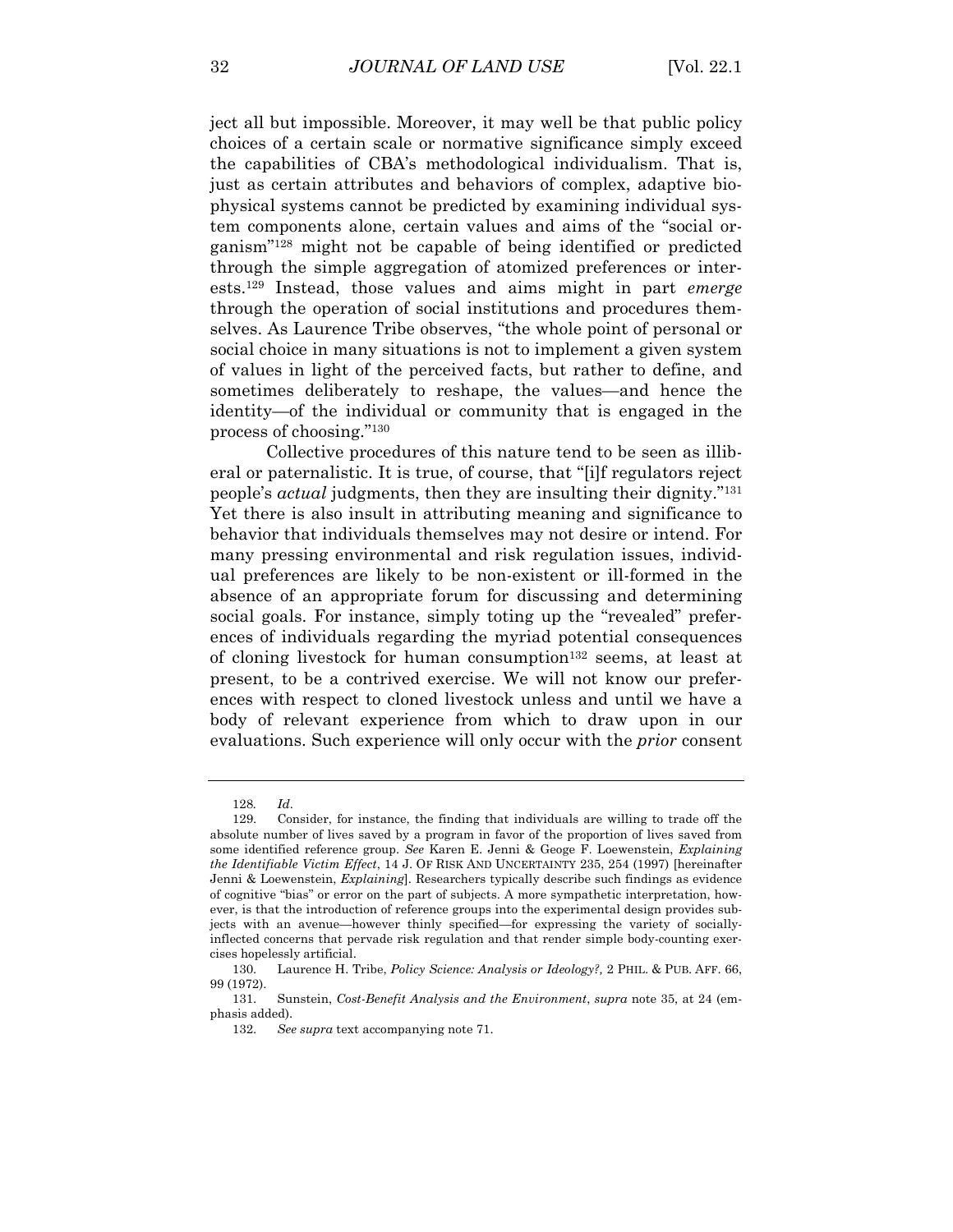ject all but impossible. Moreover, it may well be that public policy choices of a certain scale or normative significance simply exceed the capabilities of CBA's methodological individualism. That is, just as certain attributes and behaviors of complex, adaptive biophysical systems cannot be predicted by examining individual system components alone, certain values and aims of the "social organism"128 might not be capable of being identified or predicted through the simple aggregation of atomized preferences or interests.129 Instead, those values and aims might in part *emerge* through the operation of social institutions and procedures themselves. As Laurence Tribe observes, "the whole point of personal or social choice in many situations is not to implement a given system of values in light of the perceived facts, but rather to define, and sometimes deliberately to reshape, the values—and hence the identity—of the individual or community that is engaged in the process of choosing."130

Collective procedures of this nature tend to be seen as illiberal or paternalistic. It is true, of course, that "[i]f regulators reject people's *actual* judgments, then they are insulting their dignity."131 Yet there is also insult in attributing meaning and significance to behavior that individuals themselves may not desire or intend. For many pressing environmental and risk regulation issues, individual preferences are likely to be non-existent or ill-formed in the absence of an appropriate forum for discussing and determining social goals. For instance, simply toting up the "revealed" preferences of individuals regarding the myriad potential consequences of cloning livestock for human consumption132 seems, at least at present, to be a contrived exercise. We will not know our preferences with respect to cloned livestock unless and until we have a body of relevant experience from which to draw upon in our evaluations. Such experience will only occur with the *prior* consent

<sup>128</sup>*. Id*.

 <sup>129.</sup> Consider, for instance, the finding that individuals are willing to trade off the absolute number of lives saved by a program in favor of the proportion of lives saved from some identified reference group. *See* Karen E. Jenni & Geoge F. Loewenstein, *Explaining the Identifiable Victim Effect*, 14 J. OF RISK AND UNCERTAINTY 235, 254 (1997) [hereinafter Jenni & Loewenstein, *Explaining*]. Researchers typically describe such findings as evidence of cognitive "bias" or error on the part of subjects. A more sympathetic interpretation, however, is that the introduction of reference groups into the experimental design provides subjects with an avenue—however thinly specified—for expressing the variety of sociallyinflected concerns that pervade risk regulation and that render simple body-counting exercises hopelessly artificial.

 <sup>130.</sup> Laurence H. Tribe, *Policy Science: Analysis or Ideology?,* 2 PHIL. & PUB. AFF. 66, 99 (1972).

 <sup>131.</sup> Sunstein, *Cost-Benefit Analysis and the Environment*, *supra* note 35, at 24 (emphasis added).

 <sup>132.</sup> *See supra* text accompanying note 71.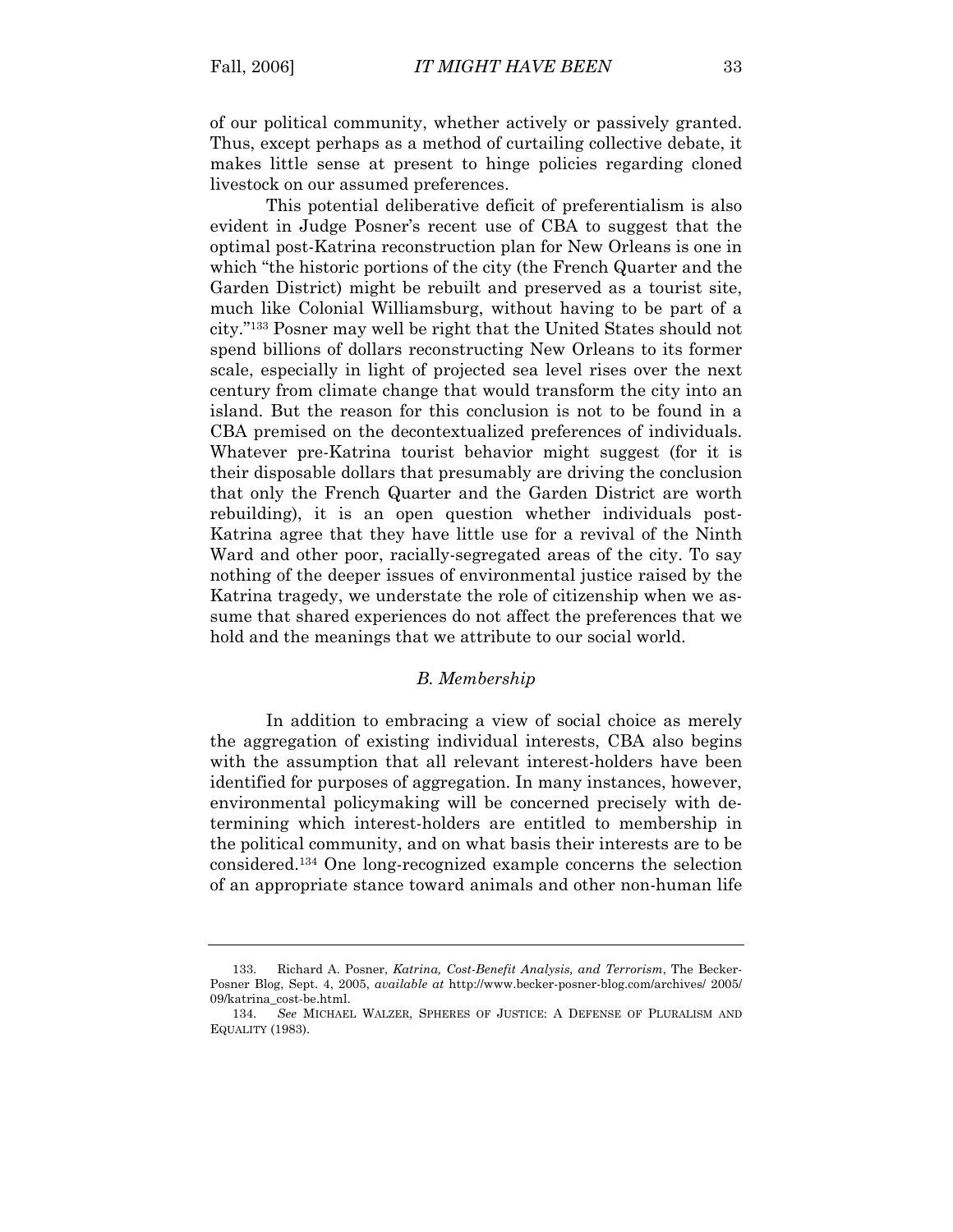of our political community, whether actively or passively granted. Thus, except perhaps as a method of curtailing collective debate, it makes little sense at present to hinge policies regarding cloned livestock on our assumed preferences.

This potential deliberative deficit of preferentialism is also evident in Judge Posner's recent use of CBA to suggest that the optimal post-Katrina reconstruction plan for New Orleans is one in which "the historic portions of the city (the French Quarter and the Garden District) might be rebuilt and preserved as a tourist site, much like Colonial Williamsburg, without having to be part of a city."133 Posner may well be right that the United States should not spend billions of dollars reconstructing New Orleans to its former scale, especially in light of projected sea level rises over the next century from climate change that would transform the city into an island. But the reason for this conclusion is not to be found in a CBA premised on the decontextualized preferences of individuals. Whatever pre-Katrina tourist behavior might suggest (for it is their disposable dollars that presumably are driving the conclusion that only the French Quarter and the Garden District are worth rebuilding), it is an open question whether individuals post-Katrina agree that they have little use for a revival of the Ninth Ward and other poor, racially-segregated areas of the city. To say nothing of the deeper issues of environmental justice raised by the Katrina tragedy, we understate the role of citizenship when we assume that shared experiences do not affect the preferences that we hold and the meanings that we attribute to our social world.

### *B. Membership*

In addition to embracing a view of social choice as merely the aggregation of existing individual interests, CBA also begins with the assumption that all relevant interest-holders have been identified for purposes of aggregation. In many instances, however, environmental policymaking will be concerned precisely with determining which interest-holders are entitled to membership in the political community, and on what basis their interests are to be considered.134 One long-recognized example concerns the selection of an appropriate stance toward animals and other non-human life

 <sup>133.</sup> Richard A. Posner, *Katrina, Cost-Benefit Analysis, and Terrorism*, The Becker-Posner Blog, Sept. 4, 2005, *available at* http://www.becker-posner-blog.com/archives/ 2005/ 09/katrina\_cost-be.html.

 <sup>134.</sup> *See* MICHAEL WALZER, SPHERES OF JUSTICE: A DEFENSE OF PLURALISM AND EQUALITY (1983).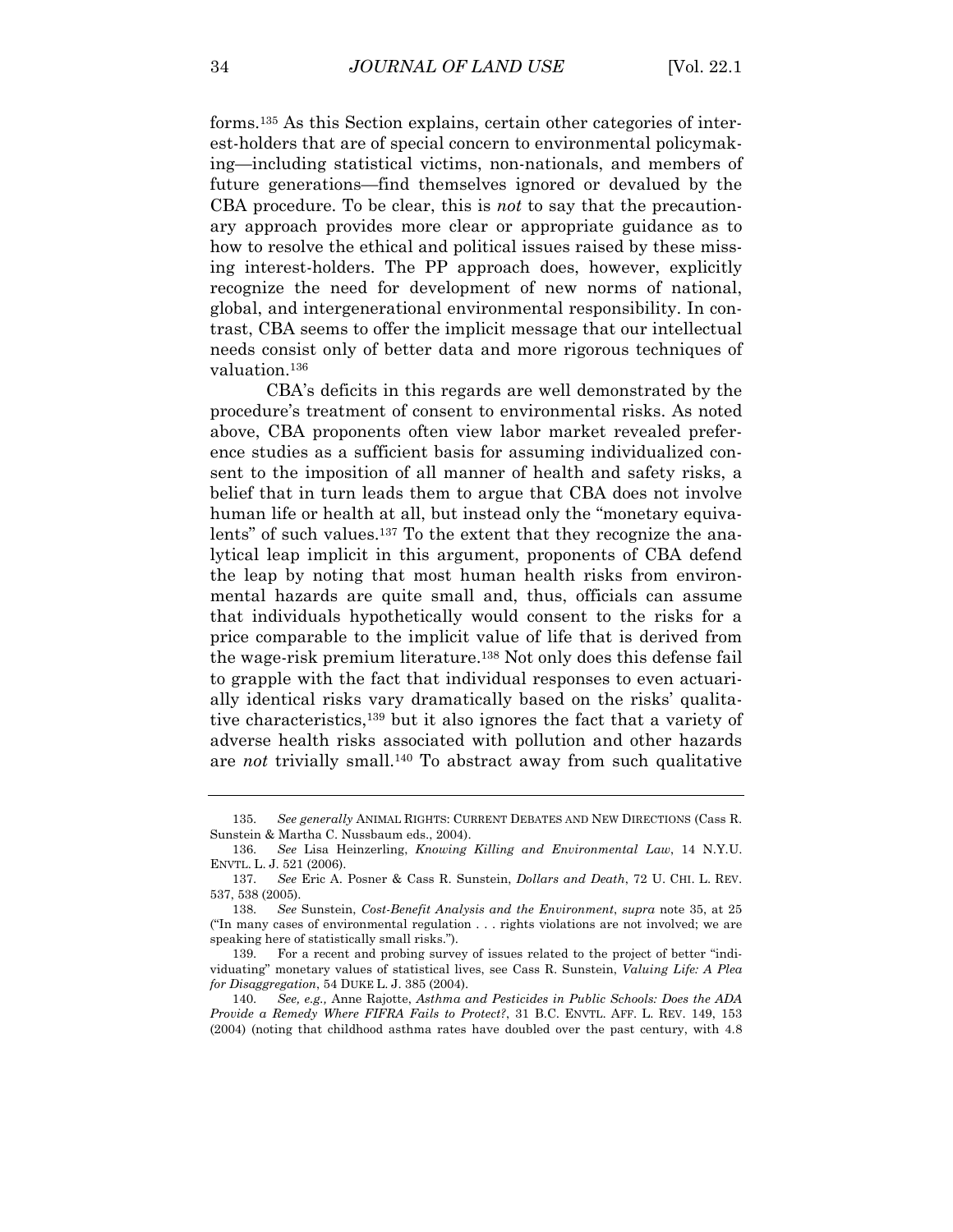forms.135 As this Section explains, certain other categories of interest-holders that are of special concern to environmental policymaking—including statistical victims, non-nationals, and members of future generations—find themselves ignored or devalued by the CBA procedure. To be clear, this is *not* to say that the precautionary approach provides more clear or appropriate guidance as to how to resolve the ethical and political issues raised by these missing interest-holders. The PP approach does, however, explicitly recognize the need for development of new norms of national, global, and intergenerational environmental responsibility. In contrast, CBA seems to offer the implicit message that our intellectual needs consist only of better data and more rigorous techniques of valuation.136

CBA's deficits in this regards are well demonstrated by the procedure's treatment of consent to environmental risks. As noted above, CBA proponents often view labor market revealed preference studies as a sufficient basis for assuming individualized consent to the imposition of all manner of health and safety risks, a belief that in turn leads them to argue that CBA does not involve human life or health at all, but instead only the "monetary equivalents" of such values.137 To the extent that they recognize the analytical leap implicit in this argument, proponents of CBA defend the leap by noting that most human health risks from environmental hazards are quite small and, thus, officials can assume that individuals hypothetically would consent to the risks for a price comparable to the implicit value of life that is derived from the wage-risk premium literature.138 Not only does this defense fail to grapple with the fact that individual responses to even actuarially identical risks vary dramatically based on the risks' qualitative characteristics,139 but it also ignores the fact that a variety of adverse health risks associated with pollution and other hazards are *not* trivially small.140 To abstract away from such qualitative

 <sup>135.</sup> *See generally* ANIMAL RIGHTS: CURRENT DEBATES AND NEW DIRECTIONS (Cass R. Sunstein & Martha C. Nussbaum eds., 2004).

 <sup>136.</sup> *See* Lisa Heinzerling, *Knowing Killing and Environmental Law*, 14 N.Y.U. ENVTL. L. J. 521 (2006).

 <sup>137.</sup> *See* Eric A. Posner & Cass R. Sunstein, *Dollars and Death*, 72 U. CHI. L. REV. 537, 538 (2005).

 <sup>138.</sup> *See* Sunstein, *Cost-Benefit Analysis and the Environment*, *supra* note 35, at 25 ("In many cases of environmental regulation . . . rights violations are not involved; we are speaking here of statistically small risks.").

 <sup>139.</sup> For a recent and probing survey of issues related to the project of better "individuating" monetary values of statistical lives, see Cass R. Sunstein, *Valuing Life: A Plea for Disaggregation*, 54 DUKE L. J. 385 (2004).

 <sup>140.</sup> *See, e.g.,* Anne Rajotte, *Asthma and Pesticides in Public Schools: Does the ADA Provide a Remedy Where FIFRA Fails to Protect?*, 31 B.C. ENVTL. AFF. L. REV. 149, 153 (2004) (noting that childhood asthma rates have doubled over the past century, with 4.8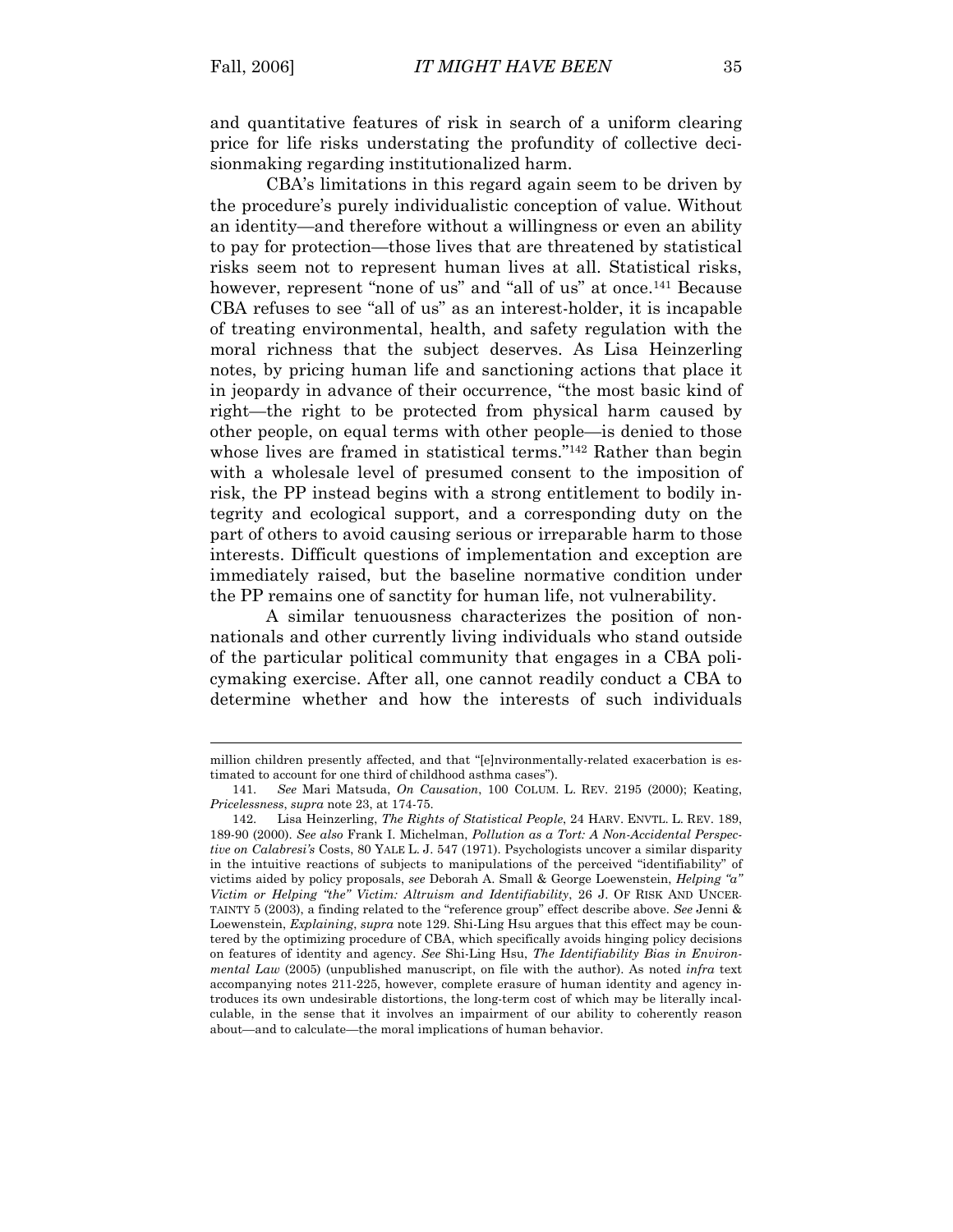$\overline{a}$ 

and quantitative features of risk in search of a uniform clearing price for life risks understating the profundity of collective decisionmaking regarding institutionalized harm.

CBA's limitations in this regard again seem to be driven by the procedure's purely individualistic conception of value. Without an identity—and therefore without a willingness or even an ability to pay for protection—those lives that are threatened by statistical risks seem not to represent human lives at all. Statistical risks, however, represent "none of us" and "all of us" at once.<sup>141</sup> Because CBA refuses to see "all of us" as an interest-holder, it is incapable of treating environmental, health, and safety regulation with the moral richness that the subject deserves. As Lisa Heinzerling notes, by pricing human life and sanctioning actions that place it in jeopardy in advance of their occurrence, "the most basic kind of right—the right to be protected from physical harm caused by other people, on equal terms with other people—is denied to those whose lives are framed in statistical terms."142 Rather than begin with a wholesale level of presumed consent to the imposition of risk, the PP instead begins with a strong entitlement to bodily integrity and ecological support, and a corresponding duty on the part of others to avoid causing serious or irreparable harm to those interests. Difficult questions of implementation and exception are immediately raised, but the baseline normative condition under the PP remains one of sanctity for human life, not vulnerability.

A similar tenuousness characterizes the position of nonnationals and other currently living individuals who stand outside of the particular political community that engages in a CBA policymaking exercise. After all, one cannot readily conduct a CBA to determine whether and how the interests of such individuals

million children presently affected, and that "[e]nvironmentally-related exacerbation is estimated to account for one third of childhood asthma cases").

 <sup>141.</sup> *See* Mari Matsuda, *On Causation*, 100 COLUM. L. REV. 2195 (2000); Keating, *Pricelessness*, *supra* note 23, at 174-75.

 <sup>142.</sup> Lisa Heinzerling, *The Rights of Statistical People*, 24 HARV. ENVTL. L. REV. 189, 189-90 (2000). *See also* Frank I. Michelman, *Pollution as a Tort: A Non-Accidental Perspective on Calabresi's* Costs, 80 YALE L. J. 547 (1971). Psychologists uncover a similar disparity in the intuitive reactions of subjects to manipulations of the perceived "identifiability" of victims aided by policy proposals, *see* Deborah A. Small & George Loewenstein, *Helping "a" Victim or Helping "the" Victim: Altruism and Identifiability*, 26 J. OF RISK AND UNCER-TAINTY 5 (2003), a finding related to the "reference group" effect describe above. *See* Jenni & Loewenstein, *Explaining*, *supra* note 129. Shi-Ling Hsu argues that this effect may be countered by the optimizing procedure of CBA, which specifically avoids hinging policy decisions on features of identity and agency. *See* Shi-Ling Hsu, *The Identifiability Bias in Environmental Law* (2005) (unpublished manuscript, on file with the author). As noted *infra* text accompanying notes 211-225, however, complete erasure of human identity and agency introduces its own undesirable distortions, the long-term cost of which may be literally incalculable, in the sense that it involves an impairment of our ability to coherently reason about—and to calculate—the moral implications of human behavior.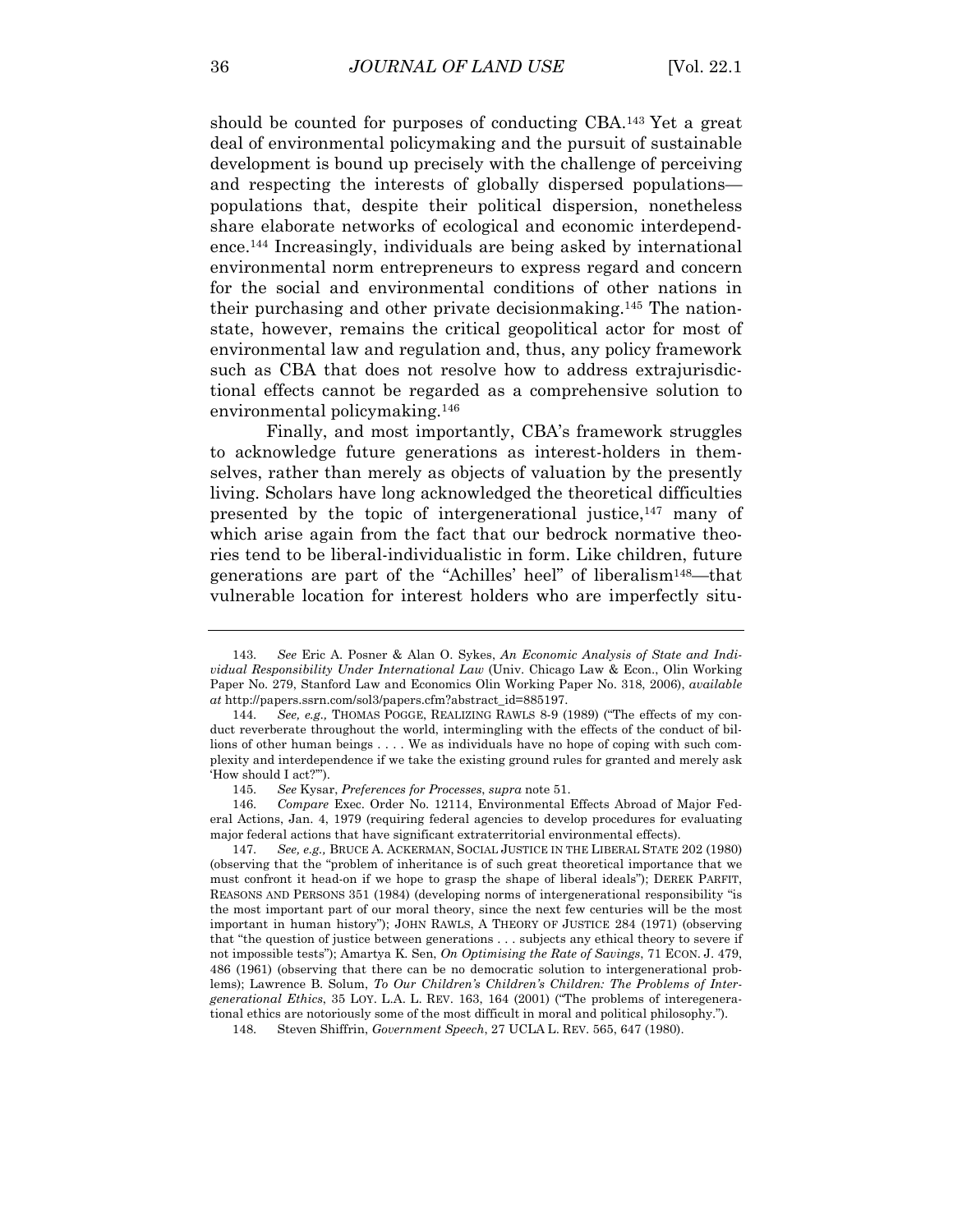should be counted for purposes of conducting CBA.143 Yet a great deal of environmental policymaking and the pursuit of sustainable development is bound up precisely with the challenge of perceiving and respecting the interests of globally dispersed populations populations that, despite their political dispersion, nonetheless share elaborate networks of ecological and economic interdependence.144 Increasingly, individuals are being asked by international environmental norm entrepreneurs to express regard and concern for the social and environmental conditions of other nations in their purchasing and other private decisionmaking.145 The nationstate, however, remains the critical geopolitical actor for most of environmental law and regulation and, thus, any policy framework such as CBA that does not resolve how to address extrajurisdictional effects cannot be regarded as a comprehensive solution to environmental policymaking.146

Finally, and most importantly, CBA's framework struggles to acknowledge future generations as interest-holders in themselves, rather than merely as objects of valuation by the presently living. Scholars have long acknowledged the theoretical difficulties presented by the topic of intergenerational justice, $147$  many of which arise again from the fact that our bedrock normative theories tend to be liberal-individualistic in form. Like children, future generations are part of the "Achilles' heel" of liberalism148—that vulnerable location for interest holders who are imperfectly situ-

 147. *See, e.g.,* BRUCE A. ACKERMAN, SOCIAL JUSTICE IN THE LIBERAL STATE 202 (1980) (observing that the "problem of inheritance is of such great theoretical importance that we must confront it head-on if we hope to grasp the shape of liberal ideals"); DEREK PARFIT, REASONS AND PERSONS 351 (1984) (developing norms of intergenerational responsibility "is the most important part of our moral theory, since the next few centuries will be the most important in human history"); JOHN RAWLS, A THEORY OF JUSTICE 284 (1971) (observing that "the question of justice between generations . . . subjects any ethical theory to severe if not impossible tests"); Amartya K. Sen, *On Optimising the Rate of Savings*, 71 ECON. J. 479, 486 (1961) (observing that there can be no democratic solution to intergenerational problems); Lawrence B. Solum, *To Our Children's Children's Children: The Problems of Intergenerational Ethics*, 35 LOY. L.A. L. REV. 163, 164 (2001) ("The problems of interegenerational ethics are notoriously some of the most difficult in moral and political philosophy.").

148. Steven Shiffrin, *Government Speech*, 27 UCLA L. REV. 565, 647 (1980).

 <sup>143.</sup> *See* Eric A. Posner & Alan O. Sykes, *An Economic Analysis of State and Individual Responsibility Under International Law* (Univ. Chicago Law & Econ., Olin Working Paper No. 279, Stanford Law and Economics Olin Working Paper No. 318, 2006), *available at* http://papers.ssrn.com/sol3/papers.cfm?abstract\_id=885197.

 <sup>144.</sup> *See, e.g.,* THOMAS POGGE, REALIZING RAWLS 8-9 (1989) ("The effects of my conduct reverberate throughout the world, intermingling with the effects of the conduct of billions of other human beings . . . . We as individuals have no hope of coping with such complexity and interdependence if we take the existing ground rules for granted and merely ask 'How should I act?'").

 <sup>145.</sup> *See* Kysar, *Preferences for Processes*, *supra* note 51.

 <sup>146.</sup> *Compare* Exec. Order No. 12114, Environmental Effects Abroad of Major Federal Actions, Jan. 4, 1979 (requiring federal agencies to develop procedures for evaluating major federal actions that have significant extraterritorial environmental effects).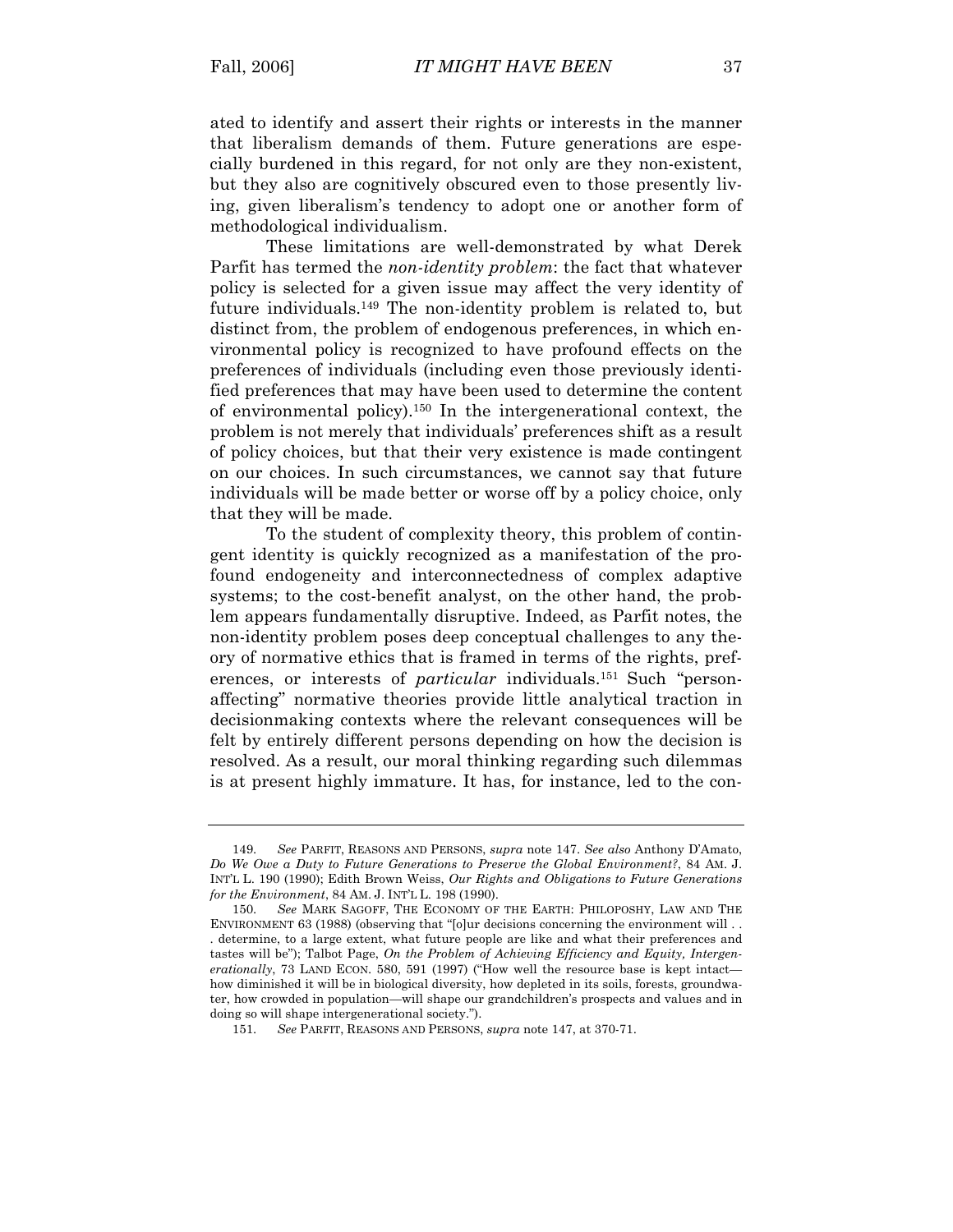ated to identify and assert their rights or interests in the manner that liberalism demands of them. Future generations are especially burdened in this regard, for not only are they non-existent, but they also are cognitively obscured even to those presently living, given liberalism's tendency to adopt one or another form of methodological individualism.

These limitations are well-demonstrated by what Derek Parfit has termed the *non-identity problem*: the fact that whatever policy is selected for a given issue may affect the very identity of future individuals.149 The non-identity problem is related to, but distinct from, the problem of endogenous preferences, in which environmental policy is recognized to have profound effects on the preferences of individuals (including even those previously identified preferences that may have been used to determine the content of environmental policy).150 In the intergenerational context, the problem is not merely that individuals' preferences shift as a result of policy choices, but that their very existence is made contingent on our choices. In such circumstances, we cannot say that future individuals will be made better or worse off by a policy choice, only that they will be made.

To the student of complexity theory, this problem of contingent identity is quickly recognized as a manifestation of the profound endogeneity and interconnectedness of complex adaptive systems; to the cost-benefit analyst, on the other hand, the problem appears fundamentally disruptive. Indeed, as Parfit notes, the non-identity problem poses deep conceptual challenges to any theory of normative ethics that is framed in terms of the rights, preferences, or interests of *particular* individuals.<sup>151</sup> Such "personaffecting" normative theories provide little analytical traction in decisionmaking contexts where the relevant consequences will be felt by entirely different persons depending on how the decision is resolved. As a result, our moral thinking regarding such dilemmas is at present highly immature. It has, for instance, led to the con-

 <sup>149.</sup> *See* PARFIT, REASONS AND PERSONS, *supra* note 147. *See also* Anthony D'Amato, *Do We Owe a Duty to Future Generations to Preserve the Global Environment?*, 84 AM. J. INT'L L. 190 (1990); Edith Brown Weiss, *Our Rights and Obligations to Future Generations for the Environment*, 84 AM. J. INT'L L. 198 (1990).

 <sup>150.</sup> *See* MARK SAGOFF, THE ECONOMY OF THE EARTH: PHILOPOSHY, LAW AND THE ENVIRONMENT 63 (1988) (observing that "[o]ur decisions concerning the environment will . . . determine, to a large extent, what future people are like and what their preferences and tastes will be"); Talbot Page, *On the Problem of Achieving Efficiency and Equity, Intergenerationally*, 73 LAND ECON. 580, 591 (1997) ("How well the resource base is kept intact how diminished it will be in biological diversity, how depleted in its soils, forests, groundwater, how crowded in population—will shape our grandchildren's prospects and values and in doing so will shape intergenerational society.").

 <sup>151.</sup> *See* PARFIT, REASONS AND PERSONS, *supra* note 147, at 370-71.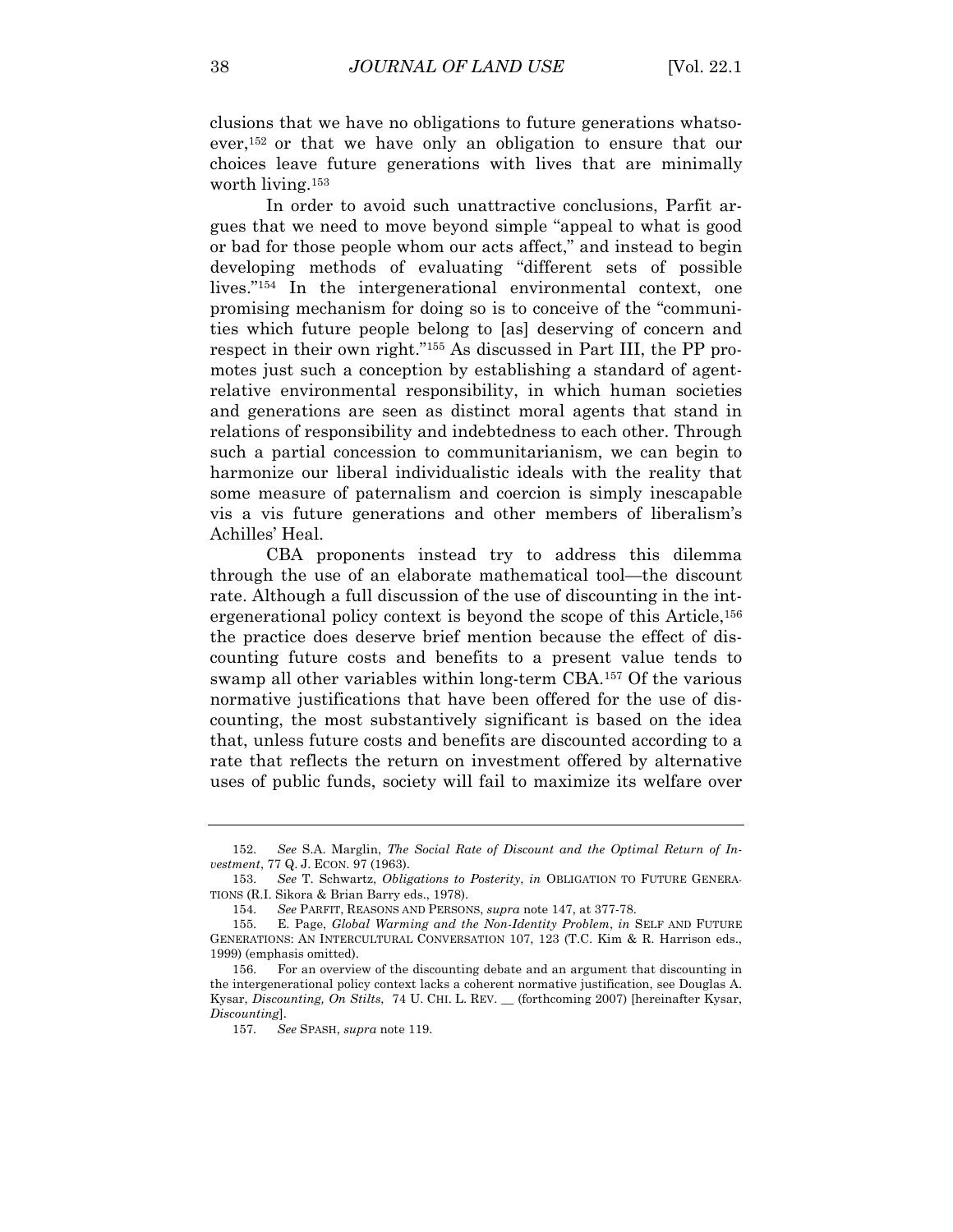clusions that we have no obligations to future generations whatsoever,152 or that we have only an obligation to ensure that our choices leave future generations with lives that are minimally worth living.153

In order to avoid such unattractive conclusions, Parfit argues that we need to move beyond simple "appeal to what is good or bad for those people whom our acts affect," and instead to begin developing methods of evaluating "different sets of possible lives."154 In the intergenerational environmental context, one promising mechanism for doing so is to conceive of the "communities which future people belong to [as] deserving of concern and respect in their own right."155 As discussed in Part III, the PP promotes just such a conception by establishing a standard of agentrelative environmental responsibility, in which human societies and generations are seen as distinct moral agents that stand in relations of responsibility and indebtedness to each other. Through such a partial concession to communitarianism, we can begin to harmonize our liberal individualistic ideals with the reality that some measure of paternalism and coercion is simply inescapable vis a vis future generations and other members of liberalism's Achilles' Heal.

CBA proponents instead try to address this dilemma through the use of an elaborate mathematical tool—the discount rate. Although a full discussion of the use of discounting in the intergenerational policy context is beyond the scope of this Article,156 the practice does deserve brief mention because the effect of discounting future costs and benefits to a present value tends to swamp all other variables within long-term CBA.157 Of the various normative justifications that have been offered for the use of discounting, the most substantively significant is based on the idea that, unless future costs and benefits are discounted according to a rate that reflects the return on investment offered by alternative uses of public funds, society will fail to maximize its welfare over

 <sup>152.</sup> *See* S.A. Marglin, *The Social Rate of Discount and the Optimal Return of Investment*, 77 Q. J. ECON. 97 (1963).

 <sup>153.</sup> *See* T. Schwartz, *Obligations to Posterity*, *in* OBLIGATION TO FUTURE GENERA-TIONS (R.I. Sikora & Brian Barry eds., 1978).

 <sup>154.</sup> *See* PARFIT, REASONS AND PERSONS, *supra* note 147, at 377-78.

 <sup>155.</sup> E. Page, *Global Warming and the Non-Identity Problem*, *in* SELF AND FUTURE GENERATIONS: AN INTERCULTURAL CONVERSATION 107, 123 (T.C. Kim & R. Harrison eds., 1999) (emphasis omitted).

 <sup>156.</sup> For an overview of the discounting debate and an argument that discounting in the intergenerational policy context lacks a coherent normative justification, see Douglas A. Kysar, *Discounting, On Stilts*, 74 U. CHI. L. REV. \_\_ (forthcoming 2007) [hereinafter Kysar, *Discounting*].

 <sup>157.</sup> *See* SPASH, *supra* note 119.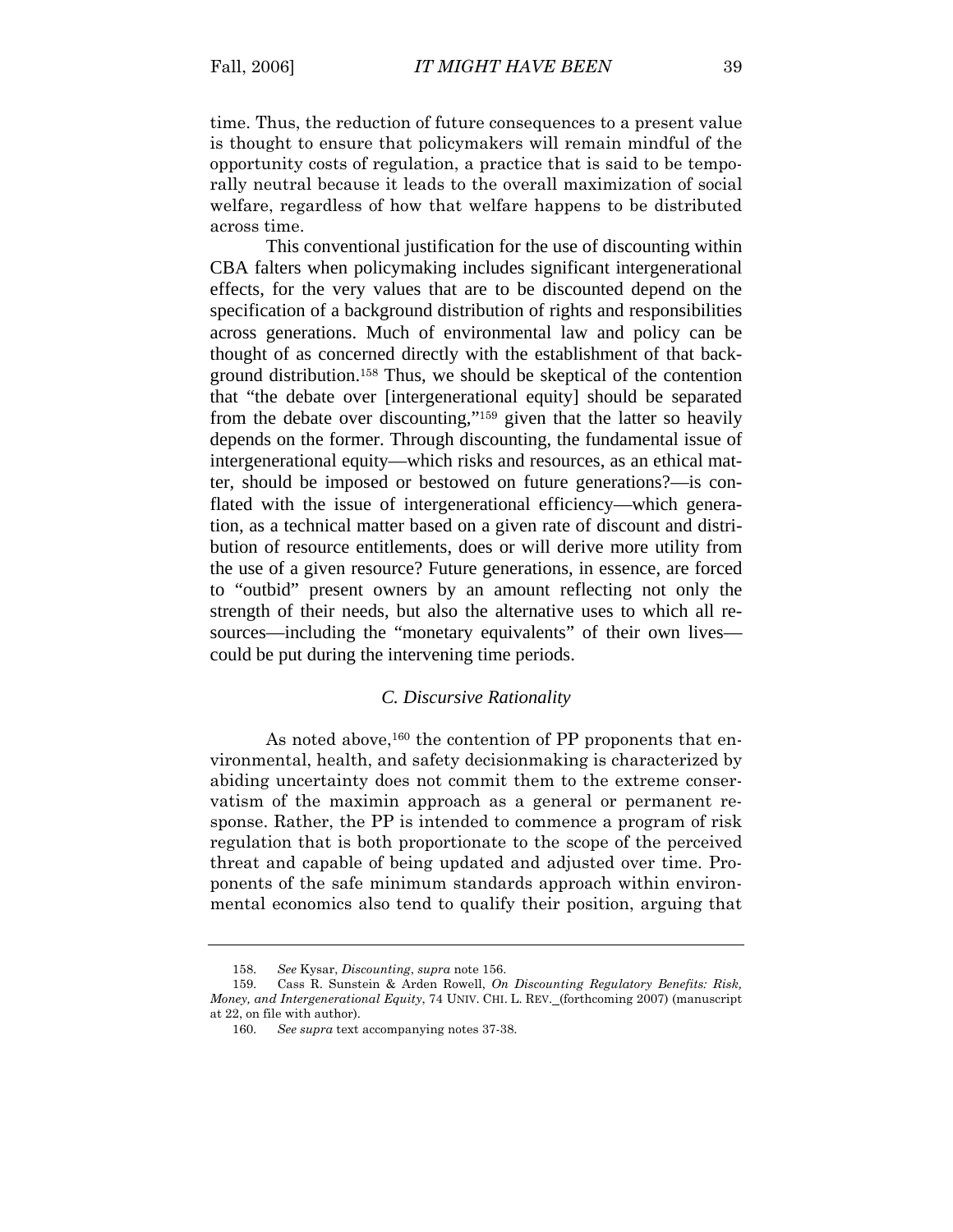time. Thus, the reduction of future consequences to a present value is thought to ensure that policymakers will remain mindful of the opportunity costs of regulation, a practice that is said to be temporally neutral because it leads to the overall maximization of social welfare, regardless of how that welfare happens to be distributed across time.

This conventional justification for the use of discounting within CBA falters when policymaking includes significant intergenerational effects, for the very values that are to be discounted depend on the specification of a background distribution of rights and responsibilities across generations. Much of environmental law and policy can be thought of as concerned directly with the establishment of that background distribution.158 Thus, we should be skeptical of the contention that "the debate over [intergenerational equity] should be separated from the debate over discounting,"159 given that the latter so heavily depends on the former. Through discounting, the fundamental issue of intergenerational equity—which risks and resources, as an ethical matter, should be imposed or bestowed on future generations?—is conflated with the issue of intergenerational efficiency—which generation, as a technical matter based on a given rate of discount and distribution of resource entitlements, does or will derive more utility from the use of a given resource? Future generations, in essence, are forced to "outbid" present owners by an amount reflecting not only the strength of their needs, but also the alternative uses to which all resources—including the "monetary equivalents" of their own lives could be put during the intervening time periods.

# *C. Discursive Rationality*

As noted above,<sup>160</sup> the contention of PP proponents that environmental, health, and safety decisionmaking is characterized by abiding uncertainty does not commit them to the extreme conservatism of the maximin approach as a general or permanent response. Rather, the PP is intended to commence a program of risk regulation that is both proportionate to the scope of the perceived threat and capable of being updated and adjusted over time. Proponents of the safe minimum standards approach within environmental economics also tend to qualify their position, arguing that

 <sup>158.</sup> *See* Kysar, *Discounting*, *supra* note 156.

 <sup>159.</sup> Cass R. Sunstein & Arden Rowell, *On Discounting Regulatory Benefits: Risk, Money, and Intergenerational Equity*, 74 UNIV. CHI. L. REV. (forthcoming 2007) (manuscript at 22, on file with author).

 <sup>160.</sup> *See supra* text accompanying notes 37-38.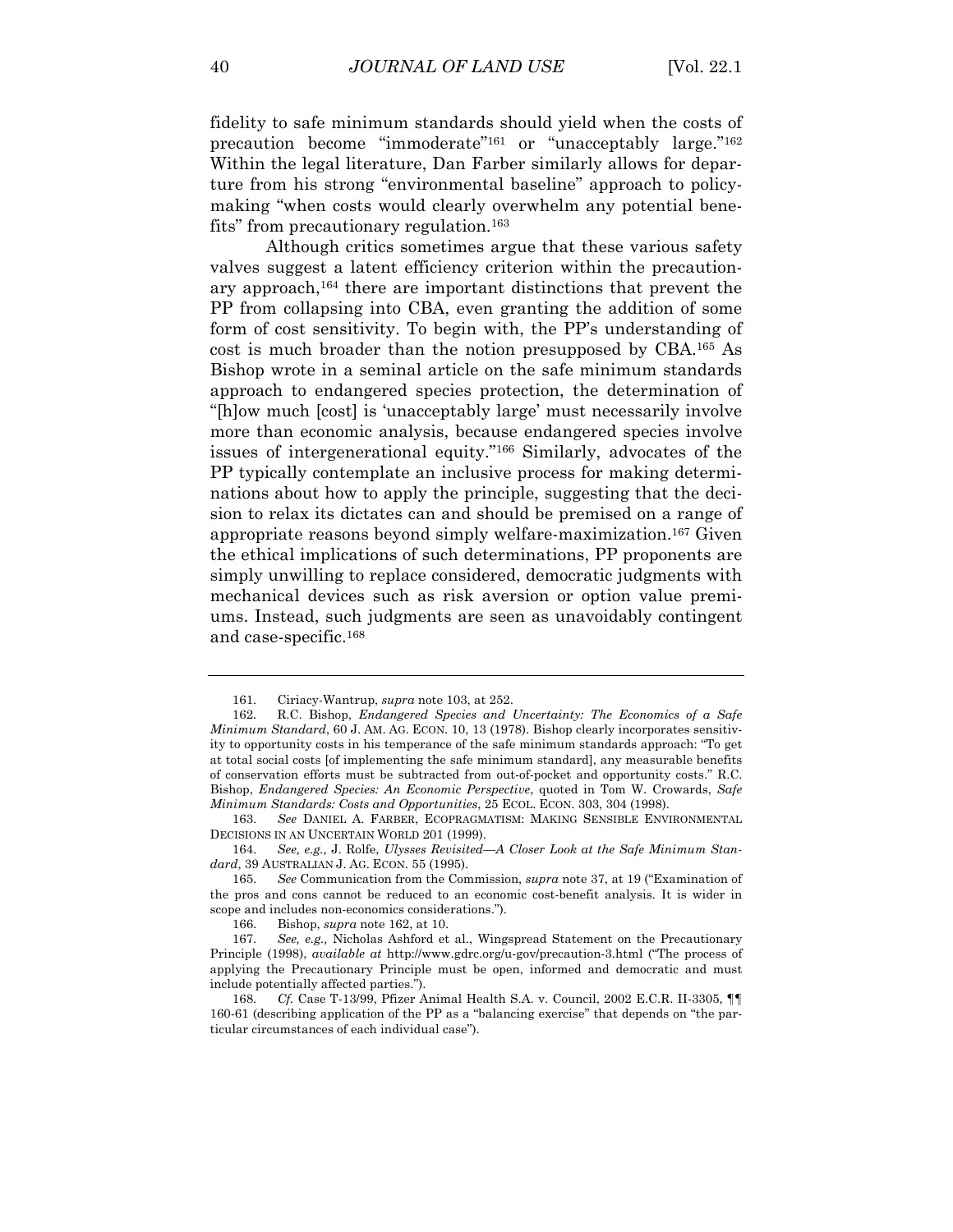fidelity to safe minimum standards should yield when the costs of precaution become "immoderate"161 or "unacceptably large."162 Within the legal literature, Dan Farber similarly allows for departure from his strong "environmental baseline" approach to policymaking "when costs would clearly overwhelm any potential benefits" from precautionary regulation.<sup>163</sup>

Although critics sometimes argue that these various safety valves suggest a latent efficiency criterion within the precautionary approach,164 there are important distinctions that prevent the PP from collapsing into CBA, even granting the addition of some form of cost sensitivity. To begin with, the PP's understanding of cost is much broader than the notion presupposed by CBA.165 As Bishop wrote in a seminal article on the safe minimum standards approach to endangered species protection, the determination of "[h]ow much [cost] is 'unacceptably large' must necessarily involve more than economic analysis, because endangered species involve issues of intergenerational equity."166 Similarly, advocates of the PP typically contemplate an inclusive process for making determinations about how to apply the principle, suggesting that the decision to relax its dictates can and should be premised on a range of appropriate reasons beyond simply welfare-maximization.167 Given the ethical implications of such determinations, PP proponents are simply unwilling to replace considered, democratic judgments with mechanical devices such as risk aversion or option value premiums. Instead, such judgments are seen as unavoidably contingent and case-specific.168

 <sup>161.</sup> Ciriacy-Wantrup, *supra* note 103, at 252.

 <sup>162.</sup> R.C. Bishop, *Endangered Species and Uncertainty: The Economics of a Safe Minimum Standard*, 60 J. AM. AG. ECON. 10, 13 (1978). Bishop clearly incorporates sensitivity to opportunity costs in his temperance of the safe minimum standards approach: "To get at total social costs [of implementing the safe minimum standard], any measurable benefits of conservation efforts must be subtracted from out-of-pocket and opportunity costs." R.C. Bishop, *Endangered Species: An Economic Perspective*, quoted in Tom W. Crowards, *Safe Minimum Standards: Costs and Opportunities*, 25 ECOL. ECON. 303, 304 (1998).

 <sup>163.</sup> *See* DANIEL A. FARBER, ECOPRAGMATISM: MAKING SENSIBLE ENVIRONMENTAL DECISIONS IN AN UNCERTAIN WORLD 201 (1999).

 <sup>164.</sup> *See, e.g.,* J. Rolfe, *Ulysses Revisited—A Closer Look at the Safe Minimum Standard*, 39 AUSTRALIAN J. AG. ECON. 55 (1995).

 <sup>165.</sup> *See* Communication from the Commission, *supra* note 37, at 19 ("Examination of the pros and cons cannot be reduced to an economic cost-benefit analysis. It is wider in scope and includes non-economics considerations.").

 <sup>166.</sup> Bishop, *supra* note 162, at 10.

 <sup>167.</sup> *See, e.g.,* Nicholas Ashford et al., Wingspread Statement on the Precautionary Principle (1998), *available at* http://www.gdrc.org/u-gov/precaution-3.html ("The process of applying the Precautionary Principle must be open, informed and democratic and must include potentially affected parties.").

 <sup>168.</sup> *Cf.* Case T-13/99, Pfizer Animal Health S.A. v. Council, 2002 E.C.R. II-3305, ¶¶ 160-61 (describing application of the PP as a "balancing exercise" that depends on "the particular circumstances of each individual case").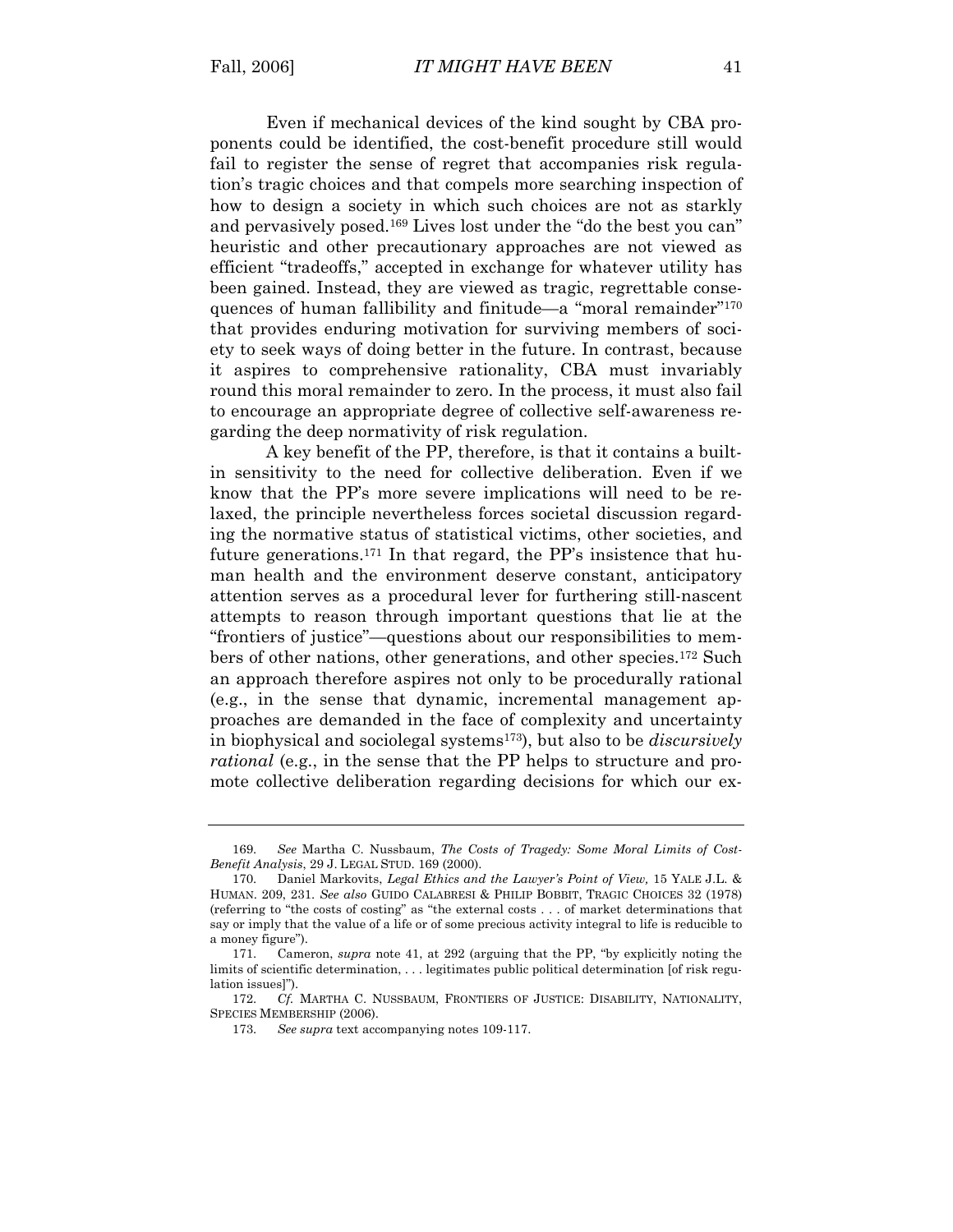Even if mechanical devices of the kind sought by CBA proponents could be identified, the cost-benefit procedure still would fail to register the sense of regret that accompanies risk regulation's tragic choices and that compels more searching inspection of how to design a society in which such choices are not as starkly and pervasively posed.169 Lives lost under the "do the best you can" heuristic and other precautionary approaches are not viewed as efficient "tradeoffs," accepted in exchange for whatever utility has been gained. Instead, they are viewed as tragic, regrettable consequences of human fallibility and finitude—a "moral remainder"170 that provides enduring motivation for surviving members of society to seek ways of doing better in the future. In contrast, because it aspires to comprehensive rationality, CBA must invariably round this moral remainder to zero. In the process, it must also fail to encourage an appropriate degree of collective self-awareness regarding the deep normativity of risk regulation.

A key benefit of the PP, therefore, is that it contains a builtin sensitivity to the need for collective deliberation. Even if we know that the PP's more severe implications will need to be relaxed, the principle nevertheless forces societal discussion regarding the normative status of statistical victims, other societies, and future generations.171 In that regard, the PP's insistence that human health and the environment deserve constant, anticipatory attention serves as a procedural lever for furthering still-nascent attempts to reason through important questions that lie at the "frontiers of justice"—questions about our responsibilities to members of other nations, other generations, and other species.172 Such an approach therefore aspires not only to be procedurally rational (e.g., in the sense that dynamic, incremental management approaches are demanded in the face of complexity and uncertainty in biophysical and sociolegal systems173), but also to be *discursively rational* (e.g., in the sense that the PP helps to structure and promote collective deliberation regarding decisions for which our ex-

 <sup>169.</sup> *See* Martha C. Nussbaum, *The Costs of Tragedy: Some Moral Limits of Cost-Benefit Analysis*, 29 J. LEGAL STUD. 169 (2000).

 <sup>170.</sup> Daniel Markovits, *Legal Ethics and the Lawyer's Point of View,* 15 YALE J.L. & HUMAN. 209, 231. *See also* GUIDO CALABRESI & PHILIP BOBBIT, TRAGIC CHOICES 32 (1978) (referring to "the costs of costing" as "the external costs . . . of market determinations that say or imply that the value of a life or of some precious activity integral to life is reducible to a money figure").

 <sup>171.</sup> Cameron, *supra* note 41, at 292 (arguing that the PP, "by explicitly noting the limits of scientific determination, . . . legitimates public political determination [of risk regulation issues]").

 <sup>172.</sup> *Cf.* MARTHA C. NUSSBAUM, FRONTIERS OF JUSTICE: DISABILITY, NATIONALITY, SPECIES MEMBERSHIP (2006).

 <sup>173.</sup> *See supra* text accompanying notes 109-117.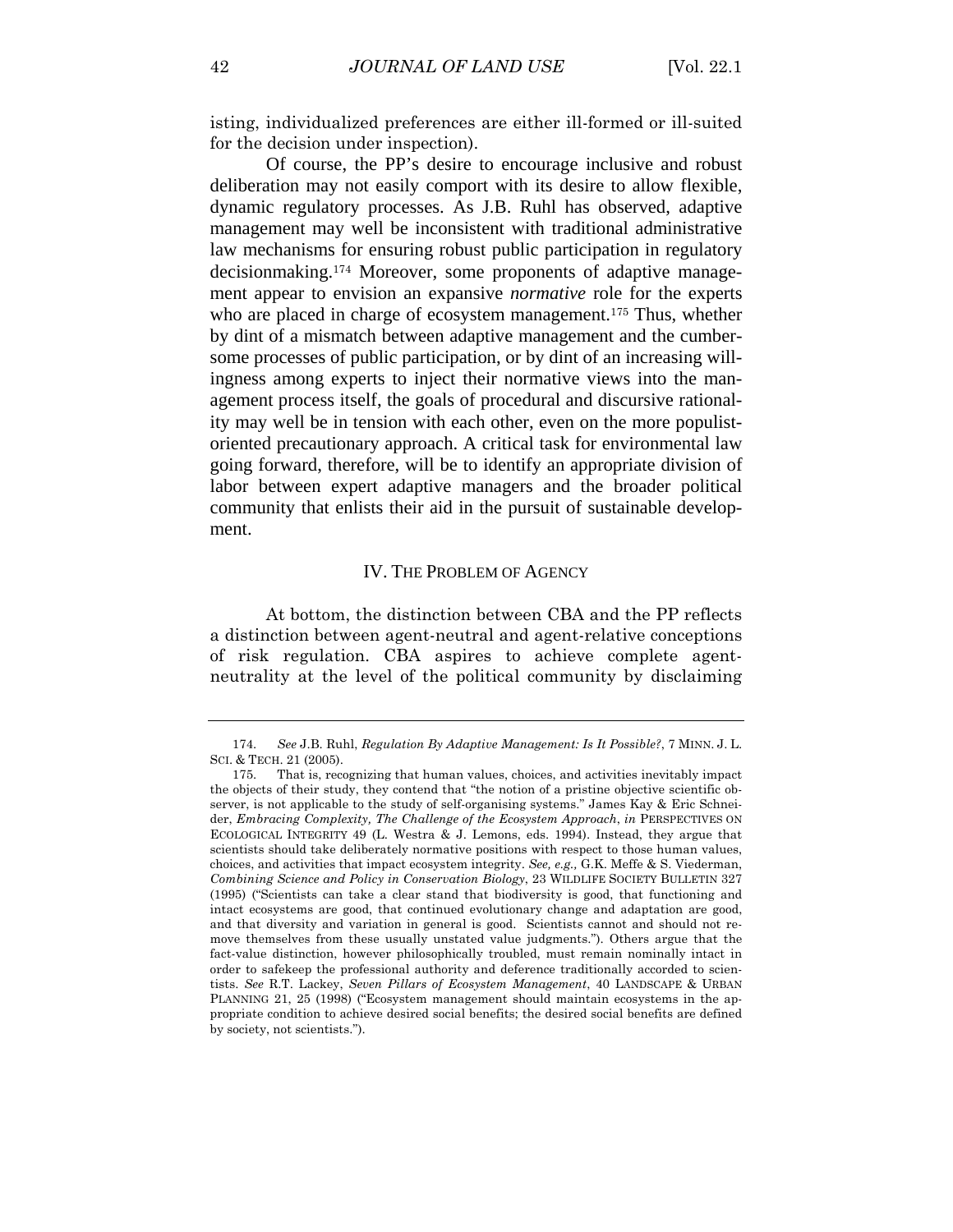isting, individualized preferences are either ill-formed or ill-suited for the decision under inspection).

Of course, the PP's desire to encourage inclusive and robust deliberation may not easily comport with its desire to allow flexible, dynamic regulatory processes. As J.B. Ruhl has observed, adaptive management may well be inconsistent with traditional administrative law mechanisms for ensuring robust public participation in regulatory decisionmaking.174 Moreover, some proponents of adaptive management appear to envision an expansive *normative* role for the experts who are placed in charge of ecosystem management.<sup>175</sup> Thus, whether by dint of a mismatch between adaptive management and the cumbersome processes of public participation, or by dint of an increasing willingness among experts to inject their normative views into the management process itself, the goals of procedural and discursive rationality may well be in tension with each other, even on the more populistoriented precautionary approach. A critical task for environmental law going forward, therefore, will be to identify an appropriate division of labor between expert adaptive managers and the broader political community that enlists their aid in the pursuit of sustainable development.

## IV. THE PROBLEM OF AGENCY

At bottom, the distinction between CBA and the PP reflects a distinction between agent-neutral and agent-relative conceptions of risk regulation. CBA aspires to achieve complete agentneutrality at the level of the political community by disclaiming

 <sup>174.</sup> *See* J.B. Ruhl, *Regulation By Adaptive Management: Is It Possible?*, 7 MINN. J. L. SCI. & TECH. 21 (2005).

 <sup>175.</sup> That is, recognizing that human values, choices, and activities inevitably impact the objects of their study, they contend that "the notion of a pristine objective scientific observer, is not applicable to the study of self-organising systems." James Kay & Eric Schneider, *Embracing Complexity, The Challenge of the Ecosystem Approach*, *in* PERSPECTIVES ON ECOLOGICAL INTEGRITY 49 (L. Westra & J. Lemons, eds. 1994). Instead, they argue that scientists should take deliberately normative positions with respect to those human values, choices, and activities that impact ecosystem integrity. *See, e.g.,* G.K. Meffe & S. Viederman, *Combining Science and Policy in Conservation Biology*, 23 WILDLIFE SOCIETY BULLETIN 327 (1995) ("Scientists can take a clear stand that biodiversity is good, that functioning and intact ecosystems are good, that continued evolutionary change and adaptation are good, and that diversity and variation in general is good. Scientists cannot and should not remove themselves from these usually unstated value judgments."). Others argue that the fact-value distinction, however philosophically troubled, must remain nominally intact in order to safekeep the professional authority and deference traditionally accorded to scientists. *See* R.T. Lackey, *Seven Pillars of Ecosystem Management*, 40 LANDSCAPE & URBAN PLANNING 21, 25 (1998) ("Ecosystem management should maintain ecosystems in the appropriate condition to achieve desired social benefits; the desired social benefits are defined by society, not scientists.").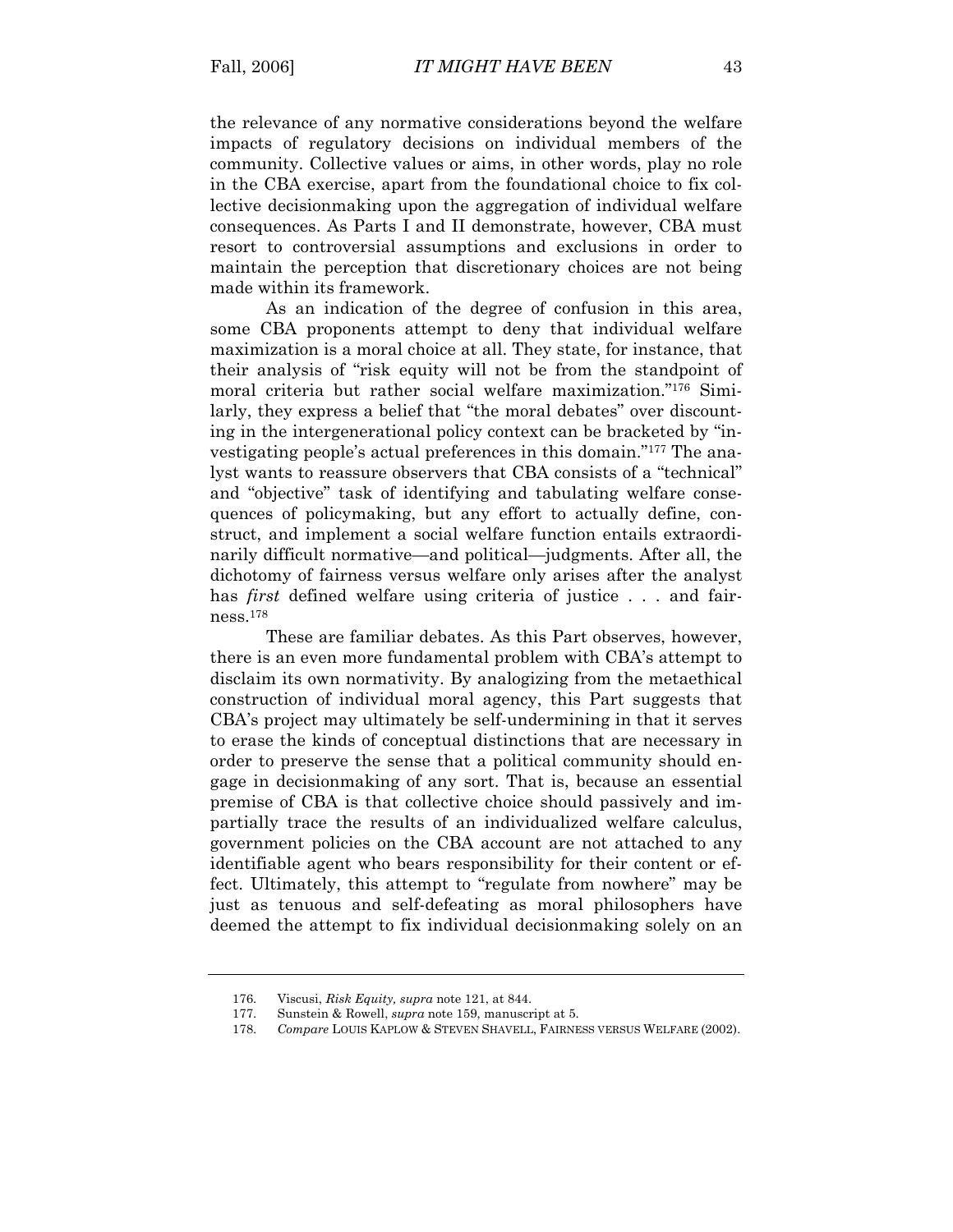the relevance of any normative considerations beyond the welfare impacts of regulatory decisions on individual members of the community. Collective values or aims, in other words, play no role in the CBA exercise, apart from the foundational choice to fix collective decisionmaking upon the aggregation of individual welfare consequences. As Parts I and II demonstrate, however, CBA must resort to controversial assumptions and exclusions in order to maintain the perception that discretionary choices are not being made within its framework.

As an indication of the degree of confusion in this area, some CBA proponents attempt to deny that individual welfare maximization is a moral choice at all. They state, for instance, that their analysis of "risk equity will not be from the standpoint of moral criteria but rather social welfare maximization."176 Similarly, they express a belief that "the moral debates" over discounting in the intergenerational policy context can be bracketed by "investigating people's actual preferences in this domain."177 The analyst wants to reassure observers that CBA consists of a "technical" and "objective" task of identifying and tabulating welfare consequences of policymaking, but any effort to actually define, construct, and implement a social welfare function entails extraordinarily difficult normative—and political—judgments. After all, the dichotomy of fairness versus welfare only arises after the analyst has *first* defined welfare using criteria of justice . . . and fairness.178

These are familiar debates. As this Part observes, however, there is an even more fundamental problem with CBA's attempt to disclaim its own normativity. By analogizing from the metaethical construction of individual moral agency, this Part suggests that CBA's project may ultimately be self-undermining in that it serves to erase the kinds of conceptual distinctions that are necessary in order to preserve the sense that a political community should engage in decisionmaking of any sort. That is, because an essential premise of CBA is that collective choice should passively and impartially trace the results of an individualized welfare calculus, government policies on the CBA account are not attached to any identifiable agent who bears responsibility for their content or effect. Ultimately, this attempt to "regulate from nowhere" may be just as tenuous and self-defeating as moral philosophers have deemed the attempt to fix individual decisionmaking solely on an

 <sup>176.</sup> Viscusi, *Risk Equity, supra* note 121, at 844.

 <sup>177.</sup> Sunstein & Rowell, *supra* note 159, manuscript at 5.

 <sup>178.</sup> *Compare* LOUIS KAPLOW & STEVEN SHAVELL, FAIRNESS VERSUS WELFARE (2002).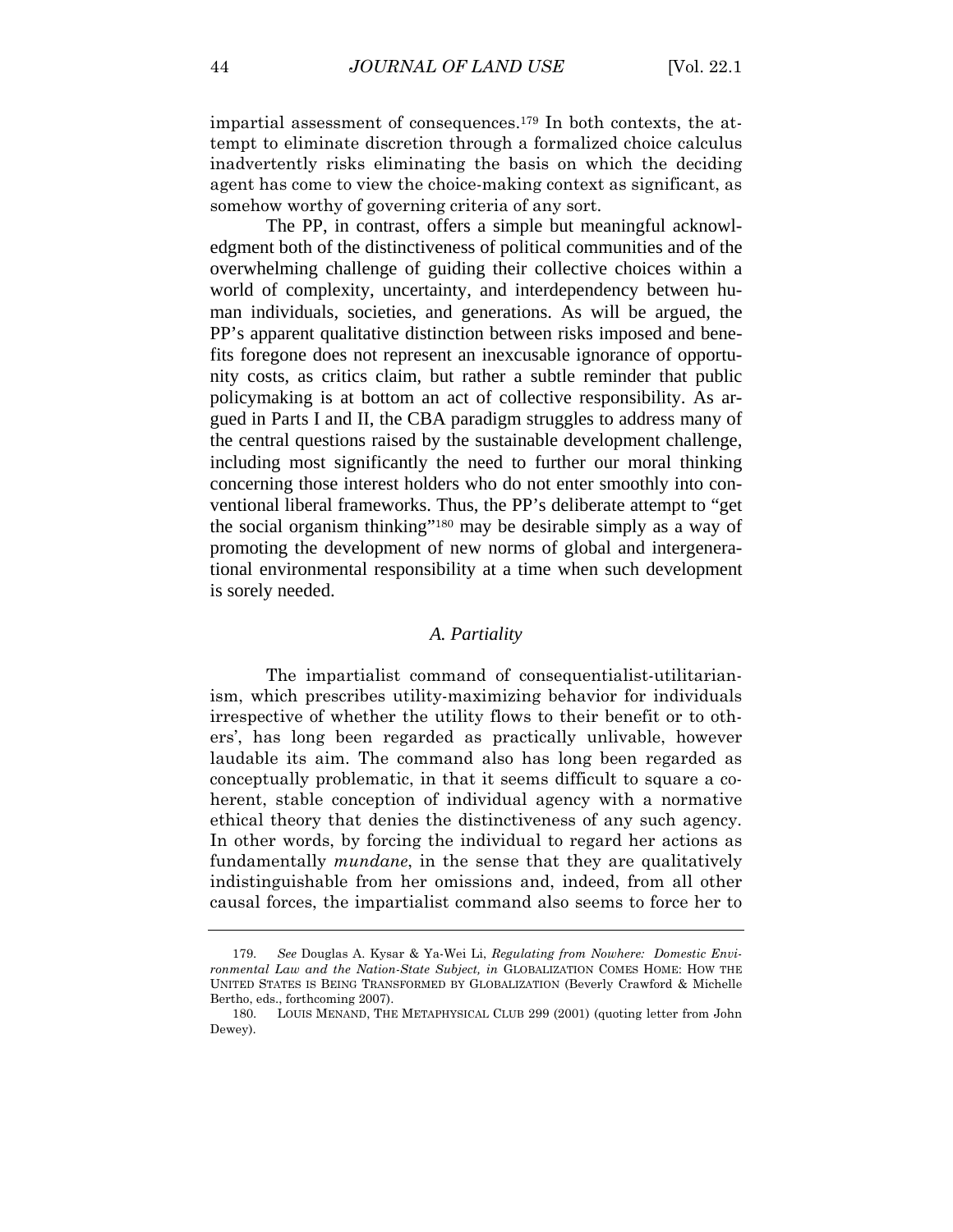impartial assessment of consequences.179 In both contexts, the attempt to eliminate discretion through a formalized choice calculus inadvertently risks eliminating the basis on which the deciding agent has come to view the choice-making context as significant, as somehow worthy of governing criteria of any sort.

The PP, in contrast, offers a simple but meaningful acknowledgment both of the distinctiveness of political communities and of the overwhelming challenge of guiding their collective choices within a world of complexity, uncertainty, and interdependency between human individuals, societies, and generations. As will be argued, the PP's apparent qualitative distinction between risks imposed and benefits foregone does not represent an inexcusable ignorance of opportunity costs, as critics claim, but rather a subtle reminder that public policymaking is at bottom an act of collective responsibility. As argued in Parts I and II, the CBA paradigm struggles to address many of the central questions raised by the sustainable development challenge, including most significantly the need to further our moral thinking concerning those interest holders who do not enter smoothly into conventional liberal frameworks. Thus, the PP's deliberate attempt to "get the social organism thinking"180 may be desirable simply as a way of promoting the development of new norms of global and intergenerational environmental responsibility at a time when such development is sorely needed.

## *A. Partiality*

The impartialist command of consequentialist-utilitarianism, which prescribes utility-maximizing behavior for individuals irrespective of whether the utility flows to their benefit or to others', has long been regarded as practically unlivable, however laudable its aim. The command also has long been regarded as conceptually problematic, in that it seems difficult to square a coherent, stable conception of individual agency with a normative ethical theory that denies the distinctiveness of any such agency. In other words, by forcing the individual to regard her actions as fundamentally *mundane*, in the sense that they are qualitatively indistinguishable from her omissions and, indeed, from all other causal forces, the impartialist command also seems to force her to

 <sup>179.</sup> *See* Douglas A. Kysar & Ya-Wei Li, *Regulating from Nowhere: Domestic Environmental Law and the Nation-State Subject, in* GLOBALIZATION COMES HOME: HOW THE UNITED STATES IS BEING TRANSFORMED BY GLOBALIZATION (Beverly Crawford & Michelle Bertho, eds., forthcoming 2007).

 <sup>180.</sup> LOUIS MENAND, THE METAPHYSICAL CLUB 299 (2001) (quoting letter from John Dewey).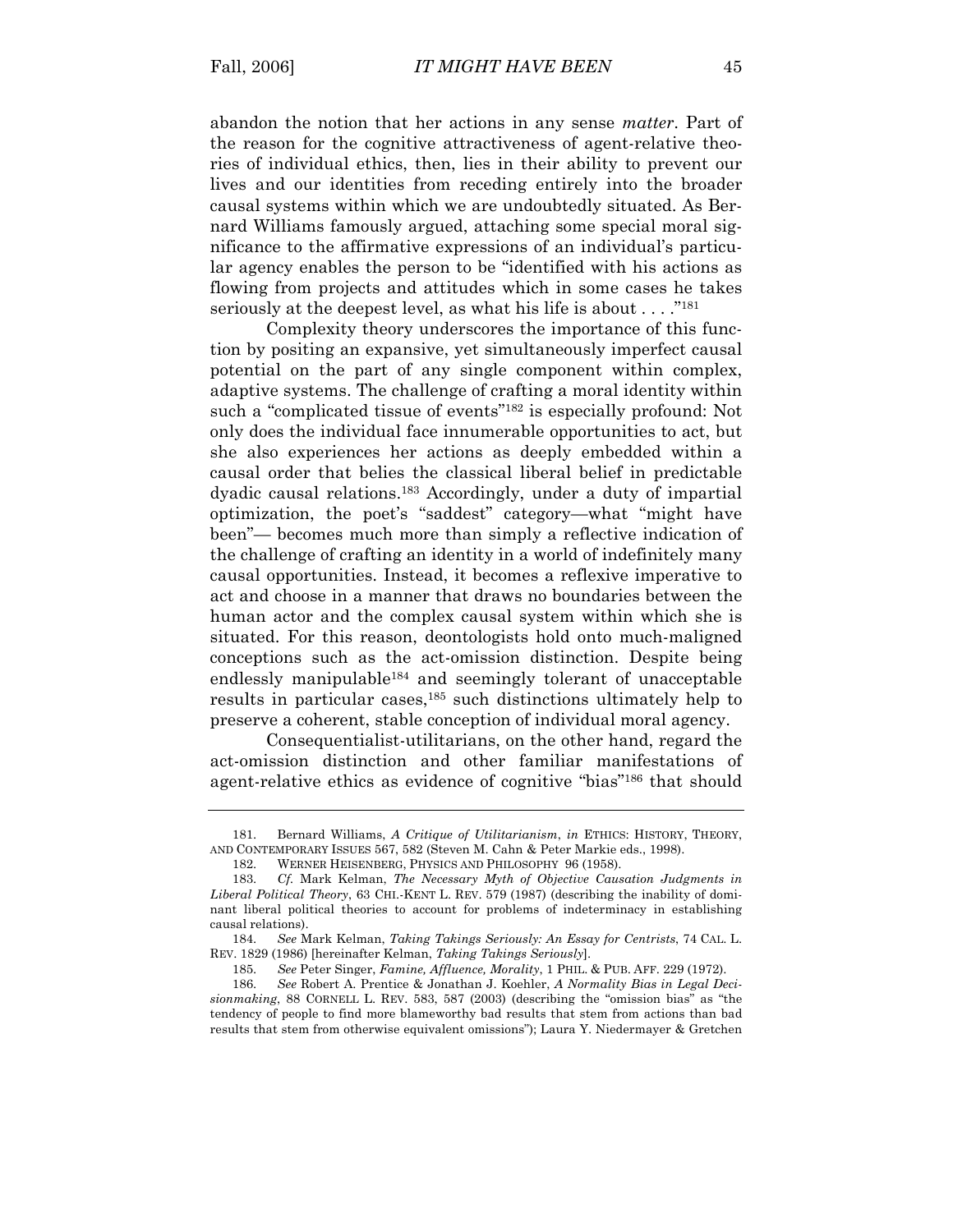abandon the notion that her actions in any sense *matter*. Part of the reason for the cognitive attractiveness of agent-relative theories of individual ethics, then, lies in their ability to prevent our lives and our identities from receding entirely into the broader causal systems within which we are undoubtedly situated. As Bernard Williams famously argued, attaching some special moral significance to the affirmative expressions of an individual's particular agency enables the person to be "identified with his actions as flowing from projects and attitudes which in some cases he takes seriously at the deepest level, as what his life is about  $\dots$ ."<sup>181</sup>

Complexity theory underscores the importance of this function by positing an expansive, yet simultaneously imperfect causal potential on the part of any single component within complex, adaptive systems. The challenge of crafting a moral identity within such a "complicated tissue of events"182 is especially profound: Not only does the individual face innumerable opportunities to act, but she also experiences her actions as deeply embedded within a causal order that belies the classical liberal belief in predictable dyadic causal relations.183 Accordingly, under a duty of impartial optimization, the poet's "saddest" category—what "might have been"— becomes much more than simply a reflective indication of the challenge of crafting an identity in a world of indefinitely many causal opportunities. Instead, it becomes a reflexive imperative to act and choose in a manner that draws no boundaries between the human actor and the complex causal system within which she is situated. For this reason, deontologists hold onto much-maligned conceptions such as the act-omission distinction. Despite being endlessly manipulable<sup>184</sup> and seemingly tolerant of unacceptable results in particular cases,185 such distinctions ultimately help to preserve a coherent, stable conception of individual moral agency.

Consequentialist-utilitarians, on the other hand, regard the act-omission distinction and other familiar manifestations of agent-relative ethics as evidence of cognitive "bias"186 that should

 <sup>181.</sup> Bernard Williams, *A Critique of Utilitarianism*, *in* ETHICS: HISTORY, THEORY, AND CONTEMPORARY ISSUES 567, 582 (Steven M. Cahn & Peter Markie eds., 1998).

 <sup>182.</sup> WERNER HEISENBERG, PHYSICS AND PHILOSOPHY 96 (1958).

 <sup>183.</sup> *Cf.* Mark Kelman, *The Necessary Myth of Objective Causation Judgments in Liberal Political Theory*, 63 CHI.-KENT L. REV. 579 (1987) (describing the inability of dominant liberal political theories to account for problems of indeterminacy in establishing causal relations).

 <sup>184.</sup> *See* Mark Kelman, *Taking Takings Seriously: An Essay for Centrists*, 74 CAL. L. REV. 1829 (1986) [hereinafter Kelman, *Taking Takings Seriously*].

 <sup>185.</sup> *See* Peter Singer, *Famine, Affluence, Morality*, 1 PHIL. & PUB. AFF. 229 (1972).

 <sup>186.</sup> *See* Robert A. Prentice & Jonathan J. Koehler, *A Normality Bias in Legal Decisionmaking*, 88 CORNELL L. REV. 583, 587 (2003) (describing the "omission bias" as "the tendency of people to find more blameworthy bad results that stem from actions than bad results that stem from otherwise equivalent omissions"); Laura Y. Niedermayer & Gretchen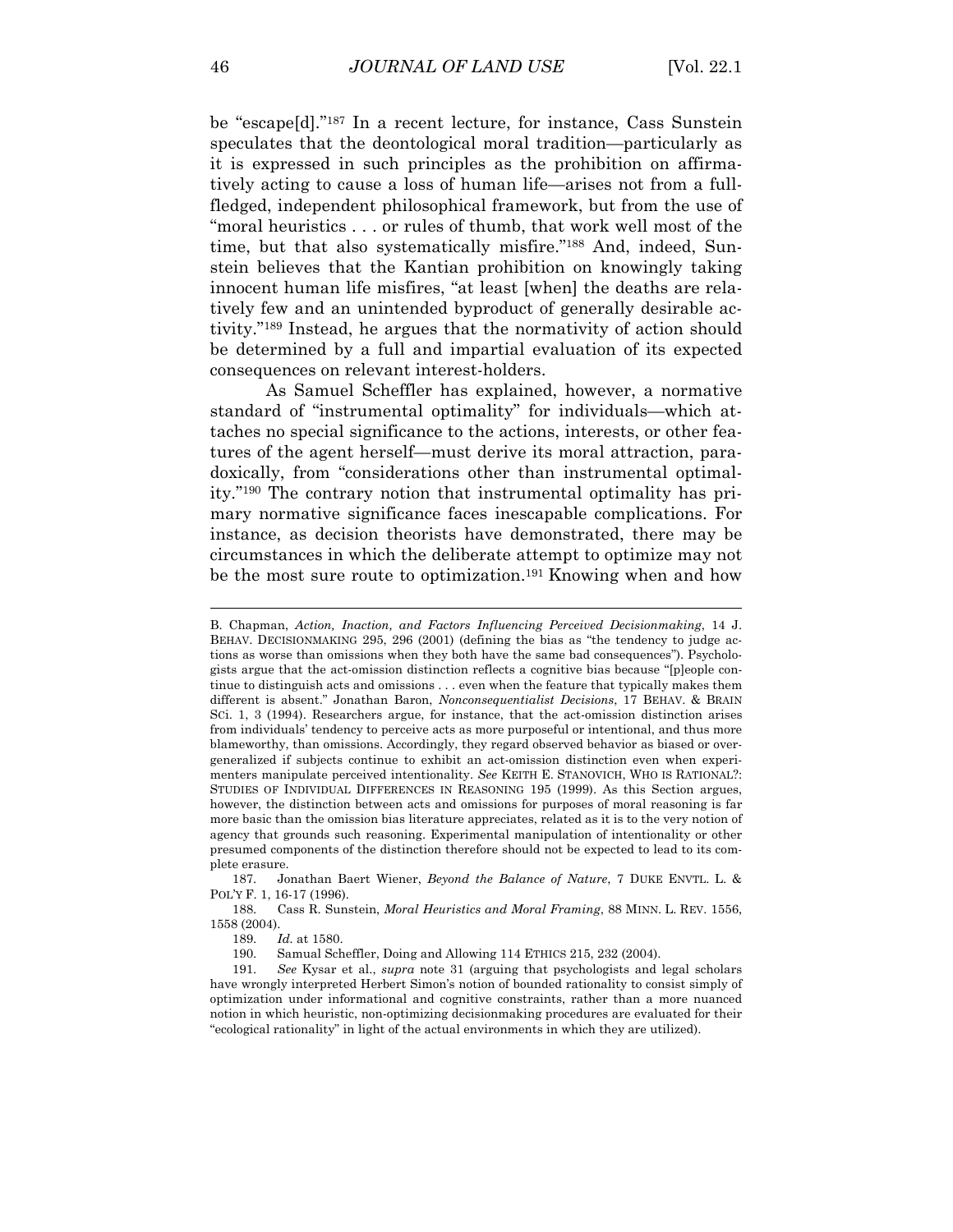be "escape[d]."187 In a recent lecture, for instance, Cass Sunstein speculates that the deontological moral tradition—particularly as it is expressed in such principles as the prohibition on affirmatively acting to cause a loss of human life*—*arises not from a fullfledged, independent philosophical framework, but from the use of "moral heuristics . . . or rules of thumb, that work well most of the time, but that also systematically misfire."188 And, indeed, Sunstein believes that the Kantian prohibition on knowingly taking innocent human life misfires, "at least [when] the deaths are relatively few and an unintended byproduct of generally desirable activity."189 Instead, he argues that the normativity of action should be determined by a full and impartial evaluation of its expected consequences on relevant interest-holders.

As Samuel Scheffler has explained, however, a normative standard of "instrumental optimality" for individuals—which attaches no special significance to the actions, interests, or other features of the agent herself—must derive its moral attraction, paradoxically, from "considerations other than instrumental optimality."190 The contrary notion that instrumental optimality has primary normative significance faces inescapable complications. For instance, as decision theorists have demonstrated, there may be circumstances in which the deliberate attempt to optimize may not be the most sure route to optimization.<sup>191</sup> Knowing when and how

B. Chapman, *Action, Inaction, and Factors Influencing Perceived Decisionmaking*, 14 J. BEHAV. DECISIONMAKING 295, 296 (2001) (defining the bias as "the tendency to judge actions as worse than omissions when they both have the same bad consequences"). Psychologists argue that the act-omission distinction reflects a cognitive bias because "[p]eople continue to distinguish acts and omissions . . . even when the feature that typically makes them different is absent." Jonathan Baron, *Nonconsequentialist Decisions*, 17 BEHAV. & BRAIN SCi. 1, 3 (1994). Researchers argue, for instance, that the act-omission distinction arises from individuals' tendency to perceive acts as more purposeful or intentional, and thus more blameworthy, than omissions. Accordingly, they regard observed behavior as biased or overgeneralized if subjects continue to exhibit an act-omission distinction even when experimenters manipulate perceived intentionality. *See* KEITH E. STANOVICH, WHO IS RATIONAL?: STUDIES OF INDIVIDUAL DIFFERENCES IN REASONING 195 (1999). As this Section argues, however, the distinction between acts and omissions for purposes of moral reasoning is far more basic than the omission bias literature appreciates, related as it is to the very notion of agency that grounds such reasoning. Experimental manipulation of intentionality or other presumed components of the distinction therefore should not be expected to lead to its complete erasure.

 <sup>187.</sup> Jonathan Baert Wiener, *Beyond the Balance of Nature*, 7 DUKE ENVTL. L. & POL'Y F. 1, 16-17 (1996).

 <sup>188.</sup> Cass R. Sunstein, *Moral Heuristics and Moral Framing*, 88 MINN. L. REV. 1556, 1558 (2004).

 <sup>189.</sup> *Id.* at 1580.

 <sup>190.</sup> Samual Scheffler, Doing and Allowing 114 ETHICS 215, 232 (2004).

 <sup>191.</sup> *See* Kysar et al., *supra* note 31 (arguing that psychologists and legal scholars have wrongly interpreted Herbert Simon's notion of bounded rationality to consist simply of optimization under informational and cognitive constraints, rather than a more nuanced notion in which heuristic, non-optimizing decisionmaking procedures are evaluated for their "ecological rationality" in light of the actual environments in which they are utilized).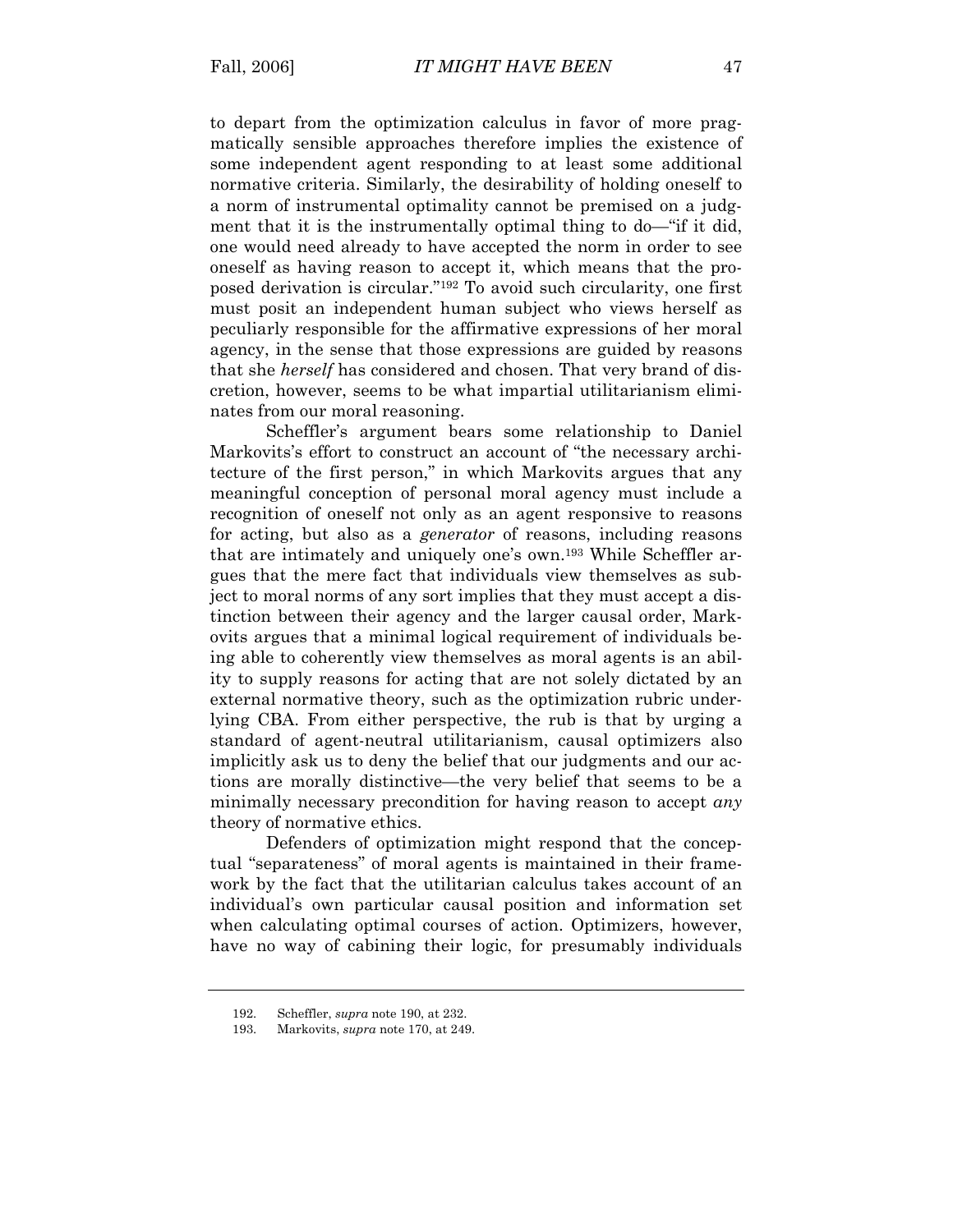to depart from the optimization calculus in favor of more pragmatically sensible approaches therefore implies the existence of some independent agent responding to at least some additional normative criteria. Similarly, the desirability of holding oneself to a norm of instrumental optimality cannot be premised on a judgment that it is the instrumentally optimal thing to do—"if it did, one would need already to have accepted the norm in order to see oneself as having reason to accept it, which means that the proposed derivation is circular."192 To avoid such circularity, one first must posit an independent human subject who views herself as peculiarly responsible for the affirmative expressions of her moral agency, in the sense that those expressions are guided by reasons that she *herself* has considered and chosen. That very brand of discretion, however, seems to be what impartial utilitarianism eliminates from our moral reasoning.

Scheffler's argument bears some relationship to Daniel Markovits's effort to construct an account of "the necessary architecture of the first person," in which Markovits argues that any meaningful conception of personal moral agency must include a recognition of oneself not only as an agent responsive to reasons for acting, but also as a *generator* of reasons, including reasons that are intimately and uniquely one's own.193 While Scheffler argues that the mere fact that individuals view themselves as subject to moral norms of any sort implies that they must accept a distinction between their agency and the larger causal order, Markovits argues that a minimal logical requirement of individuals being able to coherently view themselves as moral agents is an ability to supply reasons for acting that are not solely dictated by an external normative theory, such as the optimization rubric underlying CBA. From either perspective, the rub is that by urging a standard of agent-neutral utilitarianism, causal optimizers also implicitly ask us to deny the belief that our judgments and our actions are morally distinctive—the very belief that seems to be a minimally necessary precondition for having reason to accept *any* theory of normative ethics.

Defenders of optimization might respond that the conceptual "separateness" of moral agents is maintained in their framework by the fact that the utilitarian calculus takes account of an individual's own particular causal position and information set when calculating optimal courses of action. Optimizers, however, have no way of cabining their logic, for presumably individuals

 <sup>192.</sup> Scheffler, *supra* note 190, at 232.

 <sup>193.</sup> Markovits, *supra* note 170, at 249.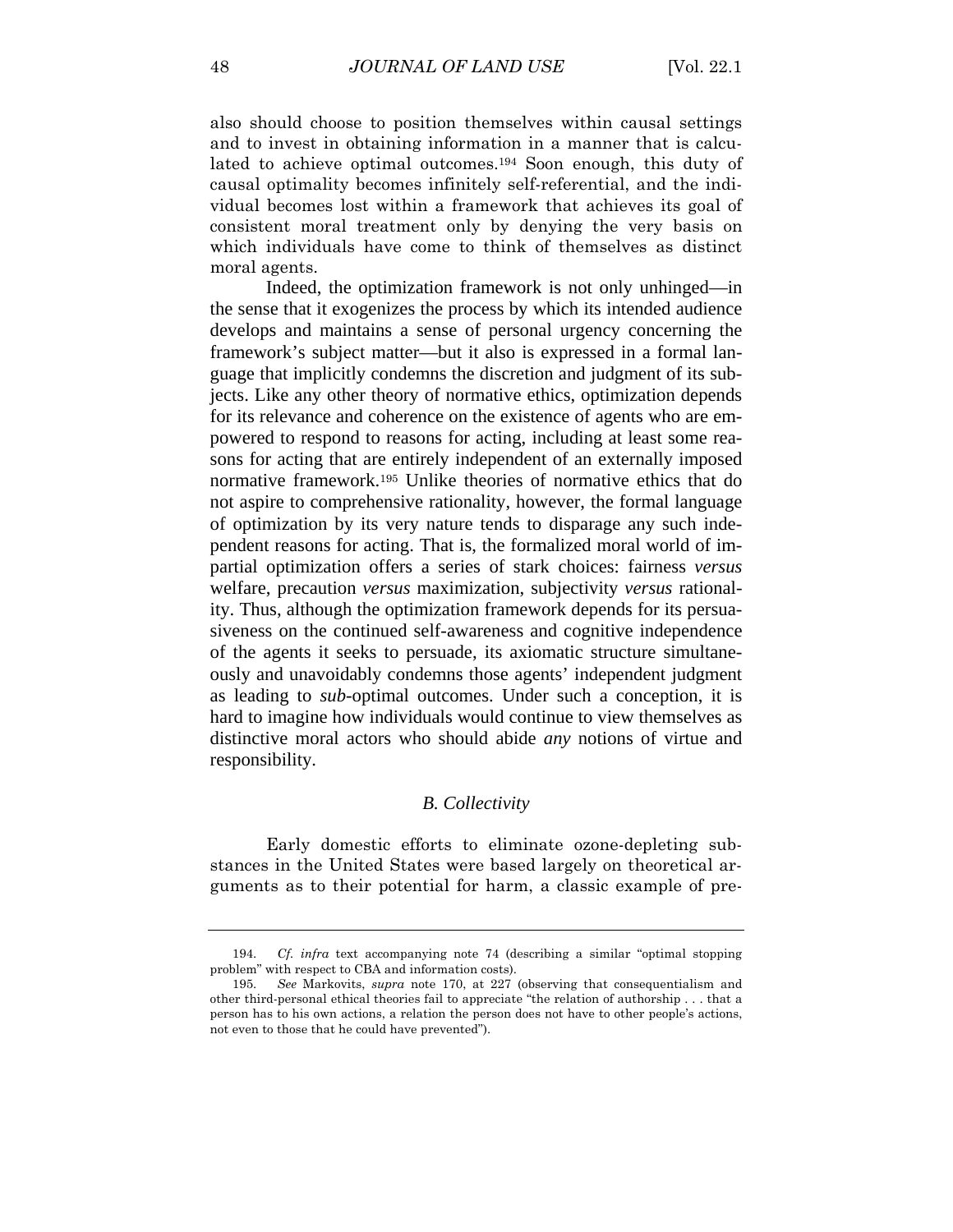also should choose to position themselves within causal settings and to invest in obtaining information in a manner that is calculated to achieve optimal outcomes.194 Soon enough, this duty of causal optimality becomes infinitely self-referential, and the individual becomes lost within a framework that achieves its goal of consistent moral treatment only by denying the very basis on which individuals have come to think of themselves as distinct moral agents.

Indeed, the optimization framework is not only unhinged—in the sense that it exogenizes the process by which its intended audience develops and maintains a sense of personal urgency concerning the framework's subject matter—but it also is expressed in a formal language that implicitly condemns the discretion and judgment of its subjects. Like any other theory of normative ethics, optimization depends for its relevance and coherence on the existence of agents who are empowered to respond to reasons for acting, including at least some reasons for acting that are entirely independent of an externally imposed normative framework.195 Unlike theories of normative ethics that do not aspire to comprehensive rationality, however, the formal language of optimization by its very nature tends to disparage any such independent reasons for acting. That is, the formalized moral world of impartial optimization offers a series of stark choices: fairness *versus* welfare, precaution *versus* maximization, subjectivity *versus* rationality. Thus, although the optimization framework depends for its persuasiveness on the continued self-awareness and cognitive independence of the agents it seeks to persuade, its axiomatic structure simultaneously and unavoidably condemns those agents' independent judgment as leading to *sub*-optimal outcomes. Under such a conception, it is hard to imagine how individuals would continue to view themselves as distinctive moral actors who should abide *any* notions of virtue and responsibility.

### *B. Collectivity*

Early domestic efforts to eliminate ozone-depleting substances in the United States were based largely on theoretical arguments as to their potential for harm, a classic example of pre-

 <sup>194.</sup> *Cf. infra* text accompanying note 74 (describing a similar "optimal stopping problem" with respect to CBA and information costs).

 <sup>195.</sup> *See* Markovits, *supra* note 170, at 227 (observing that consequentialism and other third-personal ethical theories fail to appreciate "the relation of authorship . . . that a person has to his own actions, a relation the person does not have to other people's actions, not even to those that he could have prevented").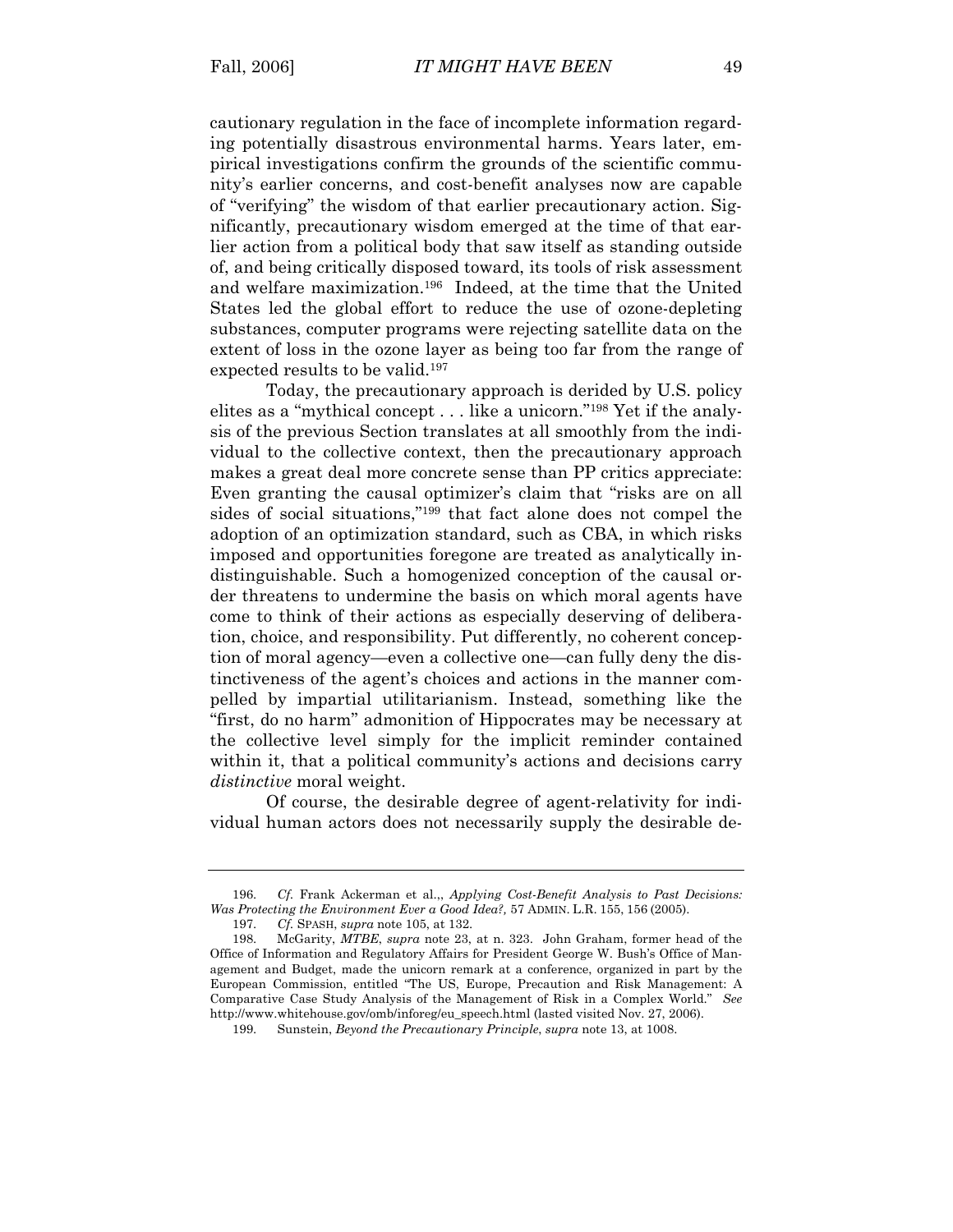cautionary regulation in the face of incomplete information regarding potentially disastrous environmental harms. Years later, empirical investigations confirm the grounds of the scientific community's earlier concerns, and cost-benefit analyses now are capable of "verifying" the wisdom of that earlier precautionary action. Significantly, precautionary wisdom emerged at the time of that earlier action from a political body that saw itself as standing outside of, and being critically disposed toward, its tools of risk assessment and welfare maximization.196 Indeed, at the time that the United States led the global effort to reduce the use of ozone-depleting substances, computer programs were rejecting satellite data on the extent of loss in the ozone layer as being too far from the range of expected results to be valid.197

Today, the precautionary approach is derided by U.S. policy elites as a "mythical concept . . . like a unicorn."198 Yet if the analysis of the previous Section translates at all smoothly from the individual to the collective context, then the precautionary approach makes a great deal more concrete sense than PP critics appreciate: Even granting the causal optimizer's claim that "risks are on all sides of social situations,"199 that fact alone does not compel the adoption of an optimization standard, such as CBA, in which risks imposed and opportunities foregone are treated as analytically indistinguishable. Such a homogenized conception of the causal order threatens to undermine the basis on which moral agents have come to think of their actions as especially deserving of deliberation, choice, and responsibility. Put differently, no coherent conception of moral agency—even a collective one—can fully deny the distinctiveness of the agent's choices and actions in the manner compelled by impartial utilitarianism. Instead, something like the "first, do no harm" admonition of Hippocrates may be necessary at the collective level simply for the implicit reminder contained within it, that a political community's actions and decisions carry *distinctive* moral weight.

Of course, the desirable degree of agent-relativity for individual human actors does not necessarily supply the desirable de-

 <sup>196.</sup> *Cf.* Frank Ackerman et al.,, *Applying Cost-Benefit Analysis to Past Decisions: Was Protecting the Environment Ever a Good Idea?,* 57 ADMIN. L.R. 155, 156 (2005).

 <sup>197.</sup> *Cf.* SPASH, *supra* note 105, at 132.

 <sup>198.</sup> McGarity, *MTBE*, *supra* note 23, at n. 323. John Graham, former head of the Office of Information and Regulatory Affairs for President George W. Bush's Office of Management and Budget, made the unicorn remark at a conference, organized in part by the European Commission, entitled "The US, Europe, Precaution and Risk Management: A Comparative Case Study Analysis of the Management of Risk in a Complex World." *See*  http://www.whitehouse.gov/omb/inforeg/eu\_speech.html (lasted visited Nov. 27, 2006).

 <sup>199.</sup> Sunstein, *Beyond the Precautionary Principle*, *supra* note 13, at 1008.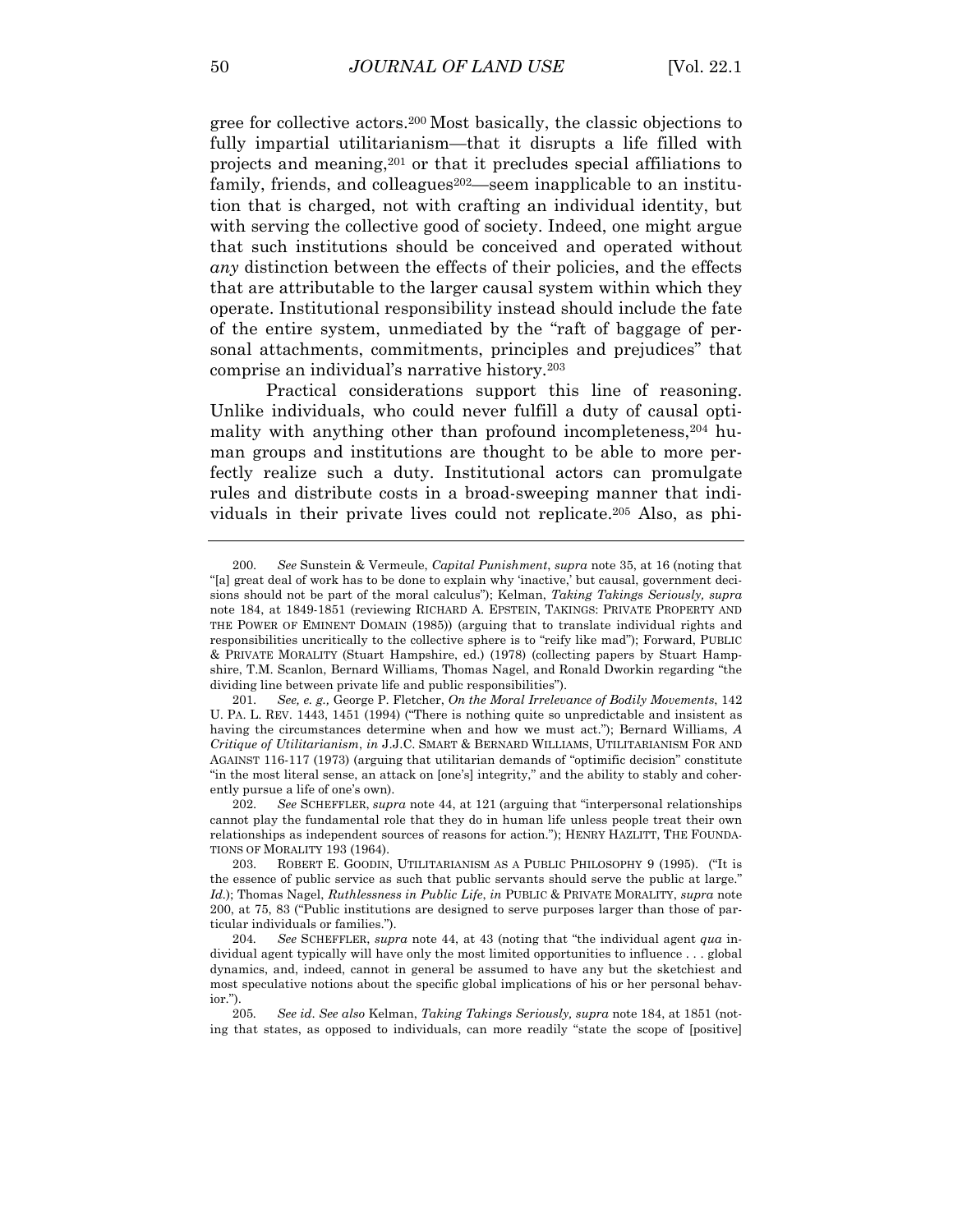gree for collective actors.200 Most basically, the classic objections to fully impartial utilitarianism—that it disrupts a life filled with projects and meaning,201 or that it precludes special affiliations to family, friends, and colleagues  $202$ —seem inapplicable to an institution that is charged, not with crafting an individual identity, but with serving the collective good of society. Indeed, one might argue that such institutions should be conceived and operated without *any* distinction between the effects of their policies, and the effects that are attributable to the larger causal system within which they operate. Institutional responsibility instead should include the fate of the entire system, unmediated by the "raft of baggage of personal attachments, commitments, principles and prejudices" that comprise an individual's narrative history.203

Practical considerations support this line of reasoning. Unlike individuals, who could never fulfill a duty of causal optimality with anything other than profound incompleteness,  $204$  human groups and institutions are thought to be able to more perfectly realize such a duty. Institutional actors can promulgate rules and distribute costs in a broad-sweeping manner that individuals in their private lives could not replicate.205 Also, as phi-

 <sup>200.</sup> *See* Sunstein & Vermeule, *Capital Punishment*, *supra* note 35, at 16 (noting that "[a] great deal of work has to be done to explain why 'inactive,' but causal, government decisions should not be part of the moral calculus"); Kelman, *Taking Takings Seriously, supra* note 184, at 1849-1851 (reviewing RICHARD A. EPSTEIN, TAKINGS: PRIVATE PROPERTY AND THE POWER OF EMINENT DOMAIN (1985)) (arguing that to translate individual rights and responsibilities uncritically to the collective sphere is to "reify like mad"); Forward, PUBLIC & PRIVATE MORALITY (Stuart Hampshire, ed.) (1978) (collecting papers by Stuart Hampshire, T.M. Scanlon, Bernard Williams, Thomas Nagel, and Ronald Dworkin regarding "the dividing line between private life and public responsibilities").

 <sup>201.</sup> *See, e. g.,* George P. Fletcher, *On the Moral Irrelevance of Bodily Movements*, 142 U. PA. L. REV. 1443, 1451 (1994) ("There is nothing quite so unpredictable and insistent as having the circumstances determine when and how we must act."); Bernard Williams, *A Critique of Utilitarianism*, *in* J.J.C. SMART & BERNARD WILLIAMS, UTILITARIANISM FOR AND AGAINST 116-117 (1973) (arguing that utilitarian demands of "optimific decision" constitute "in the most literal sense, an attack on [one's] integrity," and the ability to stably and coherently pursue a life of one's own).

 <sup>202.</sup> *See* SCHEFFLER, *supra* note 44, at 121 (arguing that "interpersonal relationships cannot play the fundamental role that they do in human life unless people treat their own relationships as independent sources of reasons for action."); HENRY HAZLITT, THE FOUNDA-TIONS OF MORALITY 193 (1964).

 <sup>203.</sup> ROBERT E. GOODIN, UTILITARIANISM AS A PUBLIC PHILOSOPHY 9 (1995). ("It is the essence of public service as such that public servants should serve the public at large." *Id.*); Thomas Nagel, *Ruthlessness in Public Life*, *in* PUBLIC & PRIVATE MORALITY, *supra* note 200, at 75, 83 ("Public institutions are designed to serve purposes larger than those of particular individuals or families.").

<sup>204</sup>*. See* SCHEFFLER, *supra* note 44, at 43 (noting that "the individual agent *qua* individual agent typically will have only the most limited opportunities to influence . . . global dynamics, and, indeed, cannot in general be assumed to have any but the sketchiest and most speculative notions about the specific global implications of his or her personal behavior.").

<sup>205</sup>*. See id*. *See also* Kelman, *Taking Takings Seriously, supra* note 184, at 1851 (noting that states, as opposed to individuals, can more readily "state the scope of [positive]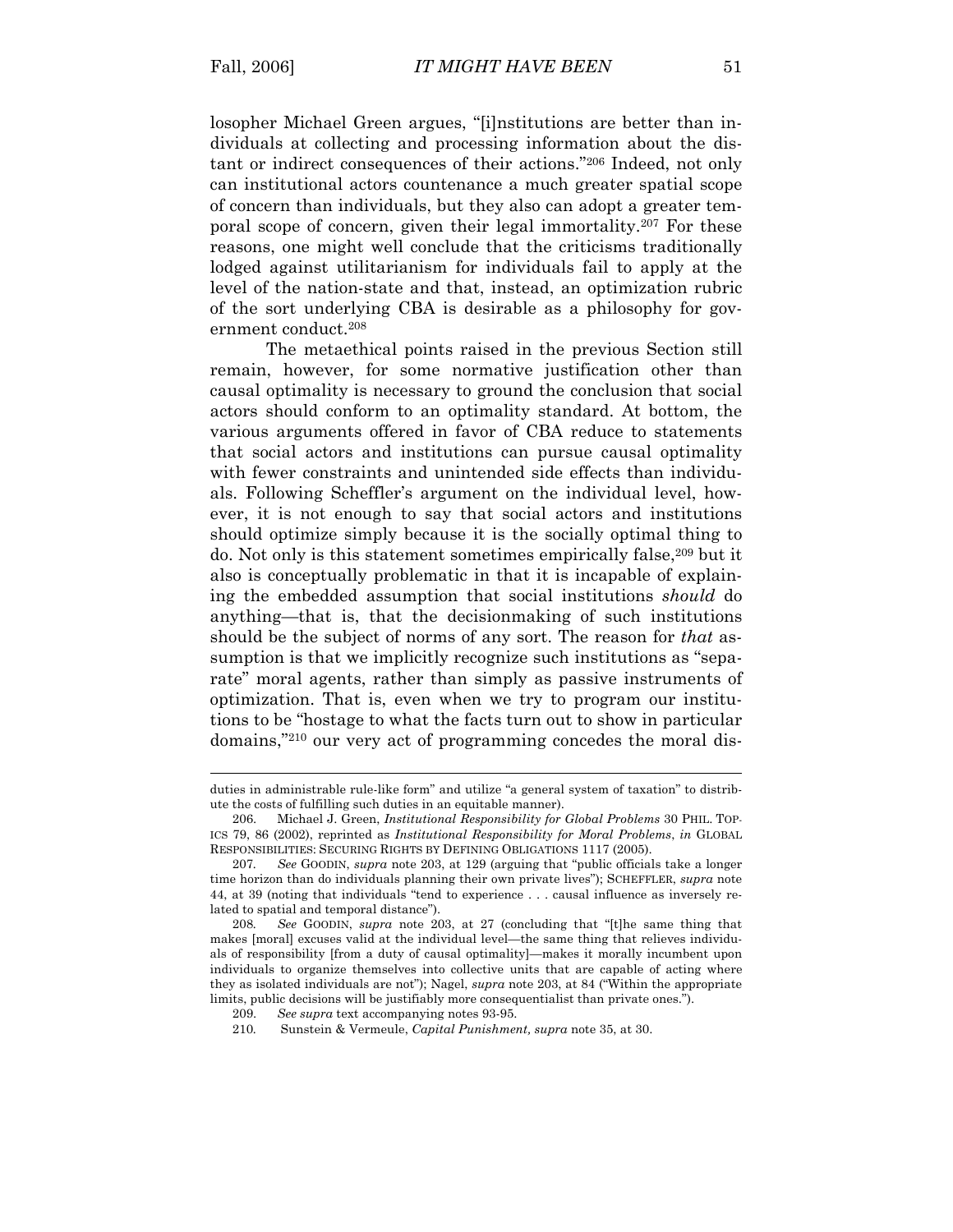$\overline{a}$ 

losopher Michael Green argues, "[i]nstitutions are better than individuals at collecting and processing information about the distant or indirect consequences of their actions."206 Indeed, not only can institutional actors countenance a much greater spatial scope of concern than individuals, but they also can adopt a greater temporal scope of concern, given their legal immortality.207 For these reasons, one might well conclude that the criticisms traditionally lodged against utilitarianism for individuals fail to apply at the level of the nation-state and that, instead, an optimization rubric of the sort underlying CBA is desirable as a philosophy for government conduct.208

The metaethical points raised in the previous Section still remain, however, for some normative justification other than causal optimality is necessary to ground the conclusion that social actors should conform to an optimality standard. At bottom, the various arguments offered in favor of CBA reduce to statements that social actors and institutions can pursue causal optimality with fewer constraints and unintended side effects than individuals. Following Scheffler's argument on the individual level, however, it is not enough to say that social actors and institutions should optimize simply because it is the socially optimal thing to do. Not only is this statement sometimes empirically false,209 but it also is conceptually problematic in that it is incapable of explaining the embedded assumption that social institutions *should* do anything—that is, that the decisionmaking of such institutions should be the subject of norms of any sort. The reason for *that* assumption is that we implicitly recognize such institutions as "separate" moral agents, rather than simply as passive instruments of optimization. That is, even when we try to program our institutions to be "hostage to what the facts turn out to show in particular domains,"210 our very act of programming concedes the moral dis-

duties in administrable rule-like form" and utilize "a general system of taxation" to distribute the costs of fulfilling such duties in an equitable manner).

 <sup>206.</sup> Michael J. Green, *Institutional Responsibility for Global Problems* 30 PHIL. TOP-ICS 79, 86 (2002), reprinted as *Institutional Responsibility for Moral Problems*, *in* GLOBAL RESPONSIBILITIES: SECURING RIGHTS BY DEFINING OBLIGATIONS 1117 (2005).

<sup>207</sup>*. See* GOODIN, *supra* note 203, at 129 (arguing that "public officials take a longer time horizon than do individuals planning their own private lives"); SCHEFFLER, *supra* note 44, at 39 (noting that individuals "tend to experience . . . causal influence as inversely related to spatial and temporal distance").

<sup>208</sup>*. See* GOODIN, *supra* note 203, at 27 (concluding that "[t]he same thing that makes [moral] excuses valid at the individual level—the same thing that relieves individuals of responsibility [from a duty of causal optimality]—makes it morally incumbent upon individuals to organize themselves into collective units that are capable of acting where they as isolated individuals are not"); Nagel, *supra* note 203, at 84 ("Within the appropriate limits, public decisions will be justifiably more consequentialist than private ones.").

 <sup>209.</sup> *See supra* text accompanying notes 93-95.

<sup>210</sup>*.* Sunstein & Vermeule, *Capital Punishment, supra* note 35, at 30.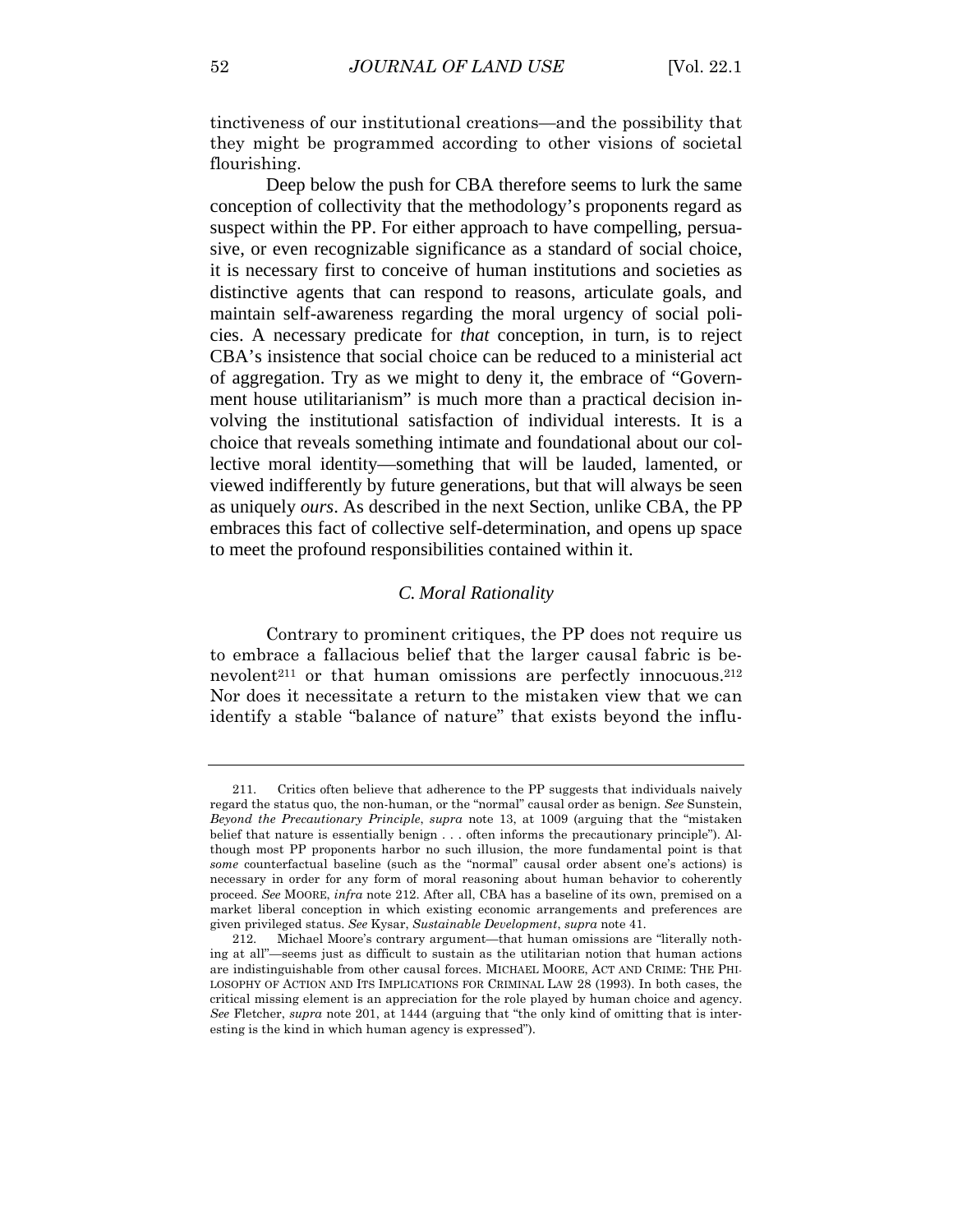tinctiveness of our institutional creations—and the possibility that they might be programmed according to other visions of societal flourishing.

Deep below the push for CBA therefore seems to lurk the same conception of collectivity that the methodology's proponents regard as suspect within the PP. For either approach to have compelling, persuasive, or even recognizable significance as a standard of social choice, it is necessary first to conceive of human institutions and societies as distinctive agents that can respond to reasons, articulate goals, and maintain self-awareness regarding the moral urgency of social policies. A necessary predicate for *that* conception, in turn, is to reject CBA's insistence that social choice can be reduced to a ministerial act of aggregation. Try as we might to deny it, the embrace of "Government house utilitarianism" is much more than a practical decision involving the institutional satisfaction of individual interests. It is a choice that reveals something intimate and foundational about our collective moral identity—something that will be lauded, lamented, or viewed indifferently by future generations, but that will always be seen as uniquely *ours*. As described in the next Section, unlike CBA, the PP embraces this fact of collective self-determination, and opens up space to meet the profound responsibilities contained within it.

## *C. Moral Rationality*

Contrary to prominent critiques, the PP does not require us to embrace a fallacious belief that the larger causal fabric is benevolent<sup>211</sup> or that human omissions are perfectly innocuous.<sup>212</sup> Nor does it necessitate a return to the mistaken view that we can identify a stable "balance of nature" that exists beyond the influ-

 <sup>211.</sup> Critics often believe that adherence to the PP suggests that individuals naively regard the status quo, the non-human, or the "normal" causal order as benign. *See* Sunstein, *Beyond the Precautionary Principle*, *supra* note 13, at 1009 (arguing that the "mistaken belief that nature is essentially benign . . . often informs the precautionary principle"). Although most PP proponents harbor no such illusion, the more fundamental point is that *some* counterfactual baseline (such as the "normal" causal order absent one's actions) is necessary in order for any form of moral reasoning about human behavior to coherently proceed. *See* MOORE, *infra* note 212. After all, CBA has a baseline of its own, premised on a market liberal conception in which existing economic arrangements and preferences are given privileged status. *See* Kysar, *Sustainable Development*, *supra* note 41.

 <sup>212.</sup> Michael Moore's contrary argument—that human omissions are "literally nothing at all"—seems just as difficult to sustain as the utilitarian notion that human actions are indistinguishable from other causal forces. MICHAEL MOORE, ACT AND CRIME: THE PHI-LOSOPHY OF ACTION AND ITS IMPLICATIONS FOR CRIMINAL LAW 28 (1993). In both cases, the critical missing element is an appreciation for the role played by human choice and agency. *See* Fletcher, *supra* note 201, at 1444 (arguing that "the only kind of omitting that is interesting is the kind in which human agency is expressed").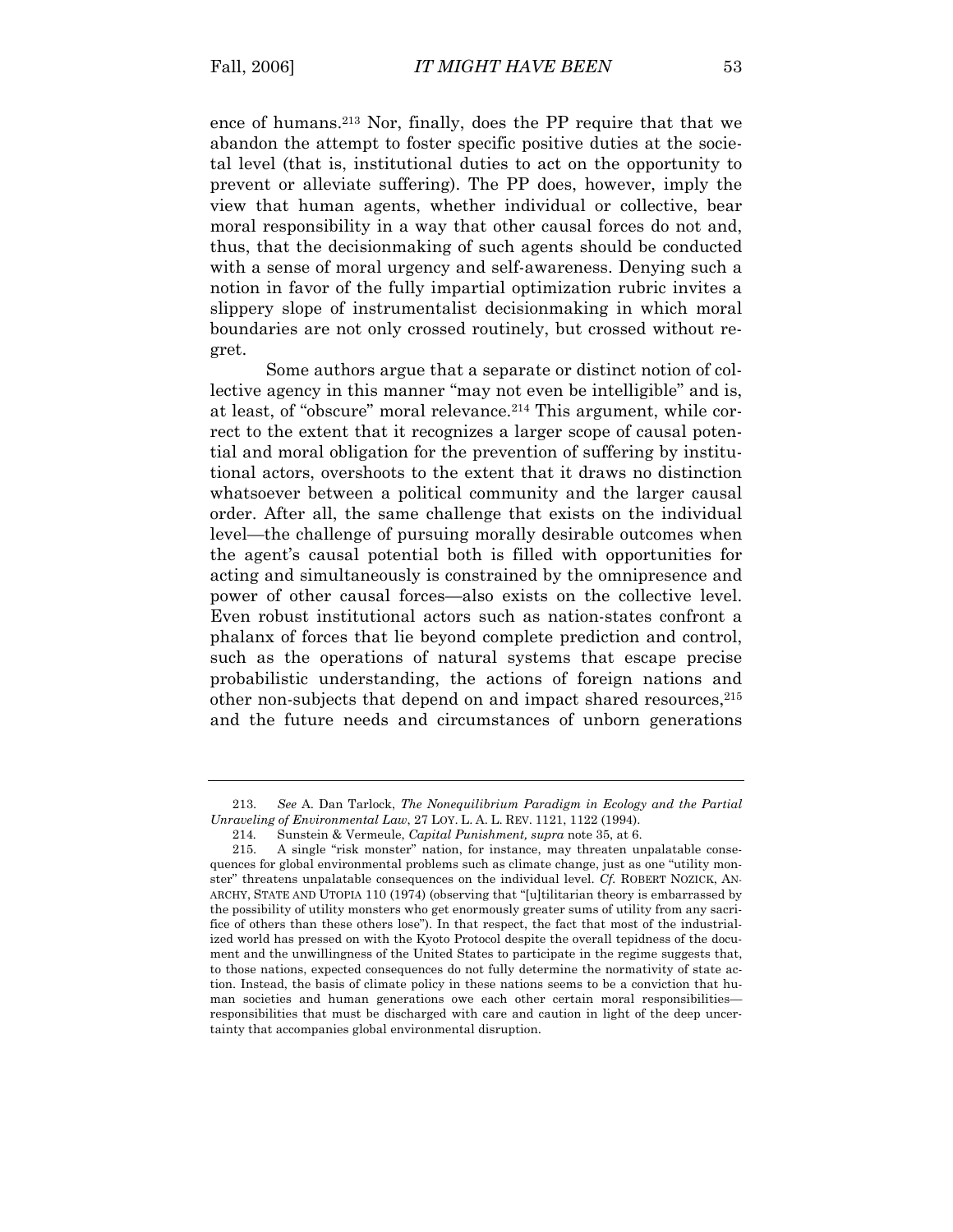ence of humans.213 Nor, finally, does the PP require that that we abandon the attempt to foster specific positive duties at the societal level (that is, institutional duties to act on the opportunity to prevent or alleviate suffering). The PP does, however, imply the view that human agents, whether individual or collective, bear moral responsibility in a way that other causal forces do not and, thus, that the decisionmaking of such agents should be conducted with a sense of moral urgency and self-awareness. Denying such a notion in favor of the fully impartial optimization rubric invites a slippery slope of instrumentalist decisionmaking in which moral boundaries are not only crossed routinely, but crossed without regret.

Some authors argue that a separate or distinct notion of collective agency in this manner "may not even be intelligible" and is, at least, of "obscure" moral relevance.214 This argument, while correct to the extent that it recognizes a larger scope of causal potential and moral obligation for the prevention of suffering by institutional actors, overshoots to the extent that it draws no distinction whatsoever between a political community and the larger causal order. After all, the same challenge that exists on the individual level—the challenge of pursuing morally desirable outcomes when the agent's causal potential both is filled with opportunities for acting and simultaneously is constrained by the omnipresence and power of other causal forces—also exists on the collective level. Even robust institutional actors such as nation-states confront a phalanx of forces that lie beyond complete prediction and control, such as the operations of natural systems that escape precise probabilistic understanding, the actions of foreign nations and other non-subjects that depend on and impact shared resources,  $215$ and the future needs and circumstances of unborn generations

 <sup>213.</sup> *See* A. Dan Tarlock, *The Nonequilibrium Paradigm in Ecology and the Partial Unraveling of Environmental Law*, 27 LOY. L. A. L. REV. 1121, 1122 (1994).

<sup>214</sup>*.* Sunstein & Vermeule, *Capital Punishment, supra* note 35, at 6.

 <sup>215.</sup> A single "risk monster" nation, for instance, may threaten unpalatable consequences for global environmental problems such as climate change, just as one "utility monster" threatens unpalatable consequences on the individual level. *Cf.* ROBERT NOZICK, AN-ARCHY, STATE AND UTOPIA 110 (1974) (observing that "[u]tilitarian theory is embarrassed by the possibility of utility monsters who get enormously greater sums of utility from any sacrifice of others than these others lose"). In that respect, the fact that most of the industrialized world has pressed on with the Kyoto Protocol despite the overall tepidness of the document and the unwillingness of the United States to participate in the regime suggests that, to those nations, expected consequences do not fully determine the normativity of state action. Instead, the basis of climate policy in these nations seems to be a conviction that human societies and human generations owe each other certain moral responsibilities responsibilities that must be discharged with care and caution in light of the deep uncertainty that accompanies global environmental disruption.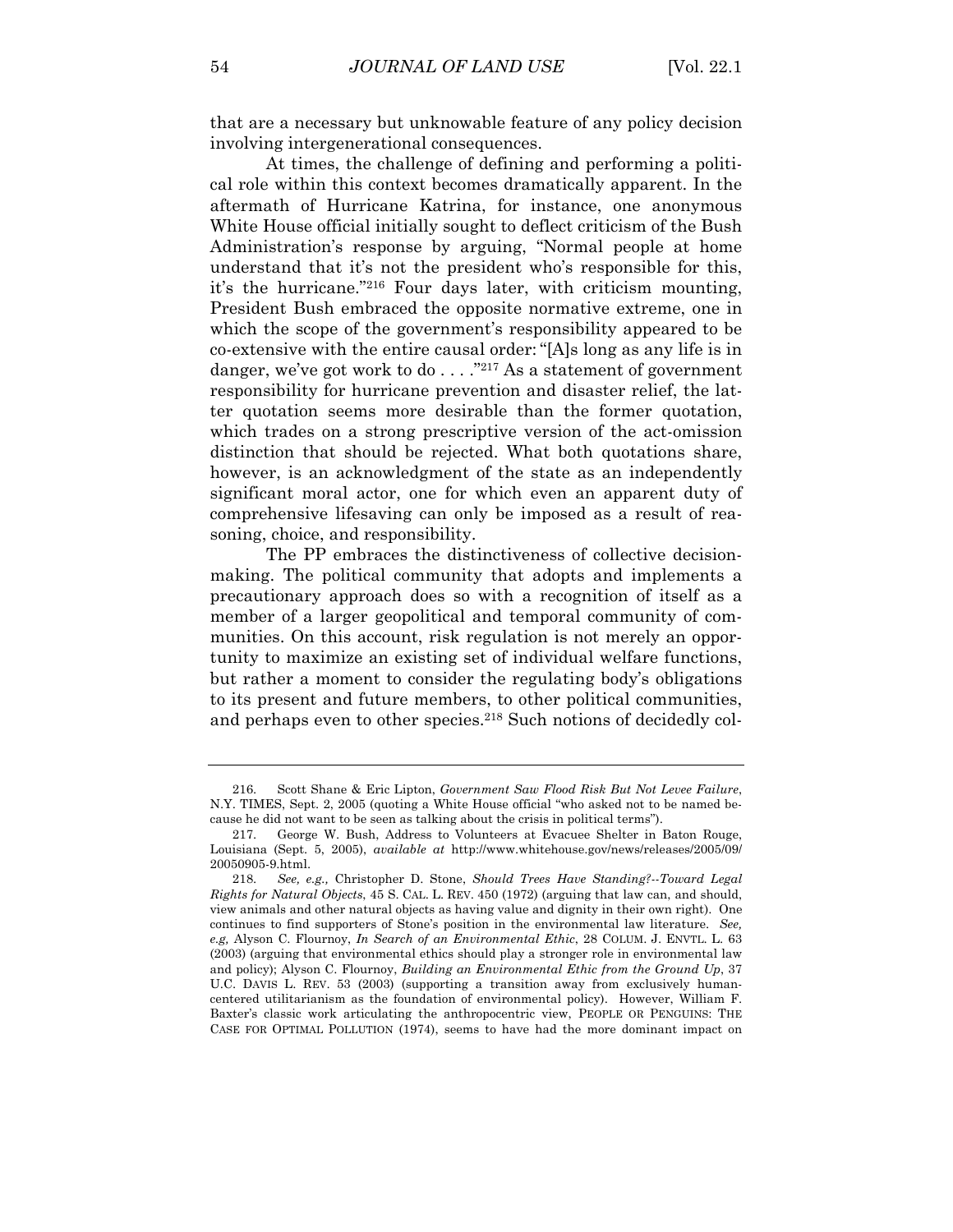that are a necessary but unknowable feature of any policy decision involving intergenerational consequences.

At times, the challenge of defining and performing a political role within this context becomes dramatically apparent. In the aftermath of Hurricane Katrina, for instance, one anonymous White House official initially sought to deflect criticism of the Bush Administration's response by arguing, "Normal people at home understand that it's not the president who's responsible for this, it's the hurricane."216 Four days later, with criticism mounting, President Bush embraced the opposite normative extreme, one in which the scope of the government's responsibility appeared to be co-extensive with the entire causal order:"[A]s long as any life is in danger, we've got work to do  $\ldots$  ."<sup>217</sup> As a statement of government responsibility for hurricane prevention and disaster relief, the latter quotation seems more desirable than the former quotation, which trades on a strong prescriptive version of the act-omission distinction that should be rejected. What both quotations share, however, is an acknowledgment of the state as an independently significant moral actor, one for which even an apparent duty of comprehensive lifesaving can only be imposed as a result of reasoning, choice, and responsibility.

The PP embraces the distinctiveness of collective decisionmaking. The political community that adopts and implements a precautionary approach does so with a recognition of itself as a member of a larger geopolitical and temporal community of communities. On this account, risk regulation is not merely an opportunity to maximize an existing set of individual welfare functions, but rather a moment to consider the regulating body's obligations to its present and future members, to other political communities, and perhaps even to other species.218 Such notions of decidedly col-

 <sup>216.</sup> Scott Shane & Eric Lipton, *Government Saw Flood Risk But Not Levee Failure*, N.Y. TIMES, Sept. 2, 2005 (quoting a White House official "who asked not to be named because he did not want to be seen as talking about the crisis in political terms").

 <sup>217.</sup> George W. Bush, Address to Volunteers at Evacuee Shelter in Baton Rouge, Louisiana (Sept. 5, 2005), *available at* http://www.whitehouse.gov/news/releases/2005/09/ 20050905-9.html.

 <sup>218.</sup> *See, e.g.,* Christopher D. Stone, *Should Trees Have Standing?--Toward Legal Rights for Natural Objects*, 45 S. CAL. L. REV. 450 (1972) (arguing that law can, and should, view animals and other natural objects as having value and dignity in their own right). One continues to find supporters of Stone's position in the environmental law literature. *See, e.g,* Alyson C. Flournoy, *In Search of an Environmental Ethic*, 28 COLUM. J. ENVTL. L. 63 (2003) (arguing that environmental ethics should play a stronger role in environmental law and policy); Alyson C. Flournoy, *Building an Environmental Ethic from the Ground Up*, 37 U.C. DAVIS L. REV. 53 (2003) (supporting a transition away from exclusively humancentered utilitarianism as the foundation of environmental policy). However, William F. Baxter's classic work articulating the anthropocentric view, PEOPLE OR PENGUINS: THE CASE FOR OPTIMAL POLLUTION (1974), seems to have had the more dominant impact on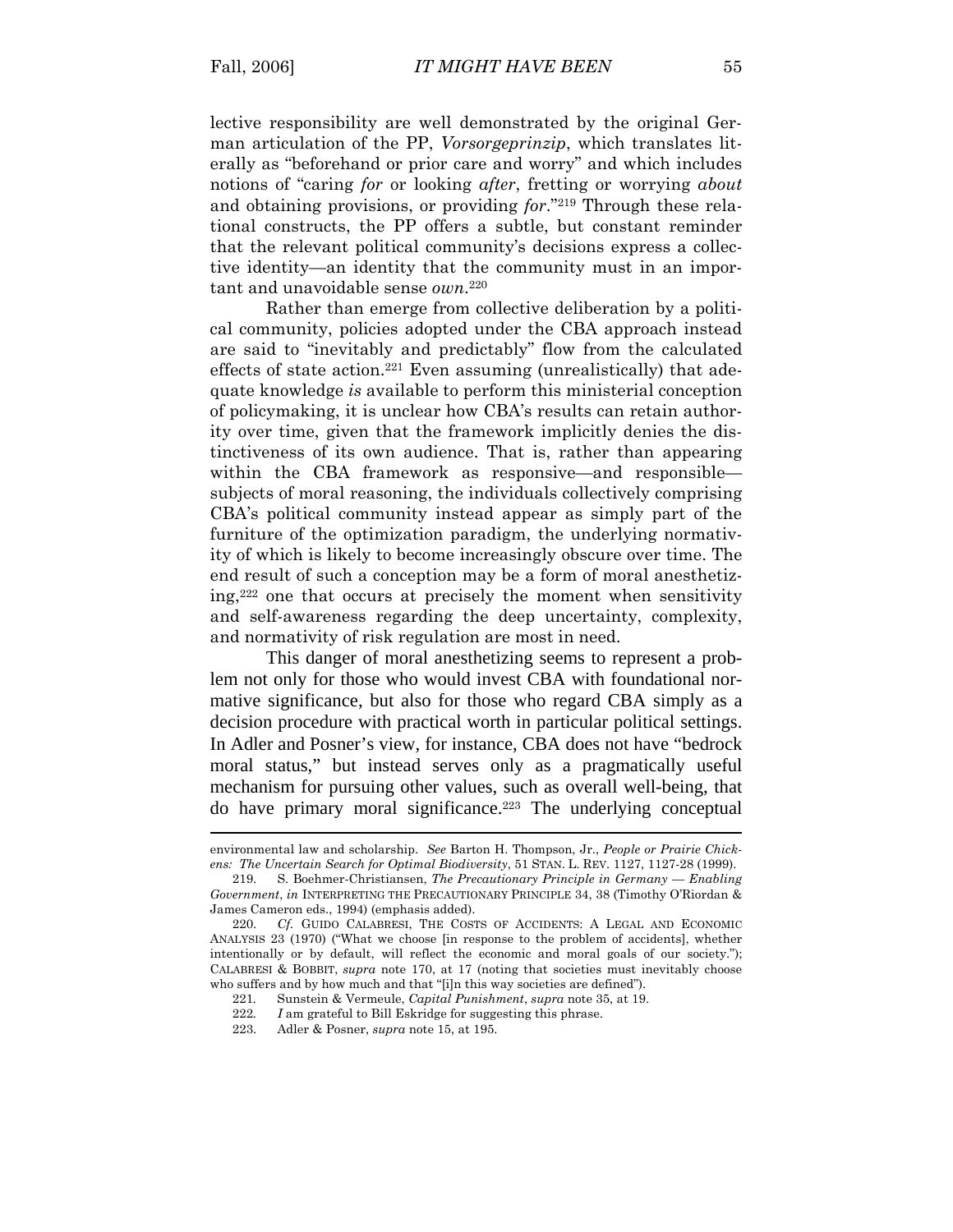lective responsibility are well demonstrated by the original German articulation of the PP, *Vorsorgeprinzip*, which translates literally as "beforehand or prior care and worry" and which includes notions of "caring *for* or looking *after*, fretting or worrying *about* and obtaining provisions, or providing *for*."219 Through these relational constructs, the PP offers a subtle, but constant reminder that the relevant political community's decisions express a collective identity—an identity that the community must in an important and unavoidable sense *own*. 220

Rather than emerge from collective deliberation by a political community, policies adopted under the CBA approach instead are said to "inevitably and predictably" flow from the calculated effects of state action.<sup>221</sup> Even assuming (unrealistically) that adequate knowledge *is* available to perform this ministerial conception of policymaking, it is unclear how CBA's results can retain authority over time, given that the framework implicitly denies the distinctiveness of its own audience. That is, rather than appearing within the CBA framework as responsive—and responsible subjects of moral reasoning, the individuals collectively comprising CBA's political community instead appear as simply part of the furniture of the optimization paradigm, the underlying normativity of which is likely to become increasingly obscure over time. The end result of such a conception may be a form of moral anesthetizing,222 one that occurs at precisely the moment when sensitivity and self-awareness regarding the deep uncertainty, complexity, and normativity of risk regulation are most in need.

This danger of moral anesthetizing seems to represent a problem not only for those who would invest CBA with foundational normative significance, but also for those who regard CBA simply as a decision procedure with practical worth in particular political settings. In Adler and Posner's view, for instance, CBA does not have "bedrock moral status," but instead serves only as a pragmatically useful mechanism for pursuing other values, such as overall well-being, that do have primary moral significance.223 The underlying conceptual

environmental law and scholarship. *See* Barton H. Thompson, Jr., *People or Prairie Chickens: The Uncertain Search for Optimal Biodiversity*, 51 STAN. L. REV. 1127, 1127-28 (1999).

 <sup>219.</sup> S. Boehmer-Christiansen, *The Precautionary Principle in Germany — Enabling Government*, *in* INTERPRETING THE PRECAUTIONARY PRINCIPLE 34, 38 (Timothy O'Riordan & James Cameron eds., 1994) (emphasis added).

 <sup>220.</sup> *Cf.* GUIDO CALABRESI, THE COSTS OF ACCIDENTS: A LEGAL AND ECONOMIC ANALYSIS 23 (1970) ("What we choose [in response to the problem of accidents], whether intentionally or by default, will reflect the economic and moral goals of our society."); CALABRESI & BOBBIT, *supra* note 170, at 17 (noting that societies must inevitably choose who suffers and by how much and that "[i]n this way societies are defined").

<sup>221</sup>*.* Sunstein & Vermeule, *Capital Punishment*, *supra* note 35, at 19.

<sup>222</sup>*. I* am grateful to Bill Eskridge for suggesting this phrase.

 <sup>223.</sup> Adler & Posner, *supra* note 15, at 195.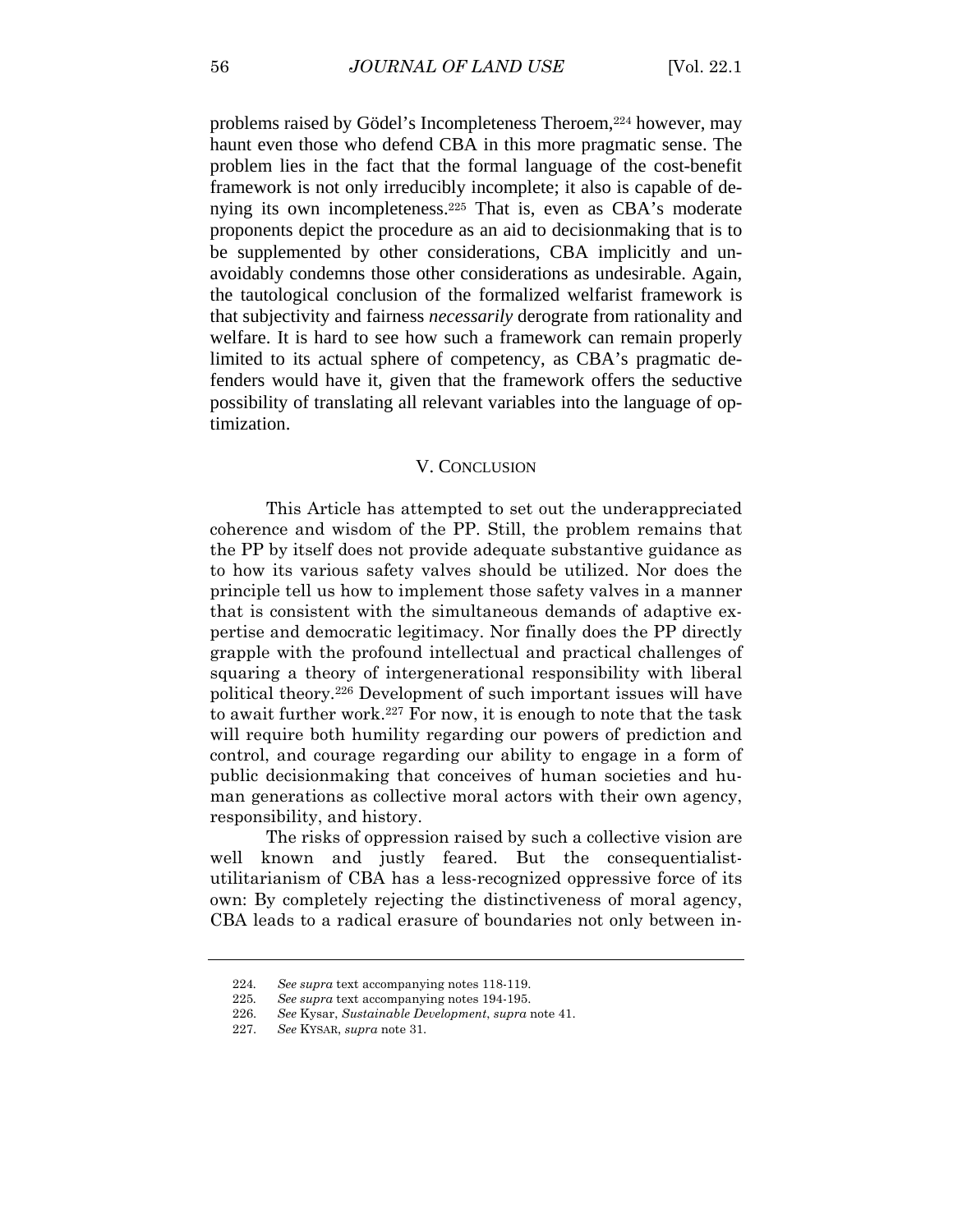problems raised by Gödel's Incompleteness Theroem,<sup>224</sup> however, may haunt even those who defend CBA in this more pragmatic sense. The problem lies in the fact that the formal language of the cost-benefit framework is not only irreducibly incomplete; it also is capable of denying its own incompleteness.225 That is, even as CBA's moderate proponents depict the procedure as an aid to decisionmaking that is to be supplemented by other considerations, CBA implicitly and unavoidably condemns those other considerations as undesirable. Again, the tautological conclusion of the formalized welfarist framework is that subjectivity and fairness *necessarily* derograte from rationality and welfare. It is hard to see how such a framework can remain properly limited to its actual sphere of competency, as CBA's pragmatic defenders would have it, given that the framework offers the seductive possibility of translating all relevant variables into the language of optimization.

#### V. CONCLUSION

This Article has attempted to set out the underappreciated coherence and wisdom of the PP. Still, the problem remains that the PP by itself does not provide adequate substantive guidance as to how its various safety valves should be utilized. Nor does the principle tell us how to implement those safety valves in a manner that is consistent with the simultaneous demands of adaptive expertise and democratic legitimacy. Nor finally does the PP directly grapple with the profound intellectual and practical challenges of squaring a theory of intergenerational responsibility with liberal political theory.226 Development of such important issues will have to await further work.227 For now, it is enough to note that the task will require both humility regarding our powers of prediction and control, and courage regarding our ability to engage in a form of public decisionmaking that conceives of human societies and human generations as collective moral actors with their own agency, responsibility, and history.

The risks of oppression raised by such a collective vision are well known and justly feared. But the consequentialistutilitarianism of CBA has a less-recognized oppressive force of its own: By completely rejecting the distinctiveness of moral agency, CBA leads to a radical erasure of boundaries not only between in-

<sup>224</sup>*. See supra* text accompanying notes 118-119.

<sup>225</sup>*. See supra* text accompanying notes 194-195.

 <sup>226.</sup> *See* Kysar, *Sustainable Development*, *supra* note 41.

 <sup>227.</sup> *See* KYSAR, *supra* note 31.